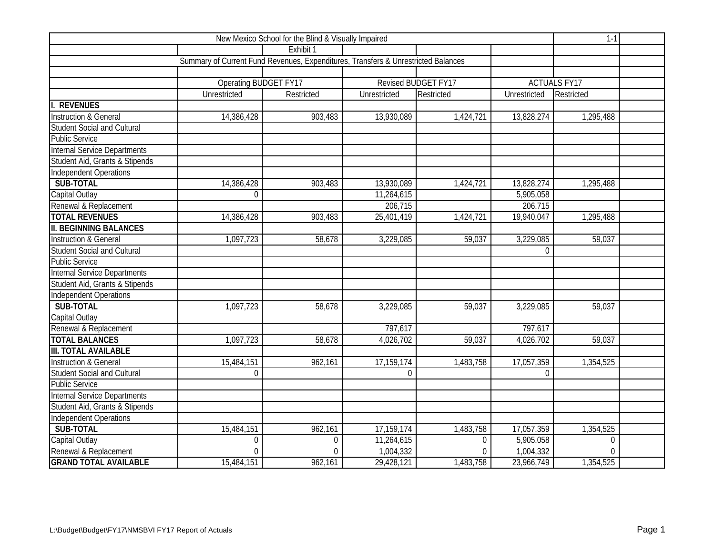|                                     | $1-1$                                                                             |                |              |                     |              |                     |  |
|-------------------------------------|-----------------------------------------------------------------------------------|----------------|--------------|---------------------|--------------|---------------------|--|
|                                     |                                                                                   | Exhibit 1      |              |                     |              |                     |  |
|                                     | Summary of Current Fund Revenues, Expenditures, Transfers & Unrestricted Balances |                |              |                     |              |                     |  |
|                                     |                                                                                   |                |              |                     |              |                     |  |
|                                     | Operating BUDGET FY17                                                             |                |              | Revised BUDGET FY17 |              | <b>ACTUALS FY17</b> |  |
|                                     | Unrestricted                                                                      | Restricted     | Unrestricted | Restricted          | Unrestricted | Restricted          |  |
| <b>REVENUES</b>                     |                                                                                   |                |              |                     |              |                     |  |
| <b>Instruction &amp; General</b>    | 14,386,428                                                                        | 903,483        | 13,930,089   | 1,424,721           | 13,828,274   | 1,295,488           |  |
| <b>Student Social and Cultural</b>  |                                                                                   |                |              |                     |              |                     |  |
| <b>Public Service</b>               |                                                                                   |                |              |                     |              |                     |  |
| <b>Internal Service Departments</b> |                                                                                   |                |              |                     |              |                     |  |
| Student Aid, Grants & Stipends      |                                                                                   |                |              |                     |              |                     |  |
| Independent Operations              |                                                                                   |                |              |                     |              |                     |  |
| SUB-TOTAL                           | 14,386,428                                                                        | 903,483        | 13,930,089   | 1,424,721           | 13,828,274   | 1,295,488           |  |
| Capital Outlay                      | $\overline{0}$                                                                    |                | 11,264,615   |                     | 5,905,058    |                     |  |
| Renewal & Replacement               |                                                                                   |                | 206,715      |                     | 206,715      |                     |  |
| <b>TOTAL REVENUES</b>               | 14,386,428                                                                        | 903,483        | 25,401,419   | 1,424,721           | 19,940,047   | 1,295,488           |  |
| <b>II. BEGINNING BALANCES</b>       |                                                                                   |                |              |                     |              |                     |  |
| <b>Instruction &amp; General</b>    | 1,097,723                                                                         | 58,678         | 3,229,085    | 59,037              | 3,229,085    | 59,037              |  |
| <b>Student Social and Cultural</b>  |                                                                                   |                |              |                     | $\theta$     |                     |  |
| <b>Public Service</b>               |                                                                                   |                |              |                     |              |                     |  |
| <b>Internal Service Departments</b> |                                                                                   |                |              |                     |              |                     |  |
| Student Aid, Grants & Stipends      |                                                                                   |                |              |                     |              |                     |  |
| Independent Operations              |                                                                                   |                |              |                     |              |                     |  |
| SUB-TOTAL                           | 1,097,723                                                                         | 58,678         | 3,229,085    | 59,037              | 3,229,085    | 59,037              |  |
| Capital Outlay                      |                                                                                   |                |              |                     |              |                     |  |
| Renewal & Replacement               |                                                                                   |                | 797,617      |                     | 797,617      |                     |  |
| <b>TOTAL BALANCES</b>               | 1,097,723                                                                         | 58,678         | 4,026,702    | 59,037              | 4,026,702    | 59,037              |  |
| <b>III. TOTAL AVAILABLE</b>         |                                                                                   |                |              |                     |              |                     |  |
| <b>Instruction &amp; General</b>    | 15,484,151                                                                        | 962,161        | 17,159,174   | 1,483,758           | 17,057,359   | 1,354,525           |  |
| <b>Student Social and Cultural</b>  | 0                                                                                 |                | $\Omega$     |                     | $\Omega$     |                     |  |
| <b>Public Service</b>               |                                                                                   |                |              |                     |              |                     |  |
| Internal Service Departments        |                                                                                   |                |              |                     |              |                     |  |
| Student Aid, Grants & Stipends      |                                                                                   |                |              |                     |              |                     |  |
| Independent Operations              |                                                                                   |                |              |                     |              |                     |  |
| SUB-TOTAL                           | 15,484,151                                                                        | 962,161        | 17,159,174   | 1,483,758           | 17,057,359   | 1,354,525           |  |
| Capital Outlay                      | 0                                                                                 | $\overline{0}$ | 11,264,615   | $\Omega$            | 5,905,058    | $\overline{0}$      |  |
| Renewal & Replacement               | $\Omega$                                                                          | $\Omega$       | 1,004,332    | $\Omega$            | 1,004,332    | $\Omega$            |  |
| <b>GRAND TOTAL AVAILABLE</b>        | 15,484,151                                                                        | 962,161        | 29,428,121   | 1,483,758           | 23,966,749   | 1,354,525           |  |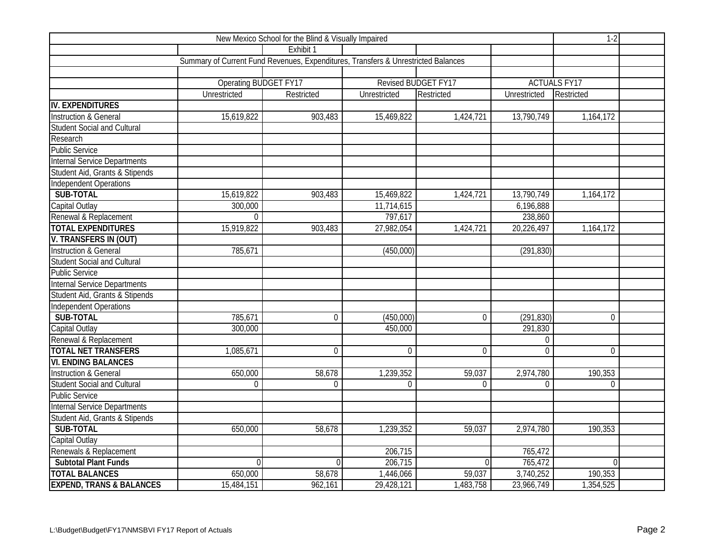|                                     | $1-2$                                                                             |                |                |                     |                |                     |  |
|-------------------------------------|-----------------------------------------------------------------------------------|----------------|----------------|---------------------|----------------|---------------------|--|
|                                     |                                                                                   | Exhibit 1      |                |                     |                |                     |  |
|                                     | Summary of Current Fund Revenues, Expenditures, Transfers & Unrestricted Balances |                |                |                     |                |                     |  |
|                                     |                                                                                   |                |                |                     |                |                     |  |
|                                     | Operating BUDGET FY17                                                             |                |                | Revised BUDGET FY17 |                | <b>ACTUALS FY17</b> |  |
|                                     | Unrestricted                                                                      | Restricted     | Unrestricted   | Restricted          | Unrestricted   | Restricted          |  |
| IV. EXPENDITURES                    |                                                                                   |                |                |                     |                |                     |  |
| <b>Instruction &amp; General</b>    | 15,619,822                                                                        | 903,483        | 15,469,822     | 1,424,721           | 13,790,749     | 1,164,172           |  |
| <b>Student Social and Cultural</b>  |                                                                                   |                |                |                     |                |                     |  |
| Research                            |                                                                                   |                |                |                     |                |                     |  |
| <b>Public Service</b>               |                                                                                   |                |                |                     |                |                     |  |
| <b>Internal Service Departments</b> |                                                                                   |                |                |                     |                |                     |  |
| Student Aid, Grants & Stipends      |                                                                                   |                |                |                     |                |                     |  |
| <b>Independent Operations</b>       |                                                                                   |                |                |                     |                |                     |  |
| SUB-TOTAL                           | 15,619,822                                                                        | 903,483        | 15,469,822     | 1,424,721           | 13,790,749     | 1,164,172           |  |
| Capital Outlay                      | 300,000                                                                           |                | 11,714,615     |                     | 6,196,888      |                     |  |
| Renewal & Replacement               | $\overline{0}$                                                                    |                | 797,617        |                     | 238,860        |                     |  |
| <b>TOTAL EXPENDITURES</b>           | 15,919,822                                                                        | 903,483        | 27,982,054     | 1,424,721           | 20,226,497     | 1,164,172           |  |
| <b>V. TRANSFERS IN (OUT)</b>        |                                                                                   |                |                |                     |                |                     |  |
| <b>Instruction &amp; General</b>    | 785,671                                                                           |                | (450,000)      |                     | (291, 830)     |                     |  |
| <b>Student Social and Cultural</b>  |                                                                                   |                |                |                     |                |                     |  |
| <b>Public Service</b>               |                                                                                   |                |                |                     |                |                     |  |
| <b>Internal Service Departments</b> |                                                                                   |                |                |                     |                |                     |  |
| Student Aid, Grants & Stipends      |                                                                                   |                |                |                     |                |                     |  |
| Independent Operations              |                                                                                   |                |                |                     |                |                     |  |
| SUB-TOTAL                           | 785,671                                                                           | $\overline{0}$ | (450,000)      | $\overline{0}$      | (291, 830)     | $\mathbf 0$         |  |
| Capital Outlay                      | 300,000                                                                           |                | 450,000        |                     | 291,830        |                     |  |
| Renewal & Replacement               |                                                                                   |                |                |                     | $\mathbf{0}$   |                     |  |
| <b>TOTAL NET TRANSFERS</b>          | 1,085,671                                                                         | $\overline{0}$ | $\overline{0}$ | $\mathbf 0$         | $\overline{0}$ | $\overline{0}$      |  |
| <b>VI. ENDING BALANCES</b>          |                                                                                   |                |                |                     |                |                     |  |
| <b>Instruction &amp; General</b>    | 650,000                                                                           | 58,678         | 1,239,352      | 59,037              | 2,974,780      | 190,353             |  |
| <b>Student Social and Cultural</b>  | $\mathbf 0$                                                                       | $\Omega$       | $\Omega$       | $\Omega$            | $\Omega$       | $\Omega$            |  |
| <b>Public Service</b>               |                                                                                   |                |                |                     |                |                     |  |
| <b>Internal Service Departments</b> |                                                                                   |                |                |                     |                |                     |  |
| Student Aid, Grants & Stipends      |                                                                                   |                |                |                     |                |                     |  |
| SUB-TOTAL                           | 650,000                                                                           | 58,678         | 1,239,352      | 59,037              | 2,974,780      | 190,353             |  |
| Capital Outlay                      |                                                                                   |                |                |                     |                |                     |  |
| Renewals & Replacement              |                                                                                   |                | 206,715        |                     | 765,472        |                     |  |
| <b>Subtotal Plant Funds</b>         | $\Omega$                                                                          | $\Omega$       | 206,715        | $\Omega$            | 765,472        | $\Omega$            |  |
| <b>TOTAL BALANCES</b>               | 650,000                                                                           | 58,678         | 1,446,066      | 59,037              | 3,740,252      | 190,353             |  |
| <b>EXPEND, TRANS &amp; BALANCES</b> | 15,484,151                                                                        | 962,161        | 29,428,121     | 1,483,758           | 23,966,749     | 1,354,525           |  |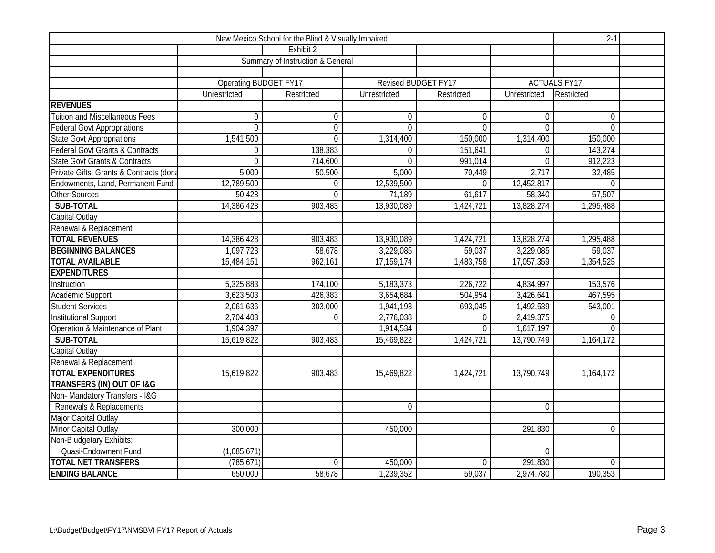|                                            |                              | $2 - 1$                          |                     |                |                |                     |  |
|--------------------------------------------|------------------------------|----------------------------------|---------------------|----------------|----------------|---------------------|--|
|                                            |                              | Exhibit 2                        |                     |                |                |                     |  |
|                                            |                              | Summary of Instruction & General |                     |                |                |                     |  |
|                                            |                              |                                  |                     |                |                |                     |  |
|                                            | <b>Operating BUDGET FY17</b> |                                  | Revised BUDGET FY17 |                |                | <b>ACTUALS FY17</b> |  |
|                                            | Unrestricted                 | Restricted                       | Unrestricted        | Restricted     | Unrestricted   | Restricted          |  |
| <b>REVENUES</b>                            |                              |                                  |                     |                |                |                     |  |
| <b>Tuition and Miscellaneous Fees</b>      | $\overline{0}$               | $\overline{0}$                   | $\Omega$            | $\Omega$       | $\overline{0}$ | $\overline{0}$      |  |
| <b>Federal Govt Appropriations</b>         | $\overline{0}$               | $\boldsymbol{0}$                 | $\overline{0}$      | $\Omega$       | $\overline{0}$ | $\overline{0}$      |  |
| <b>State Govt Appropriations</b>           | 1,541,500                    | $\overline{0}$                   | 1,314,400           | 150,000        | 1,314,400      | 150,000             |  |
| <b>Federal Govt Grants &amp; Contracts</b> | $\overline{0}$               | 138,383                          | $\overline{0}$      | 151,641        | $\mathbf 0$    | 143,274             |  |
| <b>State Govt Grants &amp; Contracts</b>   | 0                            | 714,600                          | $\Omega$            | 991,014        | $\mathbf{0}$   | 912,223             |  |
| Private Gifts, Grants & Contracts (dona    | 5,000                        | 50,500                           | 5,000               | 70,449         | 2,717          | 32,485              |  |
| Endowments, Land, Permanent Fund           | 12,789,500                   | $\Omega$                         | 12,539,500          | $\Omega$       | 12,452,817     | $\Omega$            |  |
| <b>Other Sources</b>                       | 50,428                       | $\Omega$                         | 71,189              | 61,617         | 58,340         | 57,507              |  |
| SUB-TOTAL                                  | 14,386,428                   | 903,483                          | 13,930,089          | 1,424,721      | 13,828,274     | 1,295,488           |  |
| Capital Outlay                             |                              |                                  |                     |                |                |                     |  |
| Renewal & Replacement                      |                              |                                  |                     |                |                |                     |  |
| <b>TOTAL REVENUES</b>                      | 14,386,428                   | 903,483                          | 13,930,089          | 1,424,721      | 13,828,274     | 1,295,488           |  |
| <b>BEGINNING BALANCES</b>                  | 1,097,723                    | 58,678                           | 3,229,085           | 59,037         | 3,229,085      | 59,037              |  |
| <b>TOTAL AVAILABLE</b>                     | 15,484,151                   | 962,161                          | 17,159,174          | 1,483,758      | 17,057,359     | 1,354,525           |  |
| <b>EXPENDITURES</b>                        |                              |                                  |                     |                |                |                     |  |
| Instruction                                | 5,325,883                    | 174,100                          | 5,183,373           | 226,722        | 4,834,997      | 153,576             |  |
| Academic Support                           | 3,623,503                    | 426,383                          | 3,654,684           | 504,954        | 3,426,641      | 467,595             |  |
| <b>Student Services</b>                    | 2,061,636                    | 303,000                          | 1,941,193           | 693,045        | 1,492,539      | 543,001             |  |
| <b>Institutional Support</b>               | 2,704,403                    | $\overline{0}$                   | 2,776,038           | $\Omega$       | 2,419,375      | $\overline{0}$      |  |
| Operation & Maintenance of Plant           | 1,904,397                    |                                  | 1,914,534           | $\mathbf{0}$   | 1,617,197      | $\Omega$            |  |
| SUB-TOTAL                                  | 15,619,822                   | 903,483                          | 15,469,822          | 1,424,721      | 13,790,749     | 1,164,172           |  |
| Capital Outlay                             |                              |                                  |                     |                |                |                     |  |
| Renewal & Replacement                      |                              |                                  |                     |                |                |                     |  |
| <b>TOTAL EXPENDITURES</b>                  | 15,619,822                   | 903,483                          | 15,469,822          | 1,424,721      | 13,790,749     | 1,164,172           |  |
| <b>TRANSFERS (IN) OUT OF I&amp;G</b>       |                              |                                  |                     |                |                |                     |  |
| Non-Mandatory Transfers - I&G              |                              |                                  |                     |                |                |                     |  |
| Renewals & Replacements                    |                              |                                  | $\Omega$            |                | $\overline{0}$ |                     |  |
| Major Capital Outlay                       |                              |                                  |                     |                |                |                     |  |
| Minor Capital Outlay                       | 300,000                      |                                  | 450,000             |                | 291,830        | $\overline{0}$      |  |
| Non-B udgetary Exhibits:                   |                              |                                  |                     |                |                |                     |  |
| <b>Quasi-Endowment Fund</b>                | (1,085,671)                  |                                  |                     |                | $\overline{0}$ |                     |  |
| <b>TOTAL NET TRANSFERS</b>                 | (785, 671)                   | $\overline{0}$                   | 450,000             | $\overline{0}$ | 291,830        | $\overline{0}$      |  |
| <b>ENDING BALANCE</b>                      | 650,000                      | 58,678                           | 1,239,352           | 59,037         | 2,974,780      | 190,353             |  |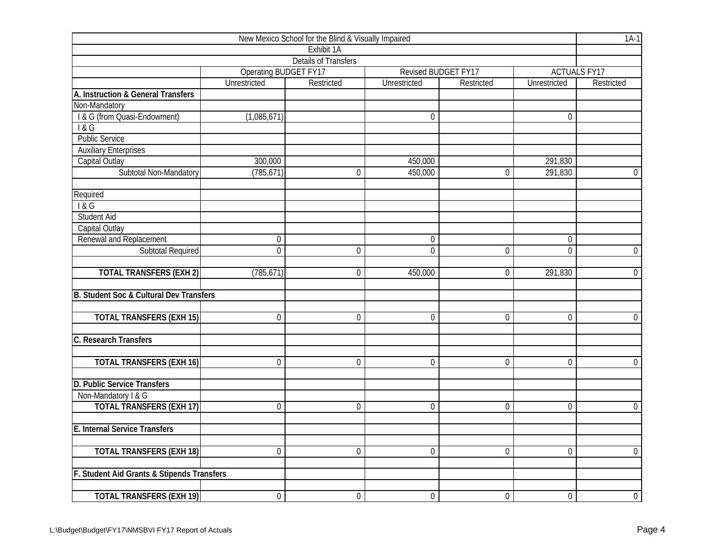| New Mexico School for the Blind & Visually Impaired |                              |                             |                  |                     |                     |                     |  |  |  |  |
|-----------------------------------------------------|------------------------------|-----------------------------|------------------|---------------------|---------------------|---------------------|--|--|--|--|
|                                                     |                              | Exhibit 1A                  |                  |                     |                     |                     |  |  |  |  |
|                                                     |                              | <b>Details of Transfers</b> |                  |                     |                     |                     |  |  |  |  |
|                                                     | <b>Operating BUDGET FY17</b> |                             |                  | Revised BUDGET FY17 |                     | <b>ACTUALS FY17</b> |  |  |  |  |
|                                                     | Unrestricted                 | Restricted                  | Unrestricted     | Restricted          | <b>Unrestricted</b> | Restricted          |  |  |  |  |
| A. Instruction & General Transfers                  |                              |                             |                  |                     |                     |                     |  |  |  |  |
| Non-Mandatory                                       |                              |                             |                  |                     |                     |                     |  |  |  |  |
| I & G (from Quasi-Endowment)                        | (1,085,671)                  |                             | $\overline{0}$   |                     | $\overline{0}$      |                     |  |  |  |  |
| 1&G                                                 |                              |                             |                  |                     |                     |                     |  |  |  |  |
| <b>Public Service</b>                               |                              |                             |                  |                     |                     |                     |  |  |  |  |
| <b>Auxiliary Enterprises</b>                        |                              |                             |                  |                     |                     |                     |  |  |  |  |
| Capital Outlay                                      | 300,000                      |                             | 450,000          |                     | 291,830             |                     |  |  |  |  |
| Subtotal Non-Mandatory                              | (785, 671)                   | 0                           | 450,000          | 0                   | 291,830             | $\overline{0}$      |  |  |  |  |
| Required                                            |                              |                             |                  |                     |                     |                     |  |  |  |  |
| 18G                                                 |                              |                             |                  |                     |                     |                     |  |  |  |  |
| <b>Student Aid</b>                                  |                              |                             |                  |                     |                     |                     |  |  |  |  |
| Capital Outlay                                      |                              |                             |                  |                     |                     |                     |  |  |  |  |
| Renewal and Replacement                             | $\boldsymbol{0}$             |                             | $\boldsymbol{0}$ |                     | $\boldsymbol{0}$    |                     |  |  |  |  |
| <b>Subtotal Required</b>                            | $\overline{0}$               | $\mathbf 0$                 | $\overline{0}$   | $\overline{0}$      | $\overline{0}$      | $\mathbf 0$         |  |  |  |  |
| <b>TOTAL TRANSFERS (EXH 2)</b>                      | (785, 671)                   | $\Omega$                    | 450,000          | 0                   | 291,830             | $\overline{0}$      |  |  |  |  |
| B. Student Soc & Cultural Dev Transfers             |                              |                             |                  |                     |                     |                     |  |  |  |  |
|                                                     |                              |                             |                  |                     |                     |                     |  |  |  |  |
| <b>TOTAL TRANSFERS (EXH 15)</b>                     | $\mathbf 0$                  | $\overline{0}$              | $\overline{0}$   | 0                   | $\overline{0}$      | $\overline{0}$      |  |  |  |  |
| C. Research Transfers                               |                              |                             |                  |                     |                     |                     |  |  |  |  |
| <b>TOTAL TRANSFERS (EXH 16)</b>                     | $\mathbf 0$                  | $\mathbf 0$                 | $\mathbf 0$      | 0                   | $\mathbf 0$         | $\overline{0}$      |  |  |  |  |
| D. Public Service Transfers                         |                              |                             |                  |                     |                     |                     |  |  |  |  |
| Non-Mandatory I & G                                 |                              |                             |                  |                     |                     |                     |  |  |  |  |
| <b>TOTAL TRANSFERS (EXH 17)</b>                     | $\overline{0}$               | $\mathbf 0$                 | $\overline{0}$   | $\overline{0}$      | $\overline{0}$      | $\overline{0}$      |  |  |  |  |
| E. Internal Service Transfers                       |                              |                             |                  |                     |                     |                     |  |  |  |  |
| <b>TOTAL TRANSFERS (EXH 18)</b>                     | $\overline{0}$               | $\overline{0}$              | $\overline{0}$   | $\overline{0}$      | $\overline{0}$      | $\overline{0}$      |  |  |  |  |
| F. Student Aid Grants & Stipends Transfers          |                              |                             |                  |                     |                     |                     |  |  |  |  |
|                                                     |                              |                             |                  |                     |                     |                     |  |  |  |  |
| <b>TOTAL TRANSFERS (EXH 19)</b>                     | $\boldsymbol{0}$             | $\boldsymbol{0}$            | $\boldsymbol{0}$ | $\overline{0}$      | $\boldsymbol{0}$    | $\overline{0}$      |  |  |  |  |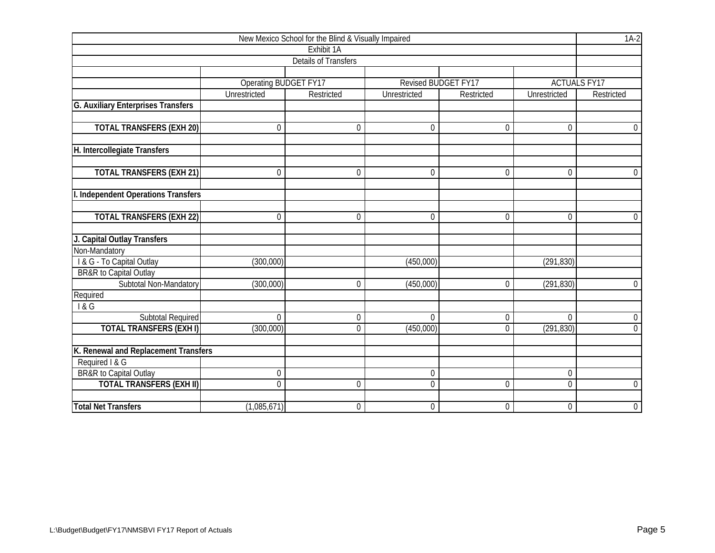|                                           | New Mexico School for the Blind & Visually Impaired |                             |                  |                     |                  |                     |  |  |  |  |  |
|-------------------------------------------|-----------------------------------------------------|-----------------------------|------------------|---------------------|------------------|---------------------|--|--|--|--|--|
|                                           |                                                     | Exhibit 1A                  |                  |                     |                  |                     |  |  |  |  |  |
|                                           |                                                     | <b>Details of Transfers</b> |                  |                     |                  |                     |  |  |  |  |  |
|                                           |                                                     |                             |                  |                     |                  |                     |  |  |  |  |  |
|                                           | <b>Operating BUDGET FY17</b>                        |                             |                  | Revised BUDGET FY17 |                  | <b>ACTUALS FY17</b> |  |  |  |  |  |
|                                           | Unrestricted                                        | Restricted                  | Unrestricted     | Restricted          | Unrestricted     | Restricted          |  |  |  |  |  |
| <b>G. Auxiliary Enterprises Transfers</b> |                                                     |                             |                  |                     |                  |                     |  |  |  |  |  |
|                                           |                                                     |                             |                  |                     |                  |                     |  |  |  |  |  |
| <b>TOTAL TRANSFERS (EXH 20)</b>           | $\mathbf 0$                                         | $\mathbf{0}$                | $\mathbf 0$      | $\mathbf 0$         | $\overline{0}$   | $\mathbf 0$         |  |  |  |  |  |
|                                           |                                                     |                             |                  |                     |                  |                     |  |  |  |  |  |
| H. Intercollegiate Transfers              |                                                     |                             |                  |                     |                  |                     |  |  |  |  |  |
|                                           |                                                     | $\theta$                    | 0                | $\mathbf{0}$        | $\Omega$         |                     |  |  |  |  |  |
| <b>TOTAL TRANSFERS (EXH 21)</b>           | 0                                                   |                             |                  |                     |                  | $\overline{0}$      |  |  |  |  |  |
| I. Independent Operations Transfers       |                                                     |                             |                  |                     |                  |                     |  |  |  |  |  |
|                                           |                                                     |                             |                  |                     |                  |                     |  |  |  |  |  |
| <b>TOTAL TRANSFERS (EXH 22)</b>           | 0                                                   | $\mathbf 0$                 | $\boldsymbol{0}$ | $\mathbf 0$         | $\mathbf 0$      | $\mathbf 0$         |  |  |  |  |  |
|                                           |                                                     |                             |                  |                     |                  |                     |  |  |  |  |  |
| J. Capital Outlay Transfers               |                                                     |                             |                  |                     |                  |                     |  |  |  |  |  |
| Non-Mandatory                             |                                                     |                             |                  |                     |                  |                     |  |  |  |  |  |
| I & G - To Capital Outlay                 | (300,000)                                           |                             | (450,000)        |                     | (291, 830)       |                     |  |  |  |  |  |
| BR&R to Capital Outlay                    |                                                     |                             |                  |                     |                  |                     |  |  |  |  |  |
| Subtotal Non-Mandatory                    | (300,000)                                           | $\theta$                    | (450,000)        | 0                   | (291, 830)       | $\overline{0}$      |  |  |  |  |  |
| Required                                  |                                                     |                             |                  |                     |                  |                     |  |  |  |  |  |
| 1&G                                       |                                                     |                             |                  |                     |                  |                     |  |  |  |  |  |
| <b>Subtotal Required</b>                  | $\mathbf 0$                                         | $\mathbf{0}$                | $\boldsymbol{0}$ | $\boldsymbol{0}$    | $\overline{0}$   | $\overline{0}$      |  |  |  |  |  |
| <b>TOTAL TRANSFERS (EXH I)</b>            | (300,000)                                           | $\mathbf 0$                 | (450,000)        | $\mathbf 0$         | (291, 830)       | $\overline{0}$      |  |  |  |  |  |
|                                           |                                                     |                             |                  |                     |                  |                     |  |  |  |  |  |
| K. Renewal and Replacement Transfers      |                                                     |                             |                  |                     |                  |                     |  |  |  |  |  |
| Required I & G                            |                                                     |                             |                  |                     |                  |                     |  |  |  |  |  |
| <b>BR&amp;R</b> to Capital Outlay         | $\boldsymbol{0}$                                    |                             | 0                |                     | $\boldsymbol{0}$ |                     |  |  |  |  |  |
| <b>TOTAL TRANSFERS (EXH II)</b>           | $\overline{0}$                                      | $\theta$                    | $\overline{0}$   | 0                   | $\overline{0}$   | $\boldsymbol{0}$    |  |  |  |  |  |
| <b>Total Net Transfers</b>                | (1,085,671)                                         | $\mathbf 0$                 | $\mathbf 0$      | $\mathbf 0$         | $\mathbf 0$      | $\mathbf 0$         |  |  |  |  |  |
|                                           |                                                     |                             |                  |                     |                  |                     |  |  |  |  |  |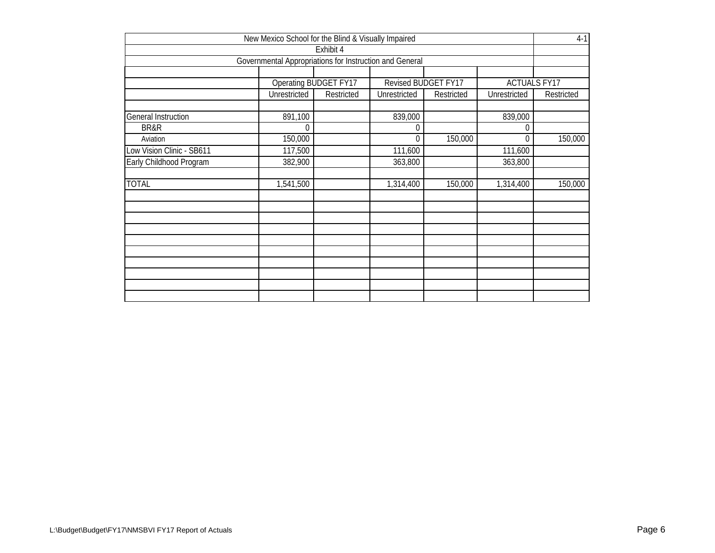| New Mexico School for the Blind & Visually Impaired |                                                         |                       |                     |            |                     |            |  |  |  |  |
|-----------------------------------------------------|---------------------------------------------------------|-----------------------|---------------------|------------|---------------------|------------|--|--|--|--|
|                                                     |                                                         | Exhibit 4             |                     |            |                     |            |  |  |  |  |
|                                                     | Governmental Appropriations for Instruction and General |                       |                     |            |                     |            |  |  |  |  |
|                                                     |                                                         |                       |                     |            |                     |            |  |  |  |  |
|                                                     |                                                         | Operating BUDGET FY17 | Revised BUDGET FY17 |            | <b>ACTUALS FY17</b> |            |  |  |  |  |
|                                                     | Unrestricted                                            | Restricted            | Unrestricted        | Restricted | Unrestricted        | Restricted |  |  |  |  |
| <b>General Instruction</b>                          | 891,100                                                 |                       | 839,000             |            | 839,000             |            |  |  |  |  |
| BR&R                                                | $\overline{0}$                                          |                       | 0                   |            | 0                   |            |  |  |  |  |
| Aviation                                            | 150,000                                                 |                       | $\Omega$            | 150,000    | $\Omega$            | 150,000    |  |  |  |  |
| Low Vision Clinic - SB611                           | 117,500                                                 |                       | 111,600             |            | 111,600             |            |  |  |  |  |
| Early Childhood Program                             | 382,900                                                 |                       | 363,800             |            | 363,800             |            |  |  |  |  |
| <b>TOTAL</b>                                        | 1,541,500                                               |                       | 1,314,400           | 150,000    | 1,314,400           | 150,000    |  |  |  |  |
|                                                     |                                                         |                       |                     |            |                     |            |  |  |  |  |
|                                                     |                                                         |                       |                     |            |                     |            |  |  |  |  |
|                                                     |                                                         |                       |                     |            |                     |            |  |  |  |  |
|                                                     |                                                         |                       |                     |            |                     |            |  |  |  |  |
|                                                     |                                                         |                       |                     |            |                     |            |  |  |  |  |
|                                                     |                                                         |                       |                     |            |                     |            |  |  |  |  |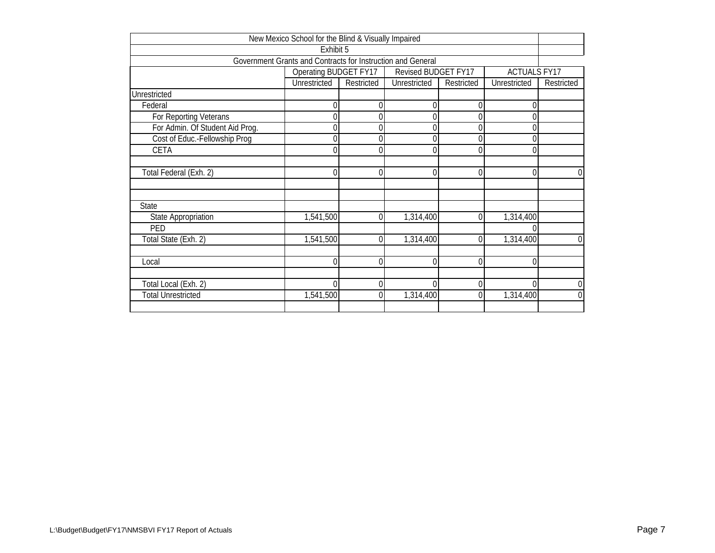|                                 | New Mexico School for the Blind & Visually Impaired         |            |                     |            |                     |                  |
|---------------------------------|-------------------------------------------------------------|------------|---------------------|------------|---------------------|------------------|
|                                 | Exhibit 5                                                   |            |                     |            |                     |                  |
|                                 | Government Grants and Contracts for Instruction and General |            |                     |            |                     |                  |
|                                 | Operating BUDGET FY17                                       |            | Revised BUDGET FY17 |            | <b>ACTUALS FY17</b> |                  |
|                                 | Unrestricted                                                | Restricted | Unrestricted        | Restricted | Unrestricted        | Restricted       |
| Unrestricted                    |                                                             |            |                     |            |                     |                  |
| Federal                         |                                                             |            | 0                   | 0          |                     |                  |
| For Reporting Veterans          | 0                                                           |            | 0                   | 0          | 0                   |                  |
| For Admin. Of Student Aid Prog. | 0                                                           | 0          | 0                   | 0          | 0                   |                  |
| Cost of Educ.-Fellowship Prog   | 0                                                           |            | 0                   |            | $\Omega$            |                  |
| CETA                            | 0                                                           |            | $\Omega$            | 0          |                     |                  |
|                                 |                                                             |            |                     |            |                     |                  |
| Total Federal (Exh. 2)          |                                                             |            | $\Omega$            | 0          |                     | $\boldsymbol{0}$ |
|                                 |                                                             |            |                     |            |                     |                  |
|                                 |                                                             |            |                     |            |                     |                  |
| State                           |                                                             |            |                     |            |                     |                  |
| State Appropriation             | 1,541,500                                                   | 0          | 1,314,400           | 0          | 1,314,400           |                  |
| PED                             |                                                             |            |                     |            |                     |                  |
| Total State (Exh. 2)            | 1,541,500                                                   | 0          | 1,314,400           | $\Omega$   | 1,314,400           | $\mathbf 0$      |
|                                 |                                                             |            |                     |            |                     |                  |
| Local                           | 0                                                           | 0          | $\mathbf 0$         | $\theta$   | $\Omega$            |                  |
|                                 |                                                             |            |                     |            |                     |                  |
| Total Local (Exh. 2)            | 0                                                           | 0          | $\Omega$            | $\Omega$   | O                   | $\mathbf 0$      |
| <b>Total Unrestricted</b>       | 1,541,500                                                   | 0          | 1,314,400           | $\Omega$   | 1,314,400           | $\mathbf 0$      |
|                                 |                                                             |            |                     |            |                     |                  |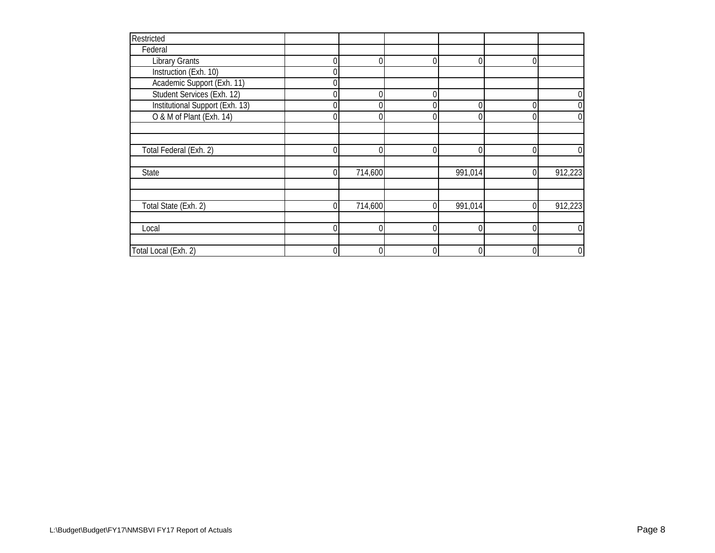| Restricted                      |    |         |                  |          |              |                |
|---------------------------------|----|---------|------------------|----------|--------------|----------------|
| Federal                         |    |         |                  |          |              |                |
| <b>Library Grants</b>           |    |         | $\overline{0}$   | 0        | $\Omega$     |                |
| Instruction (Exh. 10)           |    |         |                  |          |              |                |
| Academic Support (Exh. 11)      |    |         |                  |          |              |                |
| Student Services (Exh. 12)      |    |         | $\overline{0}$   |          |              | 0              |
| Institutional Support (Exh. 13) | 0  |         | $\overline{0}$   | 0        | 0            | 0              |
| O & M of Plant (Exh. 14)        |    |         | $\overline{0}$   | $\Omega$ | 0            | 0              |
|                                 |    |         |                  |          |              |                |
|                                 |    |         |                  |          |              |                |
| Total Federal (Exh. 2)          | U  |         | $\overline{0}$   | $\Omega$ | $\Omega$     | 0              |
|                                 |    |         |                  |          |              |                |
| State                           | U  | 714,600 |                  | 991,014  | $\Omega$     | 912,223        |
|                                 |    |         |                  |          |              |                |
|                                 |    |         |                  |          |              |                |
| Total State (Exh. 2)            | 01 | 714,600 | $\overline{0}$   | 991,014  | $\mathbf{0}$ | 912,223        |
|                                 |    |         |                  |          |              |                |
| Local                           |    |         | $\boldsymbol{0}$ | 0        | $\Omega$     | 0              |
|                                 |    |         |                  |          |              |                |
| Total Local (Exh. 2)            |    |         | $\boldsymbol{0}$ | $\Omega$ | $\Omega$     | $\overline{0}$ |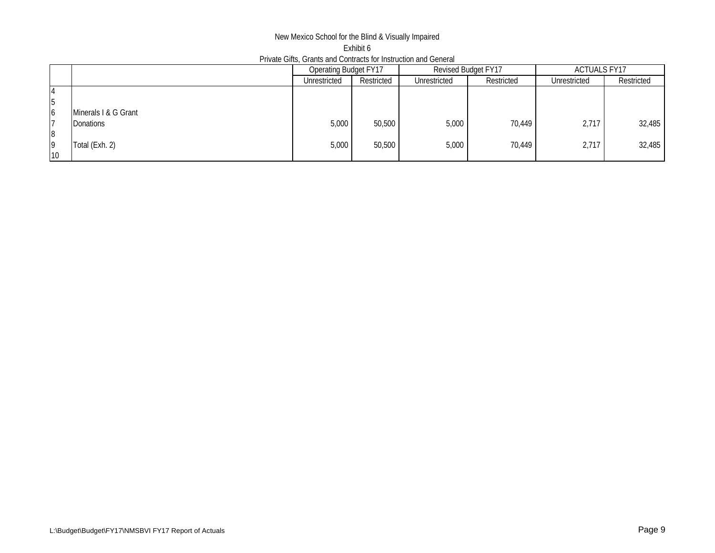## New Mexico School for the Blind & Visually Impaired Exhibit 6 Private Gifts, Grants and Contracts for Instruction and General

|    |                      | Operating Budget FY17 |            | Revised Budget FY17 |            | <b>ACTUALS FY17</b> |            |
|----|----------------------|-----------------------|------------|---------------------|------------|---------------------|------------|
|    |                      | Unrestricted          | Restricted | Unrestricted        | Restricted | Unrestricted        | Restricted |
| 14 |                      |                       |            |                     |            |                     |            |
| 5  |                      |                       |            |                     |            |                     |            |
| 16 | Minerals I & G Grant |                       |            |                     |            |                     |            |
|    | <b>Donations</b>     | 5,000                 | 50,500     | 5,000               | 70,449     | 2,717               | 32,485     |
| 8  |                      |                       |            |                     |            |                     |            |
| 19 | Total (Exh. 2)       | 5,000                 | 50,500     | 5,000               | 70,449     | 2,717               | 32,485     |
| 10 |                      |                       |            |                     |            |                     |            |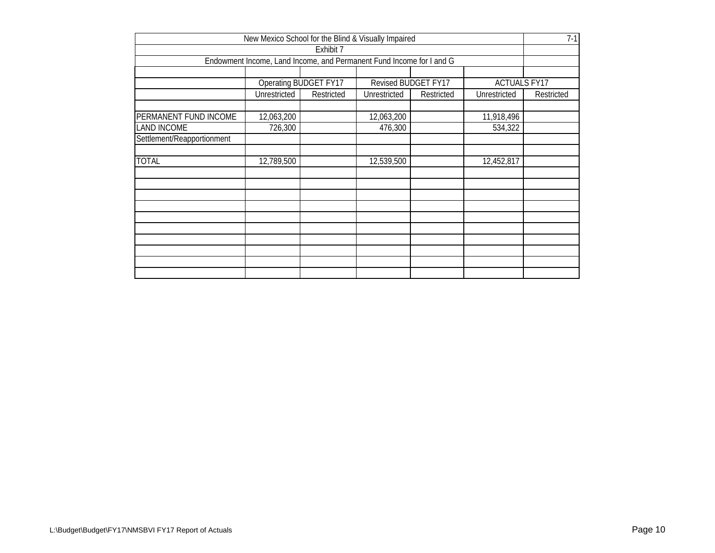|                                                                     | New Mexico School for the Blind & Visually Impaired                  |            |              |            |              | $7-1$      |  |  |  |  |  |
|---------------------------------------------------------------------|----------------------------------------------------------------------|------------|--------------|------------|--------------|------------|--|--|--|--|--|
|                                                                     |                                                                      | Exhibit 7  |              |            |              |            |  |  |  |  |  |
|                                                                     | Endowment Income, Land Income, and Permanent Fund Income for I and G |            |              |            |              |            |  |  |  |  |  |
|                                                                     |                                                                      |            |              |            |              |            |  |  |  |  |  |
| Operating BUDGET FY17<br>Revised BUDGET FY17<br><b>ACTUALS FY17</b> |                                                                      |            |              |            |              |            |  |  |  |  |  |
|                                                                     | Unrestricted                                                         | Restricted | Unrestricted | Restricted | Unrestricted | Restricted |  |  |  |  |  |
|                                                                     |                                                                      |            |              |            |              |            |  |  |  |  |  |
| PERMANENT FUND INCOME                                               | 12,063,200                                                           |            | 12,063,200   |            | 11,918,496   |            |  |  |  |  |  |
| <b>LAND INCOME</b>                                                  | 726,300                                                              |            | 476,300      |            | 534,322      |            |  |  |  |  |  |
| Settlement/Reapportionment                                          |                                                                      |            |              |            |              |            |  |  |  |  |  |
|                                                                     |                                                                      |            |              |            |              |            |  |  |  |  |  |
| <b>TOTAL</b>                                                        | 12,789,500                                                           |            | 12,539,500   |            | 12,452,817   |            |  |  |  |  |  |
|                                                                     |                                                                      |            |              |            |              |            |  |  |  |  |  |
|                                                                     |                                                                      |            |              |            |              |            |  |  |  |  |  |
|                                                                     |                                                                      |            |              |            |              |            |  |  |  |  |  |
|                                                                     |                                                                      |            |              |            |              |            |  |  |  |  |  |
|                                                                     |                                                                      |            |              |            |              |            |  |  |  |  |  |
|                                                                     |                                                                      |            |              |            |              |            |  |  |  |  |  |
|                                                                     |                                                                      |            |              |            |              |            |  |  |  |  |  |
|                                                                     |                                                                      |            |              |            |              |            |  |  |  |  |  |
|                                                                     |                                                                      |            |              |            |              |            |  |  |  |  |  |
|                                                                     |                                                                      |            |              |            |              |            |  |  |  |  |  |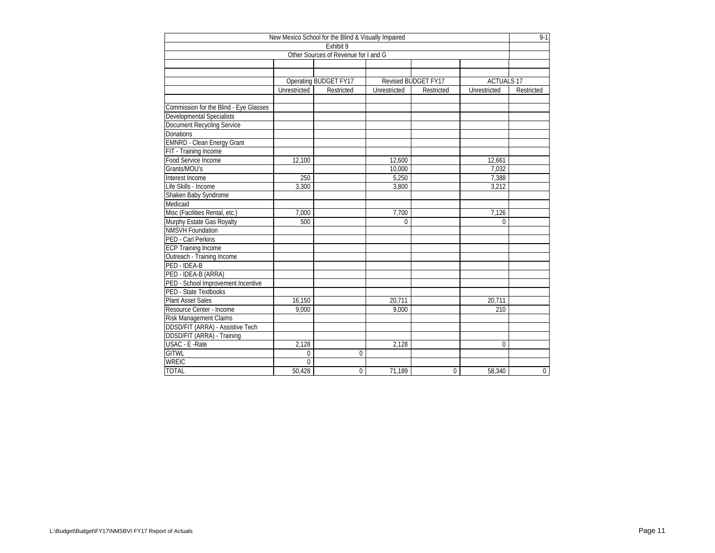| New Mexico School for the Blind & Visually Impaired |                |                                      |              |                     |                   |                |  |  |  |  |
|-----------------------------------------------------|----------------|--------------------------------------|--------------|---------------------|-------------------|----------------|--|--|--|--|
|                                                     |                | Exhibit 9                            |              |                     |                   |                |  |  |  |  |
|                                                     |                | Other Sources of Revenue for I and G |              |                     |                   |                |  |  |  |  |
|                                                     |                |                                      |              |                     |                   |                |  |  |  |  |
|                                                     |                |                                      |              |                     |                   |                |  |  |  |  |
|                                                     |                | Operating BUDGET FY17                |              | Revised BUDGET FY17 | <b>ACTUALS 17</b> |                |  |  |  |  |
|                                                     | Unrestricted   | Restricted                           | Unrestricted | Restricted          | Unrestricted      | Restricted     |  |  |  |  |
|                                                     |                |                                      |              |                     |                   |                |  |  |  |  |
| Commission for the Blind - Eye Glasses              |                |                                      |              |                     |                   |                |  |  |  |  |
| Developmental Specialists                           |                |                                      |              |                     |                   |                |  |  |  |  |
| Document Recycling Service                          |                |                                      |              |                     |                   |                |  |  |  |  |
| Donations                                           |                |                                      |              |                     |                   |                |  |  |  |  |
| <b>EMNRD - Clean Energy Grant</b>                   |                |                                      |              |                     |                   |                |  |  |  |  |
| FIT - Training Income                               |                |                                      |              |                     |                   |                |  |  |  |  |
| Food Service Income                                 | 12,100         |                                      | 12,600       |                     | 12,661            |                |  |  |  |  |
| Grants/MOU's                                        |                |                                      | 10,000       |                     | 7.032             |                |  |  |  |  |
| Interest Income                                     | 250            |                                      | 5,250        |                     | 7,388             |                |  |  |  |  |
| Life Skills - Income                                | 3,300          |                                      | 3,800        |                     | 3,212             |                |  |  |  |  |
| Shaken Baby Syndrome                                |                |                                      |              |                     |                   |                |  |  |  |  |
| Medicaid                                            |                |                                      |              |                     |                   |                |  |  |  |  |
| Misc (Facilities Rental, etc.)                      | 7,000          |                                      | 7,700        |                     | 7,126             |                |  |  |  |  |
| Murphy Estate Gas Royalty                           | 500            |                                      | $\Omega$     |                     | 0                 |                |  |  |  |  |
| <b>NMSVH</b> Foundation                             |                |                                      |              |                     |                   |                |  |  |  |  |
| PED - Carl Perkins                                  |                |                                      |              |                     |                   |                |  |  |  |  |
| <b>ECP Training Income</b>                          |                |                                      |              |                     |                   |                |  |  |  |  |
| Outreach - Training Income                          |                |                                      |              |                     |                   |                |  |  |  |  |
| PED - IDEA-B                                        |                |                                      |              |                     |                   |                |  |  |  |  |
| PED - IDEA-B (ARRA)                                 |                |                                      |              |                     |                   |                |  |  |  |  |
| PED - School Improvement Incentive                  |                |                                      |              |                     |                   |                |  |  |  |  |
| PED - State Textbooks                               |                |                                      |              |                     |                   |                |  |  |  |  |
| <b>Plant Asset Sales</b>                            | 16,150         |                                      | 20.711       |                     | 20,711            |                |  |  |  |  |
| Resource Center - Income                            | 9,000          |                                      | 9,000        |                     | 210               |                |  |  |  |  |
| <b>Risk Management Claims</b>                       |                |                                      |              |                     |                   |                |  |  |  |  |
| DDSD/FIT (ARRA) - Assistive Tech                    |                |                                      |              |                     |                   |                |  |  |  |  |
| DDSD/FIT (ARRA) - Training                          |                |                                      |              |                     |                   |                |  |  |  |  |
| USAC - E - Rate                                     | 2,128          |                                      | 2,128        |                     | $\Omega$          |                |  |  |  |  |
| <b>GITWL</b>                                        | $\overline{0}$ | $\Omega$                             |              |                     |                   |                |  |  |  |  |
| <b>WREIC</b>                                        | $\Omega$       |                                      |              |                     |                   |                |  |  |  |  |
| <b>TOTAL</b>                                        | 50,428         | 0                                    | 71,189       | 0                   | 58,340            | $\overline{0}$ |  |  |  |  |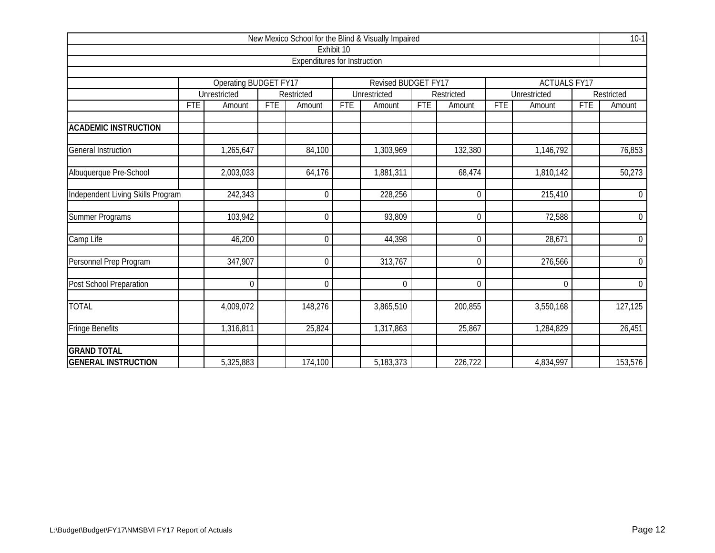|                                   |            |                       |            |                                     |            | New Mexico School for the Blind & Visually Impaired |            |                |            |                     |            | $10-1$           |
|-----------------------------------|------------|-----------------------|------------|-------------------------------------|------------|-----------------------------------------------------|------------|----------------|------------|---------------------|------------|------------------|
|                                   |            |                       |            |                                     | Exhibit 10 |                                                     |            |                |            |                     |            |                  |
|                                   |            |                       |            | <b>Expenditures for Instruction</b> |            |                                                     |            |                |            |                     |            |                  |
|                                   |            |                       |            |                                     |            |                                                     |            |                |            |                     |            |                  |
|                                   |            | Operating BUDGET FY17 |            |                                     |            | Revised BUDGET FY17                                 |            |                |            | <b>ACTUALS FY17</b> |            |                  |
|                                   |            | Unrestricted          |            | Restricted                          |            | Unrestricted                                        |            | Restricted     |            | Unrestricted        |            | Restricted       |
|                                   | <b>FTE</b> | Amount                | <b>FTE</b> | Amount                              | <b>FTE</b> | Amount                                              | <b>FTE</b> | Amount         | <b>FTE</b> | Amount              | <b>FTE</b> | Amount           |
| <b>ACADEMIC INSTRUCTION</b>       |            |                       |            |                                     |            |                                                     |            |                |            |                     |            |                  |
|                                   |            |                       |            |                                     |            |                                                     |            |                |            |                     |            |                  |
| <b>General Instruction</b>        |            | 1,265,647             |            | 84,100                              |            | 1,303,969                                           |            | 132,380        |            | 1,146,792           |            | 76,853           |
| Albuquerque Pre-School            |            | 2,003,033             |            | 64,176                              |            | 1,881,311                                           |            | 68,474         |            | 1,810,142           |            | 50,273           |
|                                   |            |                       |            |                                     |            |                                                     |            |                |            |                     |            |                  |
| Independent Living Skills Program |            | 242,343               |            | $\mathbf 0$                         |            | 228,256                                             |            | $\Omega$       |            | 215,410             |            | $\mathbf 0$      |
| <b>Summer Programs</b>            |            | 103,942               |            | $\mathbf 0$                         |            | 93,809                                              |            | $\overline{0}$ |            | 72,588              |            | $\mathbf 0$      |
| Camp Life                         |            | 46,200                |            | $\overline{0}$                      |            | 44,398                                              |            | $\Omega$       |            | 28,671              |            | $\mathbf 0$      |
| Personnel Prep Program            |            | 347,907               |            | $\mathbf 0$                         |            | 313,767                                             |            | $\mathbf 0$    |            | 276,566             |            | $\boldsymbol{0}$ |
| Post School Preparation           |            | $\overline{0}$        |            | $\mathbf 0$                         |            | $\overline{0}$                                      |            | $\overline{0}$ |            | $\mathbf 0$         |            | $\mathbf 0$      |
| <b>TOTAL</b>                      |            | 4,009,072             |            | 148,276                             |            | 3,865,510                                           |            | 200,855        |            | 3,550,168           |            | 127,125          |
| <b>Fringe Benefits</b>            |            | 1,316,811             |            | 25,824                              |            | 1,317,863                                           |            | 25,867         |            | 1,284,829           |            | 26,451           |
| <b>GRAND TOTAL</b>                |            |                       |            |                                     |            |                                                     |            |                |            |                     |            |                  |
| <b>GENERAL INSTRUCTION</b>        |            | 5,325,883             |            | 174,100                             |            | 5,183,373                                           |            | 226,722        |            | 4,834,997           |            | 153,576          |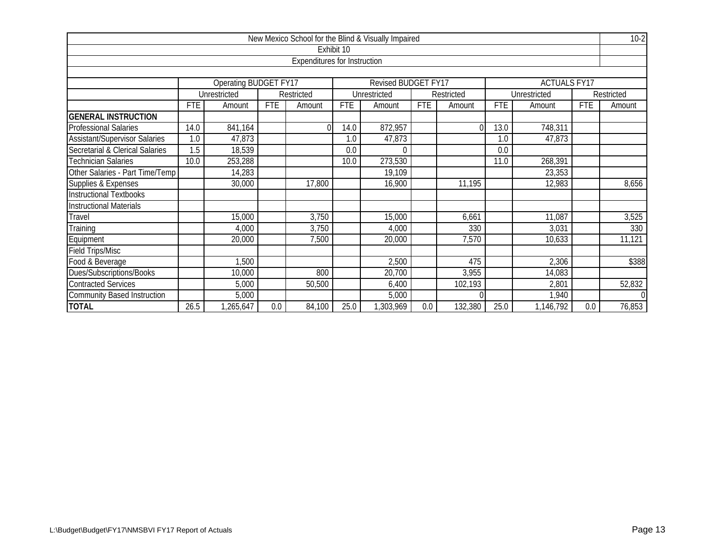|                                      |      |                                                                          |            |                                     |            | New Mexico School for the Blind & Visually Impaired |            |          |            |                     |            | $10-2$         |
|--------------------------------------|------|--------------------------------------------------------------------------|------------|-------------------------------------|------------|-----------------------------------------------------|------------|----------|------------|---------------------|------------|----------------|
|                                      |      |                                                                          |            |                                     | Exhibit 10 |                                                     |            |          |            |                     |            |                |
|                                      |      |                                                                          |            | <b>Expenditures for Instruction</b> |            |                                                     |            |          |            |                     |            |                |
|                                      |      |                                                                          |            |                                     |            |                                                     |            |          |            |                     |            |                |
|                                      |      | Operating BUDGET FY17                                                    |            |                                     |            | Revised BUDGET FY17                                 |            |          |            | <b>ACTUALS FY17</b> |            |                |
|                                      |      | Unrestricted<br>Restricted<br>Unrestricted<br>Restricted<br>Unrestricted |            |                                     |            |                                                     |            |          |            |                     |            | Restricted     |
|                                      | FTE  | Amount                                                                   | <b>FTE</b> | Amount                              | <b>FTE</b> | Amount                                              | <b>FTE</b> | Amount   | <b>FTE</b> | Amount              | <b>FTE</b> | Amount         |
| <b>GENERAL INSTRUCTION</b>           |      |                                                                          |            |                                     |            |                                                     |            |          |            |                     |            |                |
| <b>Professional Salaries</b>         | 14.0 | 841,164                                                                  |            |                                     | 14.0       | 872,957                                             |            | $\Omega$ | 13.0       | 748,311             |            |                |
| <b>Assistant/Supervisor Salaries</b> | 1.0  | 47,873                                                                   |            |                                     | 1.0        | 47,873                                              |            |          | 1.0        | 47,873              |            |                |
| Secretarial & Clerical Salaries      | 1.5  | 18,539                                                                   |            |                                     | 0.0        | $\Omega$                                            |            |          | 0.0        |                     |            |                |
| <b>Technician Salaries</b>           | 10.0 | 253,288                                                                  |            |                                     | 10.0       | 273,530                                             |            |          | 11.0       | 268,391             |            |                |
| Other Salaries - Part Time/Temp      |      | 14,283                                                                   |            |                                     |            | 19,109                                              |            |          |            | 23,353              |            |                |
| Supplies & Expenses                  |      | 30,000                                                                   |            | 17,800                              |            | 16,900                                              |            | 11,195   |            | 12,983              |            | 8,656          |
| <b>Instructional Textbooks</b>       |      |                                                                          |            |                                     |            |                                                     |            |          |            |                     |            |                |
| <b>Instructional Materials</b>       |      |                                                                          |            |                                     |            |                                                     |            |          |            |                     |            |                |
| Travel                               |      | 15,000                                                                   |            | 3,750                               |            | 15,000                                              |            | 6,661    |            | 11,087              |            | 3,525          |
| Training                             |      | 4,000                                                                    |            | 3,750                               |            | 4,000                                               |            | 330      |            | 3,031               |            | 330            |
| Equipment                            |      | 20,000                                                                   |            | 7,500                               |            | 20,000                                              |            | 7,570    |            | 10,633              |            | 11,121         |
| <b>Field Trips/Misc</b>              |      |                                                                          |            |                                     |            |                                                     |            |          |            |                     |            |                |
| Food & Beverage                      |      | 1,500                                                                    |            |                                     |            | 2,500                                               |            | 475      |            | 2,306               |            | \$388          |
| Dues/Subscriptions/Books             |      | 10,000                                                                   |            | 800                                 |            | 20,700                                              |            | 3,955    |            | 14,083              |            |                |
| <b>Contracted Services</b>           |      | 5,000                                                                    |            | 50,500                              |            | 6,400                                               |            | 102,193  |            | 2,801               |            | 52,832         |
| <b>Community Based Instruction</b>   |      | 5,000                                                                    |            |                                     |            | 5,000                                               |            | $\Omega$ |            | 1,940               |            | $\overline{0}$ |
| <b>TOTAL</b>                         | 26.5 | ,265,647                                                                 | 0.0        | 84,100                              | 25.0       | ,303,969                                            | 0.0        | 132,380  | 25.0       | 1,146,792           | 0.0        | 76,853         |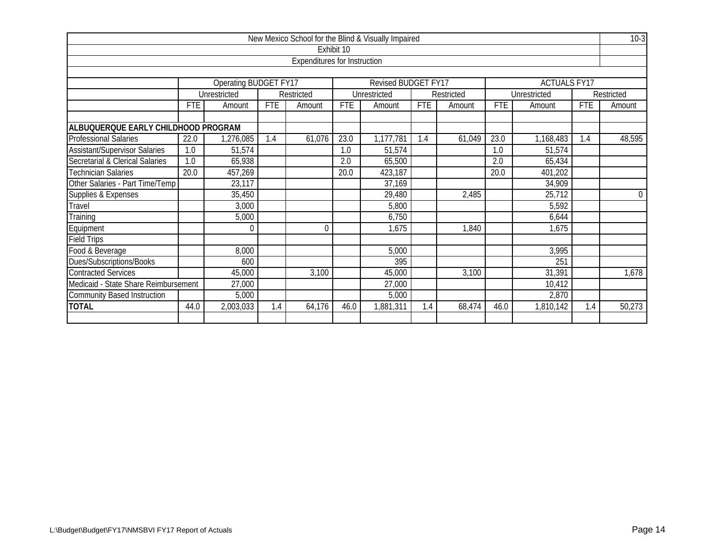|                                      |                                              |                       |            |                                     |            | New Mexico School for the Blind & Visually Impaired |            |            |                  |                     |            | $10-3$           |
|--------------------------------------|----------------------------------------------|-----------------------|------------|-------------------------------------|------------|-----------------------------------------------------|------------|------------|------------------|---------------------|------------|------------------|
|                                      |                                              |                       |            |                                     | Exhibit 10 |                                                     |            |            |                  |                     |            |                  |
|                                      |                                              |                       |            | <b>Expenditures for Instruction</b> |            |                                                     |            |            |                  |                     |            |                  |
|                                      |                                              |                       |            |                                     |            |                                                     |            |            |                  |                     |            |                  |
|                                      |                                              | Operating BUDGET FY17 |            |                                     |            | Revised BUDGET FY17                                 |            |            |                  | <b>ACTUALS FY17</b> |            |                  |
|                                      |                                              | Unrestricted          |            | Restricted                          |            | Unrestricted                                        |            | Restricted |                  | Unrestricted        |            | Restricted       |
|                                      | <b>FTE</b>                                   | Amount                | <b>FTE</b> | Amount                              | <b>FTE</b> | Amount                                              | <b>FTE</b> | Amount     | <b>FTE</b>       | Amount              | <b>FTE</b> | Amount           |
| ALBUQUERQUE EARLY CHILDHOOD PROGRAM  |                                              |                       |            |                                     |            |                                                     |            |            |                  |                     |            |                  |
| <b>Professional Salaries</b>         | 22.0                                         | 1,276,085             | 1.4        | 61,076                              | 23.0       | 1,177,781                                           | 1.4        | 61,049     | 23.0             | 1,168,483           | 1.4        | 48,595           |
| <b>Assistant/Supervisor Salaries</b> | 1.0                                          | 51,574                |            |                                     | 1.0        | 51,574                                              |            |            | 1.0              | 51,574              |            |                  |
| Secretarial & Clerical Salaries      | $\overline{1.0}$                             | 65,938                |            |                                     | 2.0        | 65,500                                              |            |            | $\overline{2.0}$ | 65,434              |            |                  |
| <b>Technician Salaries</b>           | 20.0                                         | 457,269               |            |                                     | 20.0       | 423,187                                             |            |            | 20.0             | 401,202             |            |                  |
| Other Salaries - Part Time/Temp      |                                              | 23,117                |            |                                     |            | 37,169                                              |            |            |                  | 34,909              |            |                  |
| Supplies & Expenses                  |                                              | 35,450                |            |                                     |            | 29,480                                              |            | 2,485      |                  | 25,712              |            | $\boldsymbol{0}$ |
| Travel                               |                                              | 3,000                 |            |                                     |            | 5,800                                               |            |            |                  | 5,592               |            |                  |
| Training                             |                                              | 5,000                 |            |                                     |            | 6,750                                               |            |            |                  | 6,644               |            |                  |
| Equipment                            |                                              |                       |            | $\mathbf{0}$                        |            | 1,675                                               |            | 1,840      |                  | 1,675               |            |                  |
| <b>Field Trips</b>                   |                                              |                       |            |                                     |            |                                                     |            |            |                  |                     |            |                  |
| Food & Beverage                      |                                              | 8,000                 |            |                                     |            | 5,000                                               |            |            |                  | 3,995               |            |                  |
| Dues/Subscriptions/Books             |                                              | 600                   |            |                                     |            | 395                                                 |            |            |                  | 251                 |            |                  |
| <b>Contracted Services</b>           | 31,391<br>45,000<br>3,100<br>45,000<br>3,100 |                       |            |                                     |            |                                                     |            |            |                  |                     | 1,678      |                  |
| Medicaid - State Share Reimbursement | 27,000<br>27,000<br>10,412                   |                       |            |                                     |            |                                                     |            |            |                  |                     |            |                  |
| <b>Community Based Instruction</b>   | 5,000<br>2,870<br>5,000                      |                       |            |                                     |            |                                                     |            |            |                  |                     |            |                  |
| <b>TOTAL</b>                         | 44.0                                         | 2,003,033             | 1.4        | 64,176                              | 46.0       | 1,881,311                                           | 1.4        | 68,474     | 46.0             | 1,810,142           | 1.4        | 50,273           |
|                                      |                                              |                       |            |                                     |            |                                                     |            |            |                  |                     |            |                  |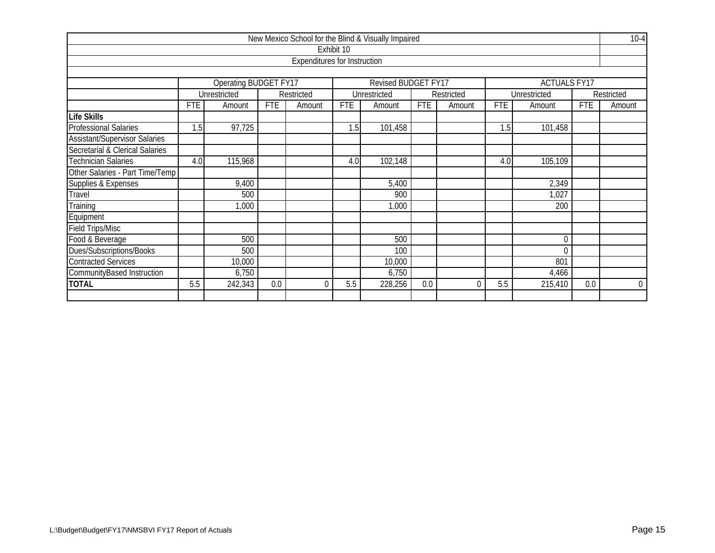|                                      |                                                                            |                                             |            |                                     |            | New Mexico School for the Blind & Visually Impaired |            |            |            |              |            | $10 - 4$       |  |  |
|--------------------------------------|----------------------------------------------------------------------------|---------------------------------------------|------------|-------------------------------------|------------|-----------------------------------------------------|------------|------------|------------|--------------|------------|----------------|--|--|
|                                      |                                                                            |                                             |            |                                     | Exhibit 10 |                                                     |            |            |            |              |            |                |  |  |
|                                      |                                                                            |                                             |            | <b>Expenditures for Instruction</b> |            |                                                     |            |            |            |              |            |                |  |  |
|                                      |                                                                            |                                             |            |                                     |            |                                                     |            |            |            |              |            |                |  |  |
|                                      | Revised BUDGET FY17<br><b>Operating BUDGET FY17</b><br><b>ACTUALS FY17</b> |                                             |            |                                     |            |                                                     |            |            |            |              |            |                |  |  |
|                                      |                                                                            | Unrestricted                                |            | Restricted                          |            | Unrestricted                                        |            | Restricted |            | Unrestricted |            | Restricted     |  |  |
|                                      | <b>FTE</b>                                                                 | Amount                                      | <b>FTE</b> | Amount                              | <b>FTE</b> | Amount                                              | <b>FTE</b> | Amount     | <b>FTE</b> | Amount       | <b>FTE</b> | Amount         |  |  |
| <b>Life Skills</b>                   |                                                                            |                                             |            |                                     |            |                                                     |            |            |            |              |            |                |  |  |
| <b>Professional Salaries</b>         | .5                                                                         | 97,725                                      |            |                                     | 1.5        | 101,458                                             |            |            | 1.5        | 101,458      |            |                |  |  |
| <b>Assistant/Supervisor Salaries</b> |                                                                            |                                             |            |                                     |            |                                                     |            |            |            |              |            |                |  |  |
| Secretarial & Clerical Salaries      |                                                                            |                                             |            |                                     |            |                                                     |            |            |            |              |            |                |  |  |
| <b>Technician Salaries</b>           | 4.0                                                                        | 115,968<br>102,148<br>105,109<br>4.0<br>4.0 |            |                                     |            |                                                     |            |            |            |              |            |                |  |  |
| Other Salaries - Part Time/Temp      |                                                                            |                                             |            |                                     |            |                                                     |            |            |            |              |            |                |  |  |
| Supplies & Expenses                  |                                                                            | 9,400                                       |            |                                     |            | 5,400                                               |            |            |            | 2,349        |            |                |  |  |
| Travel                               |                                                                            | 500                                         |            |                                     |            | 900                                                 |            |            |            | 1,027        |            |                |  |  |
| Training                             |                                                                            | 1,000                                       |            |                                     |            | 1,000                                               |            |            |            | 200          |            |                |  |  |
| Equipment                            |                                                                            |                                             |            |                                     |            |                                                     |            |            |            |              |            |                |  |  |
| <b>Field Trips/Misc</b>              |                                                                            |                                             |            |                                     |            |                                                     |            |            |            |              |            |                |  |  |
| Food & Beverage                      |                                                                            | 500                                         |            |                                     |            | 500                                                 |            |            |            | $\mathbf 0$  |            |                |  |  |
| Dues/Subscriptions/Books             |                                                                            | 500                                         |            |                                     |            | 100                                                 |            |            |            | $\Omega$     |            |                |  |  |
| <b>Contracted Services</b>           | 10,000<br>801<br>10,000                                                    |                                             |            |                                     |            |                                                     |            |            |            |              |            |                |  |  |
| CommunityBased Instruction           | 6,750<br>6,750<br>4,466                                                    |                                             |            |                                     |            |                                                     |            |            |            |              |            |                |  |  |
| <b>TOTAL</b>                         | 5.5                                                                        | 242,343                                     | 0.0        | 0                                   | 5.5        | 228,256                                             | 0.0        | $\Omega$   | 5.5        | 215,410      | 0.0        | $\overline{0}$ |  |  |
|                                      |                                                                            |                                             |            |                                     |            |                                                     |            |            |            |              |            |                |  |  |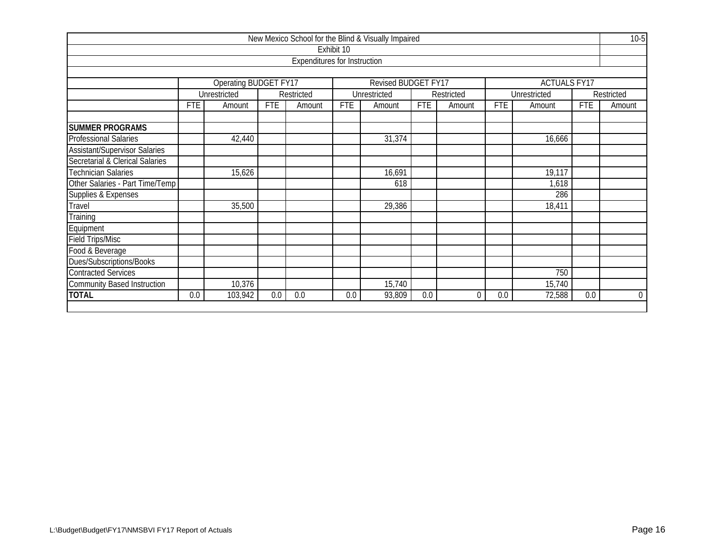|                                      |            |                       |            |                                     |            | New Mexico School for the Blind & Visually Impaired |            |            |            |                     |            | $10-5$         |
|--------------------------------------|------------|-----------------------|------------|-------------------------------------|------------|-----------------------------------------------------|------------|------------|------------|---------------------|------------|----------------|
|                                      |            |                       |            |                                     | Exhibit 10 |                                                     |            |            |            |                     |            |                |
|                                      |            |                       |            | <b>Expenditures for Instruction</b> |            |                                                     |            |            |            |                     |            |                |
|                                      |            |                       |            |                                     |            |                                                     |            |            |            |                     |            |                |
|                                      |            | Operating BUDGET FY17 |            |                                     |            | Revised BUDGET FY17                                 |            |            |            | <b>ACTUALS FY17</b> |            |                |
|                                      |            | Unrestricted          |            | Restricted                          |            | Unrestricted                                        |            | Restricted |            | Unrestricted        |            | Restricted     |
|                                      | <b>FTE</b> | Amount                | <b>FTE</b> | Amount                              | <b>FTE</b> | Amount                                              | <b>FTE</b> | Amount     | <b>FTE</b> | Amount              | <b>FTE</b> | Amount         |
| <b>SUMMER PROGRAMS</b>               |            |                       |            |                                     |            |                                                     |            |            |            |                     |            |                |
| <b>Professional Salaries</b>         |            | 42,440                |            |                                     |            | 31,374                                              |            |            |            | 16,666              |            |                |
| <b>Assistant/Supervisor Salaries</b> |            |                       |            |                                     |            |                                                     |            |            |            |                     |            |                |
| Secretarial & Clerical Salaries      |            |                       |            |                                     |            |                                                     |            |            |            |                     |            |                |
| Technician Salaries                  |            | 15,626                |            |                                     |            | 16,691                                              |            |            |            | 19,117              |            |                |
| Other Salaries - Part Time/Temp      |            |                       |            |                                     |            | 618                                                 |            |            |            | 1,618               |            |                |
| Supplies & Expenses                  |            |                       |            |                                     |            |                                                     |            |            |            | 286                 |            |                |
| Travel                               |            | 35,500                |            |                                     |            | 29,386                                              |            |            |            | 18,411              |            |                |
| Training                             |            |                       |            |                                     |            |                                                     |            |            |            |                     |            |                |
| Equipment                            |            |                       |            |                                     |            |                                                     |            |            |            |                     |            |                |
| <b>Field Trips/Misc</b>              |            |                       |            |                                     |            |                                                     |            |            |            |                     |            |                |
| Food & Beverage                      |            |                       |            |                                     |            |                                                     |            |            |            |                     |            |                |
| Dues/Subscriptions/Books             |            |                       |            |                                     |            |                                                     |            |            |            |                     |            |                |
| <b>Contracted Services</b>           |            |                       |            |                                     |            |                                                     |            |            |            | 750                 |            |                |
| <b>Community Based Instruction</b>   |            | 10,376                |            |                                     |            | 15,740                                              |            |            |            | 15,740              |            |                |
| <b>TOTAL</b>                         | 0.0        | 103,942               | 0.0        | 0.0                                 | 0.0        | 93,809                                              | 0.0        | $\Omega$   | 0.0        | 72,588              | 0.0        | $\overline{0}$ |
|                                      |            |                       |            |                                     |            |                                                     |            |            |            |                     |            |                |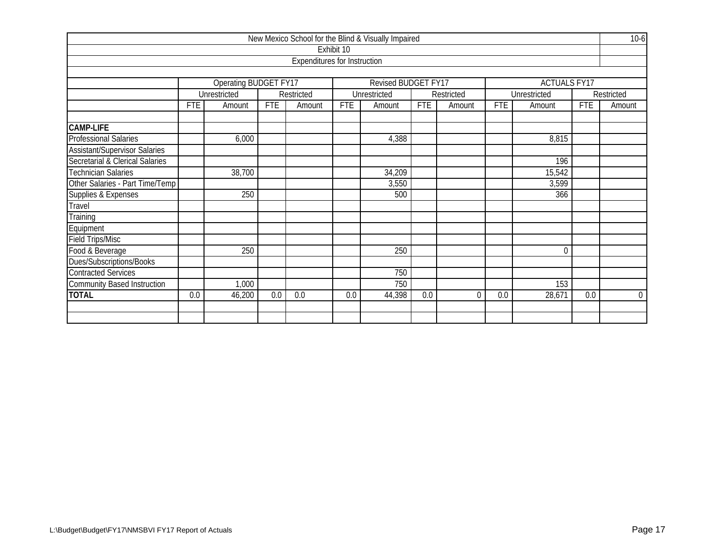|                                      |                                                                                  |                            |            |                                     |            | New Mexico School for the Blind & Visually Impaired |            |            |            |                     |            | $10-6$         |  |
|--------------------------------------|----------------------------------------------------------------------------------|----------------------------|------------|-------------------------------------|------------|-----------------------------------------------------|------------|------------|------------|---------------------|------------|----------------|--|
|                                      |                                                                                  |                            |            |                                     | Exhibit 10 |                                                     |            |            |            |                     |            |                |  |
|                                      |                                                                                  |                            |            | <b>Expenditures for Instruction</b> |            |                                                     |            |            |            |                     |            |                |  |
|                                      |                                                                                  |                            |            |                                     |            |                                                     |            |            |            |                     |            |                |  |
|                                      |                                                                                  | Operating BUDGET FY17      |            |                                     |            | Revised BUDGET FY17                                 |            |            |            | <b>ACTUALS FY17</b> |            |                |  |
|                                      |                                                                                  | Unrestricted               |            | Restricted                          |            | Unrestricted                                        |            | Restricted |            | Unrestricted        |            | Restricted     |  |
|                                      | <b>FTE</b>                                                                       | Amount                     | <b>FTE</b> | Amount                              | <b>FTE</b> | Amount                                              | <b>FTE</b> | Amount     | <b>FTE</b> | Amount              | <b>FTE</b> | Amount         |  |
| <b>CAMP-LIFE</b>                     |                                                                                  |                            |            |                                     |            |                                                     |            |            |            |                     |            |                |  |
| <b>Professional Salaries</b>         |                                                                                  | 6,000                      |            |                                     |            | 4,388                                               |            |            |            | 8,815               |            |                |  |
| <b>Assistant/Supervisor Salaries</b> |                                                                                  |                            |            |                                     |            |                                                     |            |            |            |                     |            |                |  |
| Secretarial & Clerical Salaries      |                                                                                  |                            |            |                                     |            |                                                     |            |            |            | 196                 |            |                |  |
| <b>Technician Salaries</b>           |                                                                                  | 38,700<br>34,209<br>15,542 |            |                                     |            |                                                     |            |            |            |                     |            |                |  |
| Other Salaries - Part Time/Temp      |                                                                                  | 3,599<br>3,550             |            |                                     |            |                                                     |            |            |            |                     |            |                |  |
| Supplies & Expenses                  |                                                                                  | 250                        |            |                                     |            | 500                                                 |            |            |            | 366                 |            |                |  |
| Travel                               |                                                                                  |                            |            |                                     |            |                                                     |            |            |            |                     |            |                |  |
| Training                             |                                                                                  |                            |            |                                     |            |                                                     |            |            |            |                     |            |                |  |
| Equipment                            |                                                                                  |                            |            |                                     |            |                                                     |            |            |            |                     |            |                |  |
| <b>Field Trips/Misc</b>              |                                                                                  |                            |            |                                     |            |                                                     |            |            |            |                     |            |                |  |
| Food & Beverage                      |                                                                                  | 250                        |            |                                     |            | 250                                                 |            |            |            | $\mathbf 0$         |            |                |  |
| Dues/Subscriptions/Books             |                                                                                  |                            |            |                                     |            |                                                     |            |            |            |                     |            |                |  |
| <b>Contracted Services</b>           |                                                                                  |                            |            |                                     |            | 750                                                 |            |            |            |                     |            |                |  |
| <b>Community Based Instruction</b>   | 153<br>750<br>1,000                                                              |                            |            |                                     |            |                                                     |            |            |            |                     |            |                |  |
| <b>TOTAL</b>                         | 0.0<br>46,200<br>0.0<br>0.0<br>0.0<br>44,398<br>0.0<br>0.0<br>28,671<br>0.0<br>0 |                            |            |                                     |            |                                                     |            |            |            |                     |            | $\overline{0}$ |  |
|                                      |                                                                                  |                            |            |                                     |            |                                                     |            |            |            |                     |            |                |  |
|                                      |                                                                                  |                            |            |                                     |            |                                                     |            |            |            |                     |            |                |  |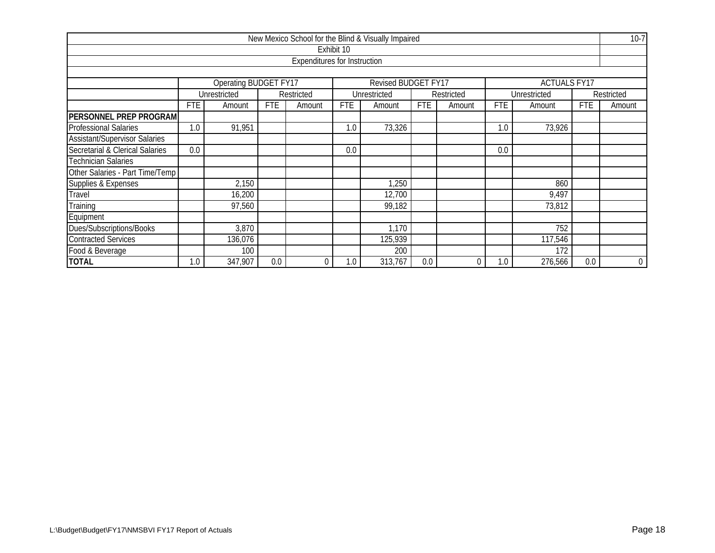|                                                                            |                                                                                                                      |                   |     |                                     |            | New Mexico School for the Blind & Visually Impaired |     |   |     |         |     | $10-7$           |  |
|----------------------------------------------------------------------------|----------------------------------------------------------------------------------------------------------------------|-------------------|-----|-------------------------------------|------------|-----------------------------------------------------|-----|---|-----|---------|-----|------------------|--|
|                                                                            |                                                                                                                      |                   |     |                                     | Exhibit 10 |                                                     |     |   |     |         |     |                  |  |
|                                                                            |                                                                                                                      |                   |     | <b>Expenditures for Instruction</b> |            |                                                     |     |   |     |         |     |                  |  |
|                                                                            |                                                                                                                      |                   |     |                                     |            |                                                     |     |   |     |         |     |                  |  |
| <b>Operating BUDGET FY17</b><br>Revised BUDGET FY17<br><b>ACTUALS FY17</b> |                                                                                                                      |                   |     |                                     |            |                                                     |     |   |     |         |     |                  |  |
|                                                                            | Unrestricted<br>Unrestricted<br>Restricted<br>Unrestricted<br>Restricted<br>Restricted                               |                   |     |                                     |            |                                                     |     |   |     |         |     |                  |  |
|                                                                            | <b>FTE</b><br><b>FTE</b><br>FTE<br><b>FTE</b><br>FTE<br><b>FTE</b><br>Amount<br>Amount<br>Amount<br>Amount<br>Amount |                   |     |                                     |            |                                                     |     |   |     | Amount  |     |                  |  |
| <b>PERSONNEL PREP PROGRAM</b>                                              |                                                                                                                      |                   |     |                                     |            |                                                     |     |   |     |         |     |                  |  |
| <b>Professional Salaries</b>                                               | 1.0                                                                                                                  | 91,951            |     |                                     | 1.0        | 73,326                                              |     |   | 1.0 | 73,926  |     |                  |  |
| <b>Assistant/Supervisor Salaries</b>                                       |                                                                                                                      |                   |     |                                     |            |                                                     |     |   |     |         |     |                  |  |
| Secretarial & Clerical Salaries                                            | 0.0                                                                                                                  | 0.0<br>0.0        |     |                                     |            |                                                     |     |   |     |         |     |                  |  |
| <b>Technician Salaries</b>                                                 |                                                                                                                      |                   |     |                                     |            |                                                     |     |   |     |         |     |                  |  |
| Other Salaries - Part Time/Temp                                            |                                                                                                                      |                   |     |                                     |            |                                                     |     |   |     |         |     |                  |  |
| Supplies & Expenses                                                        |                                                                                                                      | 2,150             |     |                                     |            | 1,250                                               |     |   |     | 860     |     |                  |  |
| Travel                                                                     |                                                                                                                      | 16,200            |     |                                     |            | 12,700                                              |     |   |     | 9,497   |     |                  |  |
| Training                                                                   |                                                                                                                      | 97,560            |     |                                     |            | 99,182                                              |     |   |     | 73,812  |     |                  |  |
| Equipment                                                                  |                                                                                                                      |                   |     |                                     |            |                                                     |     |   |     |         |     |                  |  |
| Dues/Subscriptions/Books                                                   | 3,870<br>752<br>1,170                                                                                                |                   |     |                                     |            |                                                     |     |   |     |         |     |                  |  |
| <b>Contracted Services</b>                                                 | 136,076<br>125,939<br>117,546                                                                                        |                   |     |                                     |            |                                                     |     |   |     |         |     |                  |  |
| Food & Beverage                                                            |                                                                                                                      | 100<br>200<br>172 |     |                                     |            |                                                     |     |   |     |         |     |                  |  |
| <b>TOTAL</b>                                                               | 1.0                                                                                                                  | 347,907           | 0.0 | $\theta$                            | 1.0        | 313,767                                             | 0.0 | 0 | 1.0 | 276,566 | 0.0 | $\boldsymbol{0}$ |  |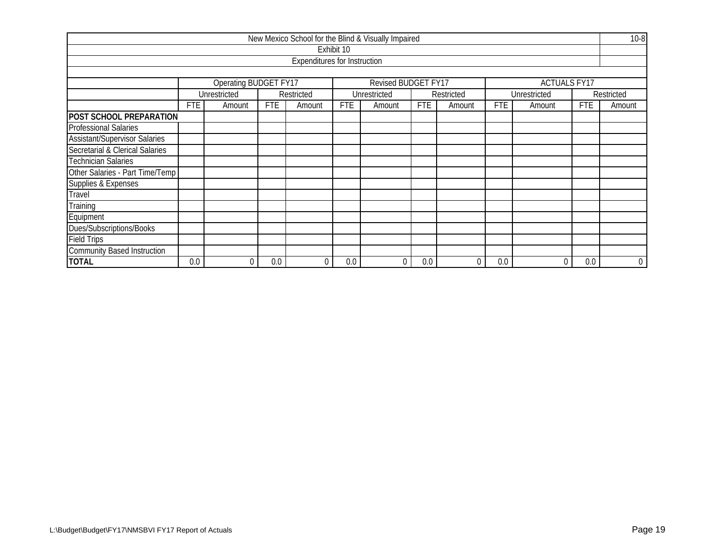|                                                                          |                                                                                                                                    |  |     |                                     |            | New Mexico School for the Blind & Visually Impaired |     |   |     |        |     | $10 - 8$    |  |
|--------------------------------------------------------------------------|------------------------------------------------------------------------------------------------------------------------------------|--|-----|-------------------------------------|------------|-----------------------------------------------------|-----|---|-----|--------|-----|-------------|--|
|                                                                          |                                                                                                                                    |  |     |                                     | Exhibit 10 |                                                     |     |   |     |        |     |             |  |
|                                                                          |                                                                                                                                    |  |     | <b>Expenditures for Instruction</b> |            |                                                     |     |   |     |        |     |             |  |
|                                                                          |                                                                                                                                    |  |     |                                     |            |                                                     |     |   |     |        |     |             |  |
| Operating BUDGET FY17<br>Revised BUDGET FY17<br><b>ACTUALS FY17</b>      |                                                                                                                                    |  |     |                                     |            |                                                     |     |   |     |        |     |             |  |
| Unrestricted<br>Unrestricted<br>Restricted<br>Unrestricted<br>Restricted |                                                                                                                                    |  |     |                                     |            |                                                     |     |   |     |        |     | Restricted  |  |
|                                                                          | <b>FTE</b><br><b>FTE</b><br><b>FTE</b><br><b>FTE</b><br><b>FTE</b><br><b>FTE</b><br>Amount<br>Amount<br>Amount<br>Amount<br>Amount |  |     |                                     |            |                                                     |     |   |     | Amount |     |             |  |
| <b>POST SCHOOL PREPARATION</b>                                           |                                                                                                                                    |  |     |                                     |            |                                                     |     |   |     |        |     |             |  |
| <b>Professional Salaries</b>                                             |                                                                                                                                    |  |     |                                     |            |                                                     |     |   |     |        |     |             |  |
| <b>Assistant/Supervisor Salaries</b>                                     |                                                                                                                                    |  |     |                                     |            |                                                     |     |   |     |        |     |             |  |
| Secretarial & Clerical Salaries                                          |                                                                                                                                    |  |     |                                     |            |                                                     |     |   |     |        |     |             |  |
| <b>Technician Salaries</b>                                               |                                                                                                                                    |  |     |                                     |            |                                                     |     |   |     |        |     |             |  |
| Other Salaries - Part Time/Temp                                          |                                                                                                                                    |  |     |                                     |            |                                                     |     |   |     |        |     |             |  |
| Supplies & Expenses                                                      |                                                                                                                                    |  |     |                                     |            |                                                     |     |   |     |        |     |             |  |
| Travel                                                                   |                                                                                                                                    |  |     |                                     |            |                                                     |     |   |     |        |     |             |  |
| Training                                                                 |                                                                                                                                    |  |     |                                     |            |                                                     |     |   |     |        |     |             |  |
| Equipment                                                                |                                                                                                                                    |  |     |                                     |            |                                                     |     |   |     |        |     |             |  |
| Dues/Subscriptions/Books                                                 |                                                                                                                                    |  |     |                                     |            |                                                     |     |   |     |        |     |             |  |
| <b>Field Trips</b>                                                       |                                                                                                                                    |  |     |                                     |            |                                                     |     |   |     |        |     |             |  |
| <b>Community Based Instruction</b>                                       |                                                                                                                                    |  |     |                                     |            |                                                     |     |   |     |        |     |             |  |
| <b>TOTAL</b>                                                             | 0.0                                                                                                                                |  | 0.0 | 0                                   | 0.0        | $\mathbf 0$                                         | 0.0 | 0 | 0.0 | 0      | 0.0 | $\mathbf 0$ |  |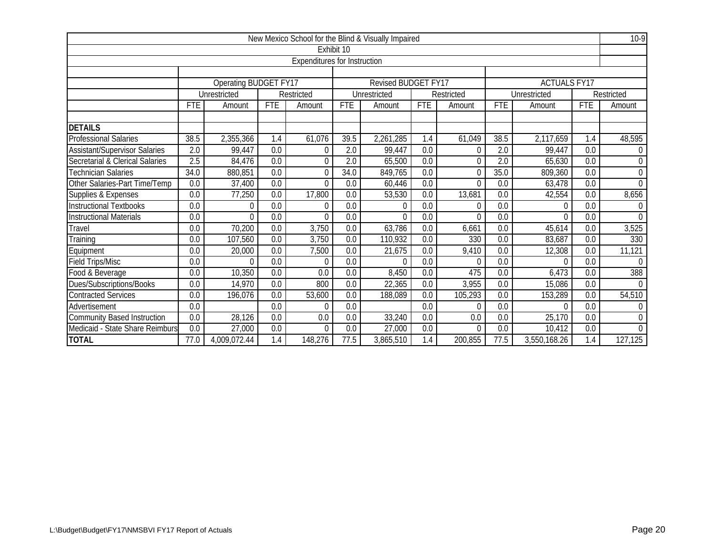|                                      |                                                                      |                              |            |                                     |                  | New Mexico School for the Blind & Visually Impaired |                  |            |                  |                        |                  | $10-9$         |
|--------------------------------------|----------------------------------------------------------------------|------------------------------|------------|-------------------------------------|------------------|-----------------------------------------------------|------------------|------------|------------------|------------------------|------------------|----------------|
|                                      |                                                                      |                              |            |                                     | Exhibit 10       |                                                     |                  |            |                  |                        |                  |                |
|                                      |                                                                      |                              |            | <b>Expenditures for Instruction</b> |                  |                                                     |                  |            |                  |                        |                  |                |
|                                      |                                                                      |                              |            |                                     |                  |                                                     |                  |            |                  |                        |                  |                |
|                                      |                                                                      | <b>Operating BUDGET FY17</b> |            |                                     |                  | <b>Revised BUDGET FY17</b>                          |                  |            |                  | <b>ACTUALS FY17</b>    |                  |                |
|                                      |                                                                      | Unrestricted                 |            | Restricted                          |                  | Unrestricted                                        |                  | Restricted |                  | Unrestricted           |                  | Restricted     |
|                                      | <b>FTE</b>                                                           | Amount                       | <b>FTE</b> | Amount                              | <b>FTE</b>       | Amount                                              | <b>FTE</b>       | Amount     | <b>FTE</b>       | Amount                 | <b>FTE</b>       | Amount         |
| <b>DETAILS</b>                       |                                                                      |                              |            |                                     |                  |                                                     |                  |            |                  |                        |                  |                |
| Professional Salaries                | 38.5                                                                 | 2,355,366                    | 1.4        | 61,076                              | 39.5             | 2,261,285                                           | 1.4              | 61,049     | 38.5             | $\overline{2,}117,659$ | 1.4              | 48,595         |
| <b>Assistant/Supervisor Salaries</b> | $\overline{2.0}$                                                     | 99,447                       | 0.0        | 0                                   | $\overline{2.0}$ | 99,447                                              | $\overline{0.0}$ | 0          | $\overline{2.0}$ | 99,447                 | $\overline{0.0}$ | $\theta$       |
| Secretarial & Clerical Salaries      | 2.5                                                                  | 84,476                       | 0.0        | $\theta$                            | 2.0              | 65,500                                              | $\overline{0.0}$ | $\Omega$   | 2.0              | 65,630                 | 0.0              | $\theta$       |
| Technician Salaries                  | $\overline{34.0}$                                                    | 880,851                      | 0.0        | $\theta$                            | 34.0             | 849,765                                             | 0.0              | $\Omega$   | 35.0             | 809,360                | 0.0              | $\Omega$       |
| Other Salaries-Part Time/Temp        | 0.0                                                                  | 37,400                       | 0.0        | $\overline{0}$                      | 0.0              | 60,446                                              | 0.0              | $\theta$   | 0.0              | 63,478                 | $\overline{0.0}$ | $\Omega$       |
| Supplies & Expenses                  | 0.0                                                                  | 77,250                       | 0.0        | 17,800                              | 0.0              | 53,530                                              | 0.0              | 13,681     | 0.0              | 42,554                 | 0.0              | 8,656          |
| Instructional Textbooks              | 0.0                                                                  |                              | 0.0        | $\theta$                            | 0.0              | $\Omega$                                            | 0.0              | $\Omega$   | 0.0              | $\theta$               | 0.0              |                |
| <b>Instructional Materials</b>       | 0.0                                                                  | $\Omega$                     | 0.0        | $\overline{0}$                      | 0.0              | $\Omega$                                            | 0.0              | $\Omega$   | 0.0              | 0                      | 0.0              | $\Omega$       |
| Travel                               | 0.0                                                                  | 70,200                       | 0.0        | 3,750                               | 0.0              | 63,786                                              | 0.0              | 6,661      | 0.0              | 45,614                 | 0.0              | 3,525          |
| Training                             | 0.0                                                                  | 107,560                      | 0.0        | 3,750                               | 0.0              | 110,932                                             | 0.0              | 330        | 0.0              | 83,687                 | 0.0              | 330            |
| Equipment                            | 0.0                                                                  | 20,000                       | 0.0        | 7,500                               | 0.0              | 21,675                                              | 0.0              | 9,410      | 0.0              | 12,308                 | 0.0              | 11,121         |
| <b>Field Trips/Misc</b>              | 0.0                                                                  | U                            | 0.0        | $\theta$                            | 0.0              | O                                                   | 0.0              | 0          | 0.0              | 0                      | 0.0              | $\Omega$       |
| Food & Beverage                      | 0.0                                                                  | 10,350                       | 0.0        | 0.0                                 | 0.0              | 8,450                                               | 0.0              | 475        | 0.0              | 6,473                  | 0.0              | 388            |
| Dues/Subscriptions/Books             | 0.0                                                                  | 14,970                       | 0.0        | 800                                 | 0.0              | 22,365                                              | 0.0              | 3,955      | 0.0              | 15,086                 | 0.0              | $\overline{0}$ |
| <b>Contracted Services</b>           | 0.0                                                                  | 196,076                      | 0.0        | 53,600                              | 0.0              | 188,089                                             | 0.0              | 105,293    | 0.0              | 153,289                | 0.0              | 54,510         |
| Advertisement                        | 0.0                                                                  |                              | 0.0        | $\theta$                            | 0.0              |                                                     | 0.0              | $\Omega$   | 0.0              | 0                      | 0.0              | $\Omega$       |
| <b>Community Based Instruction</b>   | 0.0                                                                  | 28,126                       | 0.0        | 0.0                                 | 0.0              | 33,240                                              | 0.0              | 0.0        | 0.0              | 25,170                 | 0.0              | $\theta$       |
| Medicaid - State Share Reimburs      | 0.0<br>0.0<br>27,000<br>0.0<br>0.0<br>27,000<br>$\theta$<br>$\Omega$ |                              |            |                                     |                  |                                                     |                  |            | 0.0              | 10,412                 | 0.0              | $\Omega$       |
| <b>TOTAL</b>                         | 77.0                                                                 | 4,009,072.44                 | 1.4        | 148,276                             | 77.5             | 3,865,510                                           | 1.4              | 200,855    | 77.5             | 3,550,168.26           | 1.4              | 127,125        |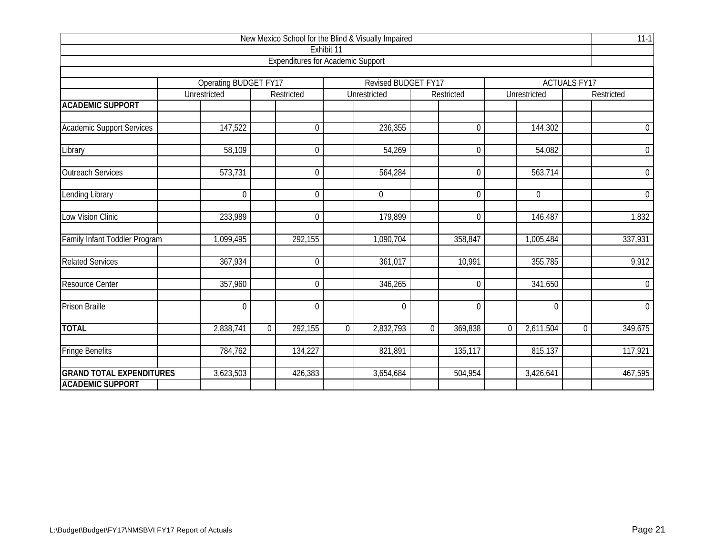|                                                            |                                              |                |                                          |                | New Mexico School for the Blind & Visually Impaired |          |                     |          |                |                     | $11-1$         |
|------------------------------------------------------------|----------------------------------------------|----------------|------------------------------------------|----------------|-----------------------------------------------------|----------|---------------------|----------|----------------|---------------------|----------------|
|                                                            |                                              |                |                                          | Exhibit 11     |                                                     |          |                     |          |                |                     |                |
|                                                            |                                              |                | <b>Expenditures for Academic Support</b> |                |                                                     |          |                     |          |                |                     |                |
|                                                            |                                              |                |                                          |                |                                                     |          |                     |          |                |                     |                |
|                                                            | <b>Operating BUDGET FY17</b><br>Unrestricted |                | Restricted                               |                | Revised BUDGET FY17<br>Unrestricted                 |          | Restricted          |          | Unrestricted   | <b>ACTUALS FY17</b> | Restricted     |
| <b>ACADEMIC SUPPORT</b>                                    |                                              |                |                                          |                |                                                     |          |                     |          |                |                     |                |
| <b>Academic Support Services</b>                           | 147,522                                      |                | $\boldsymbol{0}$                         |                | 236,355                                             |          | $\mathbf 0$         |          | 144,302        |                     | $\overline{0}$ |
| Library                                                    | 58,109                                       |                | $\mathbf 0$                              |                | 54,269                                              |          | $\mathbf 0$         |          | 54,082         |                     | $\overline{0}$ |
| <b>Outreach Services</b>                                   | 573,731                                      |                | $\mathbf 0$                              |                | 564,284                                             |          | $\Omega$            |          | 563,714        |                     | $\overline{0}$ |
| Lending Library                                            | $\mathbf 0$                                  |                | $\mathbf 0$                              |                | $\mathbf{0}$                                        |          | $\mathbf 0$         |          | $\overline{0}$ |                     | $\overline{0}$ |
| <b>Low Vision Clinic</b>                                   | 233,989                                      |                | $\overline{0}$                           |                | 179,899                                             |          | $\mathbf{0}$        |          | 146,487        |                     | 1,832          |
| Family Infant Toddler Program                              | 1,099,495                                    |                | 292,155                                  |                | 1,090,704                                           |          | 358,847             |          | 1,005,484      |                     | 337,931        |
| <b>Related Services</b>                                    | 367,934                                      |                | $\mathbf 0$                              |                | 361,017                                             |          | $\overline{10,}991$ |          | 355,785        |                     | 9,912          |
| <b>Resource Center</b>                                     | 357,960                                      |                | $\mathbf 0$                              |                | 346,265                                             |          | $\mathbf{0}$        |          | 341,650        |                     | $\overline{0}$ |
| <b>Prison Braille</b>                                      | $\mathbf 0$                                  |                | $\mathbf 0$                              |                | $\mathbf 0$                                         |          | $\mathbf 0$         |          | $\mathbf 0$    |                     | $\overline{0}$ |
| <b>TOTAL</b>                                               | 2,838,741                                    | $\overline{0}$ | 292,155                                  | $\overline{0}$ | 2,832,793                                           | $\Omega$ | 369,838             | $\Omega$ | 2,611,504      | $\mathbf 0$         | 349,675        |
| <b>Fringe Benefits</b>                                     | 784,762                                      |                | 134,227                                  |                | 821,891                                             |          | 135,117             |          | 815,137        |                     | 117,921        |
| <b>GRAND TOTAL EXPENDITURES</b><br><b>ACADEMIC SUPPORT</b> | 3,623,503                                    |                | 426,383                                  |                | 3,654,684                                           |          | 504,954             |          | 3,426,641      |                     | 467,595        |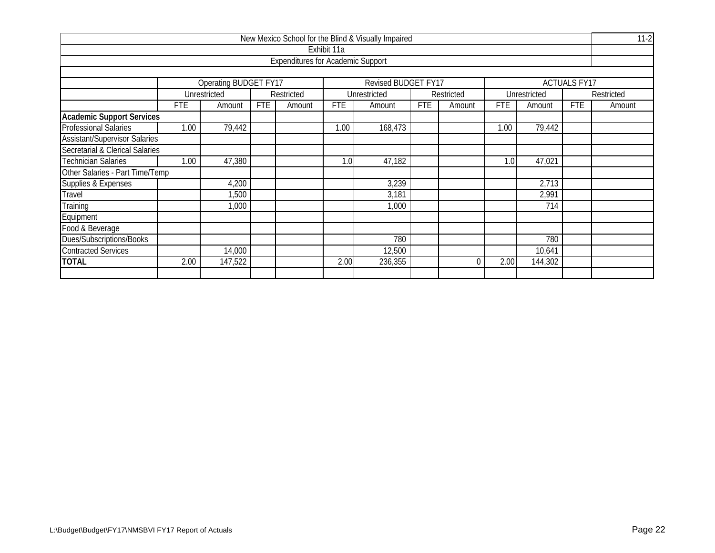|                                      |            |                              |            |                                          |             | New Mexico School for the Blind & Visually Impaired |            |            |            |              |                     | $11-2$     |
|--------------------------------------|------------|------------------------------|------------|------------------------------------------|-------------|-----------------------------------------------------|------------|------------|------------|--------------|---------------------|------------|
|                                      |            |                              |            |                                          | Exhibit 11a |                                                     |            |            |            |              |                     |            |
|                                      |            |                              |            | <b>Expenditures for Academic Support</b> |             |                                                     |            |            |            |              |                     |            |
|                                      |            |                              |            |                                          |             |                                                     |            |            |            |              |                     |            |
|                                      |            | <b>Operating BUDGET FY17</b> |            |                                          |             | <b>Revised BUDGET FY17</b>                          |            |            |            |              | <b>ACTUALS FY17</b> |            |
|                                      |            | Unrestricted                 |            | Restricted                               |             | Unrestricted                                        |            | Restricted |            | Unrestricted |                     | Restricted |
|                                      | FTE        | Amount                       | <b>FTE</b> | Amount                                   | <b>FTE</b>  | Amount                                              | <b>FTE</b> | Amount     | <b>FTE</b> | Amount       | <b>FTE</b>          | Amount     |
| <b>Academic Support Services</b>     |            |                              |            |                                          |             |                                                     |            |            |            |              |                     |            |
| <b>Professional Salaries</b>         | 1.00       | 79,442                       |            |                                          | 1.00        | 168,473                                             |            |            | 1.00       | 79,442       |                     |            |
| <b>Assistant/Supervisor Salaries</b> |            |                              |            |                                          |             |                                                     |            |            |            |              |                     |            |
| Secretarial & Clerical Salaries      |            |                              |            |                                          |             |                                                     |            |            |            |              |                     |            |
| Technician Salaries                  | 1.00       | 47,380                       |            |                                          | 1.0         | 47,182                                              |            |            | 1.0        | 47,021       |                     |            |
| Other Salaries - Part Time/Temp      |            |                              |            |                                          |             |                                                     |            |            |            |              |                     |            |
| Supplies & Expenses                  |            | 4,200                        |            |                                          |             | 3,239                                               |            |            |            | 2,713        |                     |            |
| Travel                               |            | ,500                         |            |                                          |             | 3,181                                               |            |            |            | 2,991        |                     |            |
| Training                             |            | 1,000                        |            |                                          |             | 1,000                                               |            |            |            | 714          |                     |            |
| Equipment                            |            |                              |            |                                          |             |                                                     |            |            |            |              |                     |            |
| Food & Beverage                      |            |                              |            |                                          |             |                                                     |            |            |            |              |                     |            |
| Dues/Subscriptions/Books             | 780<br>780 |                              |            |                                          |             |                                                     |            |            |            |              |                     |            |
| <b>Contracted Services</b>           |            | 14,000                       |            |                                          |             | 12,500                                              |            |            |            | 10,641       |                     |            |
| <b>TOTAL</b>                         | 2.00       | 147,522                      |            |                                          | 2.00        | 236,355                                             |            | $\Omega$   | 2.00       | 144,302      |                     |            |
|                                      |            |                              |            |                                          |             |                                                     |            |            |            |              |                     |            |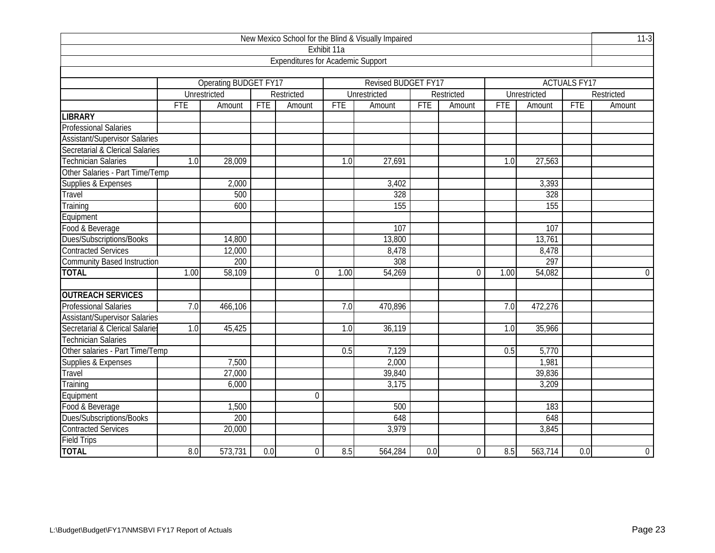|                                      |            |                       |                  |                                          |                  | New Mexico School for the Blind & Visually Impaired |     |             |            |              |                     | $11-3$         |
|--------------------------------------|------------|-----------------------|------------------|------------------------------------------|------------------|-----------------------------------------------------|-----|-------------|------------|--------------|---------------------|----------------|
|                                      |            |                       |                  |                                          | Exhibit 11a      |                                                     |     |             |            |              |                     |                |
|                                      |            |                       |                  | <b>Expenditures for Academic Support</b> |                  |                                                     |     |             |            |              |                     |                |
|                                      |            |                       |                  |                                          |                  |                                                     |     |             |            |              |                     |                |
|                                      |            | Operating BUDGET FY17 |                  |                                          |                  | Revised BUDGET FY17                                 |     |             |            |              | <b>ACTUALS FY17</b> |                |
|                                      |            | Unrestricted          |                  | Restricted                               |                  | Unrestricted                                        |     | Restricted  |            | Unrestricted |                     | Restricted     |
|                                      | <b>FTE</b> | Amount                | <b>FTE</b>       | Amount                                   | <b>FTE</b>       | Amount                                              | FTE | Amount      | <b>FTE</b> | Amount       | <b>FTE</b>          | Amount         |
| <b>LIBRARY</b>                       |            |                       |                  |                                          |                  |                                                     |     |             |            |              |                     |                |
| <b>Professional Salaries</b>         |            |                       |                  |                                          |                  |                                                     |     |             |            |              |                     |                |
| <b>Assistant/Supervisor Salaries</b> |            |                       |                  |                                          |                  |                                                     |     |             |            |              |                     |                |
| Secretarial & Clerical Salaries      |            |                       |                  |                                          |                  |                                                     |     |             |            |              |                     |                |
| <b>Technician Salaries</b>           | 1.0        | 28,009                |                  |                                          | $\overline{1.0}$ | 27,691                                              |     |             | 1.0        | 27,563       |                     |                |
| Other Salaries - Part Time/Temp      |            |                       |                  |                                          |                  |                                                     |     |             |            |              |                     |                |
| Supplies & Expenses                  |            | 2,000                 |                  |                                          |                  | 3,402                                               |     |             |            | 3,393        |                     |                |
| Travel                               |            | 500                   |                  |                                          |                  | 328                                                 |     |             |            | 328          |                     |                |
| Training                             |            | 600                   |                  |                                          |                  | 155                                                 |     |             |            | 155          |                     |                |
| Equipment                            |            |                       |                  |                                          |                  |                                                     |     |             |            |              |                     |                |
| Food & Beverage                      |            |                       |                  |                                          |                  | 107                                                 |     |             |            | 107          |                     |                |
| Dues/Subscriptions/Books             |            | 14,800                |                  |                                          |                  | 13,800                                              |     |             |            | 13,761       |                     |                |
| <b>Contracted Services</b>           |            | 12,000                |                  |                                          |                  | 8,478                                               |     |             |            | 8,478        |                     |                |
| <b>Community Based Instruction</b>   |            | 200                   |                  |                                          |                  | 308                                                 |     |             |            | 297          |                     |                |
| <b>TOTAL</b>                         | 1.00       | 58,109                |                  | $\overline{0}$                           | 1.00             | 54,269                                              |     | $\mathbf 0$ | 1.00       | 54,082       |                     | $\overline{0}$ |
| <b>OUTREACH SERVICES</b>             |            |                       |                  |                                          |                  |                                                     |     |             |            |              |                     |                |
| <b>Professional Salaries</b>         | 7.0        | 466,106               |                  |                                          | 7.0              | 470,896                                             |     |             | 7.0        | 472,276      |                     |                |
| <b>Assistant/Supervisor Salaries</b> |            |                       |                  |                                          |                  |                                                     |     |             |            |              |                     |                |
| Secretarial & Clerical Salaries      | 1.0        | 45,425                |                  |                                          | 1.0              | 36,119                                              |     |             | 1.0        | 35,966       |                     |                |
| <b>Technician Salaries</b>           |            |                       |                  |                                          |                  |                                                     |     |             |            |              |                     |                |
| Other salaries - Part Time/Temp      |            |                       |                  |                                          | 0.5              | 7,129                                               |     |             | 0.5        | 5,770        |                     |                |
| Supplies & Expenses                  |            | 7,500                 |                  |                                          |                  | 2,000                                               |     |             |            | 1,981        |                     |                |
| Travel                               |            | 27,000                |                  |                                          |                  | 39,840                                              |     |             |            | 39,836       |                     |                |
| Training                             |            | 6,000                 |                  |                                          |                  | 3,175                                               |     |             |            | 3,209        |                     |                |
| Equipment                            |            |                       |                  | $\mathbf 0$                              |                  |                                                     |     |             |            |              |                     |                |
| Food & Beverage                      |            | 1,500                 |                  |                                          |                  | 500                                                 |     |             |            | 183          |                     |                |
| Dues/Subscriptions/Books             |            | 200                   |                  |                                          |                  | 648                                                 |     |             |            | 648          |                     |                |
| <b>Contracted Services</b>           |            | 20,000                |                  |                                          |                  | 3,979                                               |     |             |            | 3,845        |                     |                |
| <b>Field Trips</b>                   |            |                       |                  |                                          |                  |                                                     |     |             |            |              |                     |                |
| <b>TOTAL</b>                         | 8.0        | 573,731               | $\overline{0.0}$ | $\mathbf 0$                              | 8.5              | 564,284                                             | 0.0 | $\mathbf 0$ | 8.5        | 563,714      | 0.0                 | $\overline{0}$ |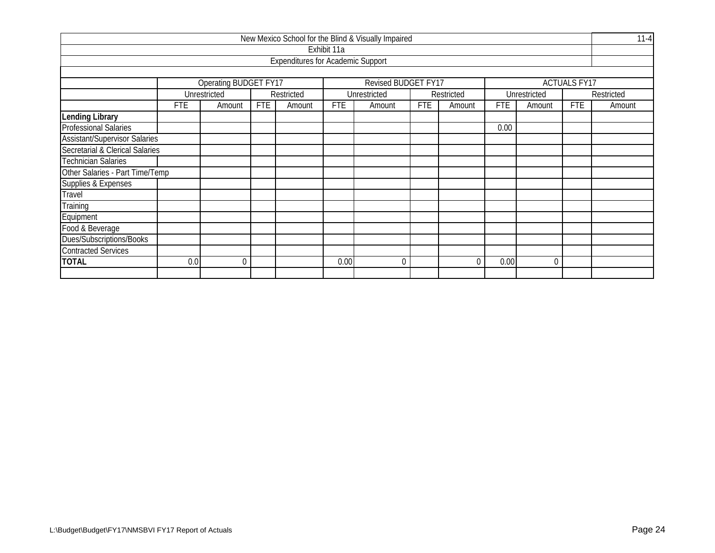|                                                                     |                                                                                                        |              |  |                                          |             | New Mexico School for the Blind & Visually Impaired |  |            |            |              |  | $11 - 4$   |  |
|---------------------------------------------------------------------|--------------------------------------------------------------------------------------------------------|--------------|--|------------------------------------------|-------------|-----------------------------------------------------|--|------------|------------|--------------|--|------------|--|
|                                                                     |                                                                                                        |              |  |                                          | Exhibit 11a |                                                     |  |            |            |              |  |            |  |
|                                                                     |                                                                                                        |              |  | <b>Expenditures for Academic Support</b> |             |                                                     |  |            |            |              |  |            |  |
|                                                                     |                                                                                                        |              |  |                                          |             |                                                     |  |            |            |              |  |            |  |
| Operating BUDGET FY17<br>Revised BUDGET FY17<br><b>ACTUALS FY17</b> |                                                                                                        |              |  |                                          |             |                                                     |  |            |            |              |  |            |  |
|                                                                     |                                                                                                        | Unrestricted |  | Restricted                               |             | Unrestricted                                        |  | Restricted |            | Unrestricted |  | Restricted |  |
|                                                                     | <b>FTE</b><br><b>FTE</b><br><b>FTE</b><br>FTE<br>FTE<br>Amount<br>Amount<br>Amount<br>Amount<br>Amount |              |  |                                          |             |                                                     |  |            | <b>FTE</b> | Amount       |  |            |  |
| <b>Lending Library</b>                                              |                                                                                                        |              |  |                                          |             |                                                     |  |            |            |              |  |            |  |
| <b>Professional Salaries</b>                                        |                                                                                                        |              |  |                                          |             |                                                     |  |            | 0.00       |              |  |            |  |
| <b>Assistant/Supervisor Salaries</b>                                |                                                                                                        |              |  |                                          |             |                                                     |  |            |            |              |  |            |  |
| Secretarial & Clerical Salaries                                     |                                                                                                        |              |  |                                          |             |                                                     |  |            |            |              |  |            |  |
| Technician Salaries                                                 |                                                                                                        |              |  |                                          |             |                                                     |  |            |            |              |  |            |  |
| Other Salaries - Part Time/Temp                                     |                                                                                                        |              |  |                                          |             |                                                     |  |            |            |              |  |            |  |
| Supplies & Expenses                                                 |                                                                                                        |              |  |                                          |             |                                                     |  |            |            |              |  |            |  |
| Travel                                                              |                                                                                                        |              |  |                                          |             |                                                     |  |            |            |              |  |            |  |
| Training                                                            |                                                                                                        |              |  |                                          |             |                                                     |  |            |            |              |  |            |  |
| Equipment                                                           |                                                                                                        |              |  |                                          |             |                                                     |  |            |            |              |  |            |  |
| Food & Beverage                                                     |                                                                                                        |              |  |                                          |             |                                                     |  |            |            |              |  |            |  |
| Dues/Subscriptions/Books                                            |                                                                                                        |              |  |                                          |             |                                                     |  |            |            |              |  |            |  |
| <b>Contracted Services</b>                                          |                                                                                                        |              |  |                                          |             |                                                     |  |            |            |              |  |            |  |
| <b>TOTAL</b>                                                        | 0.0                                                                                                    | $\Omega$     |  |                                          | 0.00        | $\Omega$                                            |  | $\Omega$   | 0.00       | $\theta$     |  |            |  |
|                                                                     |                                                                                                        |              |  |                                          |             |                                                     |  |            |            |              |  |            |  |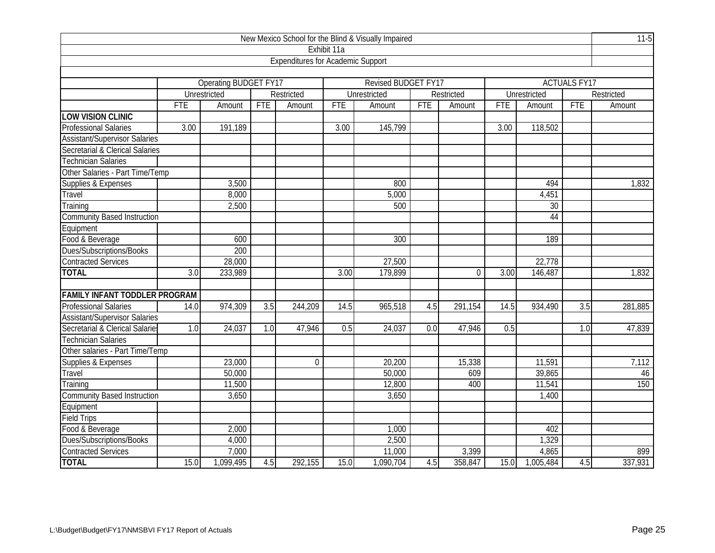| New Mexico School for the Blind & Visually Impaired |                  |                       |                  |                                          |                   |                     |     |              |            |                 |                     |            |  |
|-----------------------------------------------------|------------------|-----------------------|------------------|------------------------------------------|-------------------|---------------------|-----|--------------|------------|-----------------|---------------------|------------|--|
|                                                     |                  |                       |                  |                                          | Exhibit 11a       |                     |     |              |            |                 |                     |            |  |
|                                                     |                  |                       |                  | <b>Expenditures for Academic Support</b> |                   |                     |     |              |            |                 |                     |            |  |
|                                                     |                  |                       |                  |                                          |                   |                     |     |              |            |                 |                     |            |  |
|                                                     |                  | Operating BUDGET FY17 |                  |                                          |                   | Revised BUDGET FY17 |     |              |            |                 | <b>ACTUALS FY17</b> |            |  |
|                                                     |                  | Unrestricted          |                  | Restricted                               |                   | Unrestricted        |     | Restricted   |            | Unrestricted    |                     | Restricted |  |
|                                                     | <b>FTE</b>       | Amount                | <b>FTE</b>       | Amount                                   | <b>FTE</b>        | Amount              | FTE | Amount       | <b>FTE</b> | Amount          | <b>FTE</b>          | Amount     |  |
| <b>LOW VISION CLINIC</b>                            |                  |                       |                  |                                          |                   |                     |     |              |            |                 |                     |            |  |
| <b>Professional Salaries</b>                        | 3.00             | 191,189               |                  |                                          | 3.00              | 145,799             |     |              | 3.00       | 118,502         |                     |            |  |
| <b>Assistant/Supervisor Salaries</b>                |                  |                       |                  |                                          |                   |                     |     |              |            |                 |                     |            |  |
| Secretarial & Clerical Salaries                     |                  |                       |                  |                                          |                   |                     |     |              |            |                 |                     |            |  |
| <b>Technician Salaries</b>                          |                  |                       |                  |                                          |                   |                     |     |              |            |                 |                     |            |  |
| Other Salaries - Part Time/Temp                     |                  |                       |                  |                                          |                   |                     |     |              |            |                 |                     |            |  |
| Supplies & Expenses                                 |                  | 3,500                 |                  |                                          |                   | 800                 |     |              |            | 494             |                     | 1,832      |  |
| Travel                                              |                  | 8,000                 |                  |                                          |                   | 5,000               |     |              |            | 4,451           |                     |            |  |
| Training                                            |                  | 2,500                 |                  |                                          |                   | 500                 |     |              |            | $\overline{30}$ |                     |            |  |
| <b>Community Based Instruction</b>                  |                  | 44                    |                  |                                          |                   |                     |     |              |            |                 |                     |            |  |
| Equipment                                           |                  |                       |                  |                                          |                   |                     |     |              |            |                 |                     |            |  |
| Food & Beverage                                     |                  | 600                   |                  |                                          |                   | 300                 |     |              |            | 189             |                     |            |  |
| Dues/Subscriptions/Books                            |                  | 200                   |                  |                                          |                   |                     |     |              |            |                 |                     |            |  |
| <b>Contracted Services</b>                          |                  | $\overline{28,000}$   |                  |                                          |                   | 27,500              |     |              |            | 22,778          |                     |            |  |
| <b>TOTAL</b>                                        | $\overline{3.0}$ | 233,989               |                  |                                          | $\overline{3.00}$ | 179,899             |     | $\mathbf{0}$ | 3.00       | 146,487         |                     | 1,832      |  |
|                                                     |                  |                       |                  |                                          |                   |                     |     |              |            |                 |                     |            |  |
| <b>FAMILY INFANT TODDLER PROGRAM</b>                |                  |                       |                  |                                          |                   |                     |     |              |            |                 |                     |            |  |
| <b>Professional Salaries</b>                        | 14.0             | 974,309               | $\overline{3.5}$ | 244,209                                  | 14.5              | 965,518             | 4.5 | 291,154      | 14.5       | 934,490         | 3.5                 | 281,885    |  |
| <b>Assistant/Supervisor Salaries</b>                |                  |                       |                  |                                          |                   |                     |     |              |            |                 |                     |            |  |
| Secretarial & Clerical Salaries                     | 1.0              | 24,037                | 1.0              | 47,946                                   | 0.5               | 24, 037             | 0.0 | 47,946       | 0.5        |                 | 1.0                 | 47,839     |  |
| <b>Technician Salaries</b>                          |                  |                       |                  |                                          |                   |                     |     |              |            |                 |                     |            |  |
| Other salaries - Part Time/Temp                     |                  |                       |                  |                                          |                   |                     |     |              |            |                 |                     |            |  |
| Supplies & Expenses                                 |                  | 23,000                |                  | $\mathbf 0$                              |                   | $\overline{20,}200$ |     | 15,338       |            | 11,591          |                     | 7,112      |  |
| Travel                                              |                  | 50,000                |                  |                                          |                   | 50,000              |     | 609          |            | 39,865          |                     | 46         |  |
| Training                                            |                  | 11,500                |                  |                                          |                   | 12,800              |     | 400          |            | 11,541          |                     | 150        |  |
| <b>Community Based Instruction</b>                  |                  | 3,650                 |                  |                                          |                   | 3,650               |     |              |            | 1,400           |                     |            |  |
| Equipment                                           |                  |                       |                  |                                          |                   |                     |     |              |            |                 |                     |            |  |
| <b>Field Trips</b>                                  |                  |                       |                  |                                          |                   |                     |     |              |            |                 |                     |            |  |
| Food & Beverage                                     |                  | 2,000                 |                  |                                          |                   | 1,000               |     |              |            | 402             |                     |            |  |
| Dues/Subscriptions/Books                            |                  | 4,000                 |                  |                                          |                   | 2,500               |     |              |            | 1,329           |                     |            |  |
| <b>Contracted Services</b>                          |                  | 7,000                 |                  |                                          |                   | 11,000              |     | 3,399        |            | 4,865           |                     | 899        |  |
| <b>TOTAL</b>                                        | 15.0             | 1,099,495             | 4.5              | 292,155                                  | 15.0              | 1,090,704           | 4.5 | 358,847      | 15.0       | 1,005,484       | 4.5                 | 337,931    |  |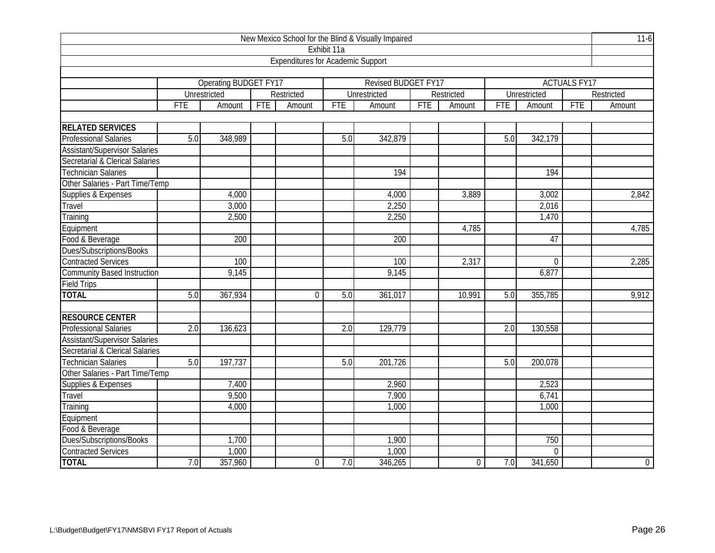| New Mexico School for the Blind & Visually Impaired |                  |                       |            |                                          |                  |                     |            |                  |                  |              |                     |                |
|-----------------------------------------------------|------------------|-----------------------|------------|------------------------------------------|------------------|---------------------|------------|------------------|------------------|--------------|---------------------|----------------|
|                                                     |                  |                       |            |                                          | Exhibit 11a      |                     |            |                  |                  |              |                     |                |
|                                                     |                  |                       |            | <b>Expenditures for Academic Support</b> |                  |                     |            |                  |                  |              |                     |                |
|                                                     |                  |                       |            |                                          |                  |                     |            |                  |                  |              |                     |                |
|                                                     |                  | Operating BUDGET FY17 |            |                                          |                  | Revised BUDGET FY17 |            |                  |                  |              | <b>ACTUALS FY17</b> |                |
|                                                     |                  | Unrestricted          |            | Restricted                               |                  | Unrestricted        |            | Restricted       |                  | Unrestricted |                     | Restricted     |
|                                                     | <b>FTE</b>       | Amount                | <b>FTE</b> | Amount                                   | <b>FTE</b>       | Amount              | <b>FTE</b> | Amount           | <b>FTE</b>       | Amount       | <b>FTE</b>          | Amount         |
|                                                     |                  |                       |            |                                          |                  |                     |            |                  |                  |              |                     |                |
| <b>RELATED SERVICES</b>                             |                  |                       |            |                                          |                  |                     |            |                  |                  |              |                     |                |
| <b>Professional Salaries</b>                        | 5.0              | 348,989               |            |                                          | 5.0              | 342,879             |            |                  | 5.0              | 342,179      |                     |                |
| <b>Assistant/Supervisor Salaries</b>                |                  |                       |            |                                          |                  |                     |            |                  |                  |              |                     |                |
| Secretarial & Clerical Salaries                     |                  |                       |            |                                          |                  |                     |            |                  |                  |              |                     |                |
| <b>Technician Salaries</b>                          |                  |                       |            |                                          |                  | 194                 |            |                  |                  | 194          |                     |                |
| Other Salaries - Part Time/Temp                     |                  |                       |            |                                          |                  |                     |            |                  |                  |              |                     |                |
| Supplies & Expenses                                 |                  | 4,000                 |            |                                          |                  | 4,000               |            | 3,889            |                  | 3,002        |                     | 2,842          |
| Travel                                              |                  | 3,000                 |            |                                          |                  | 2,250               |            |                  |                  | 2,016        |                     |                |
| Training                                            |                  | 2,500                 |            |                                          |                  | 2,250               |            |                  |                  | 1,470        |                     |                |
| Equipment                                           |                  |                       |            |                                          |                  |                     |            | 4,785            |                  |              |                     | 4,785          |
| Food & Beverage                                     |                  | 200                   |            |                                          |                  | 200                 |            |                  |                  | 47           |                     |                |
| Dues/Subscriptions/Books                            |                  |                       |            |                                          |                  |                     |            |                  |                  |              |                     |                |
| <b>Contracted Services</b>                          |                  | 100                   |            |                                          |                  | 100                 |            | 2,317            |                  | $\mathbf 0$  |                     | 2,285          |
| <b>Community Based Instruction</b>                  |                  | 9,145                 |            |                                          |                  | 9,145               |            |                  |                  | 6,877        |                     |                |
| Field Trips                                         |                  |                       |            |                                          |                  |                     |            |                  |                  |              |                     |                |
| <b>TOTAL</b>                                        | 5.0              | 367,934               |            | $\overline{0}$                           | 5.0              | 361,017             |            | 10,991           | 5.0              | 355,785      |                     | 9,912          |
|                                                     |                  |                       |            |                                          |                  |                     |            |                  |                  |              |                     |                |
| <b>RESOURCE CENTER</b>                              |                  |                       |            |                                          |                  |                     |            |                  |                  |              |                     |                |
| <b>Professional Salaries</b>                        | $\overline{2.0}$ | 136,623               |            |                                          | $\overline{2.0}$ | 129,779             |            |                  | $\overline{2.0}$ | 130,558      |                     |                |
| <b>Assistant/Supervisor Salaries</b>                |                  |                       |            |                                          |                  |                     |            |                  |                  |              |                     |                |
| Secretarial & Clerical Salaries                     |                  |                       |            |                                          |                  |                     |            |                  |                  |              |                     |                |
| <b>Technician Salaries</b>                          | 5.0              | 197,737               |            |                                          | 5.0              | 201,726             |            |                  | 5.0              | 200,078      |                     |                |
| Other Salaries - Part Time/Temp                     |                  |                       |            |                                          |                  |                     |            |                  |                  |              |                     |                |
| Supplies & Expenses                                 |                  | 7,400                 |            |                                          |                  | 2,960               |            |                  |                  | 2,523        |                     |                |
| Travel                                              |                  | 9,500                 |            |                                          |                  | 7,900               |            |                  |                  | 6,741        |                     |                |
| Training                                            |                  | 4,000                 |            |                                          |                  | 1,000               |            |                  |                  | 1,000        |                     |                |
| Equipment                                           |                  |                       |            |                                          |                  |                     |            |                  |                  |              |                     |                |
| Food & Beverage                                     |                  |                       |            |                                          |                  |                     |            |                  |                  |              |                     |                |
| Dues/Subscriptions/Books                            |                  | 1,700                 |            |                                          |                  | 1,900               |            |                  |                  | 750          |                     |                |
| <b>Contracted Services</b>                          |                  | 1,000                 |            |                                          |                  | 1,000               |            |                  |                  | $\mathbf 0$  |                     |                |
| <b>TOTAL</b>                                        | 7.0              | 357,960               |            | $\boldsymbol{0}$                         | 7.0              | 346,265             |            | $\boldsymbol{0}$ | 7.0              | 341,650      |                     | $\overline{0}$ |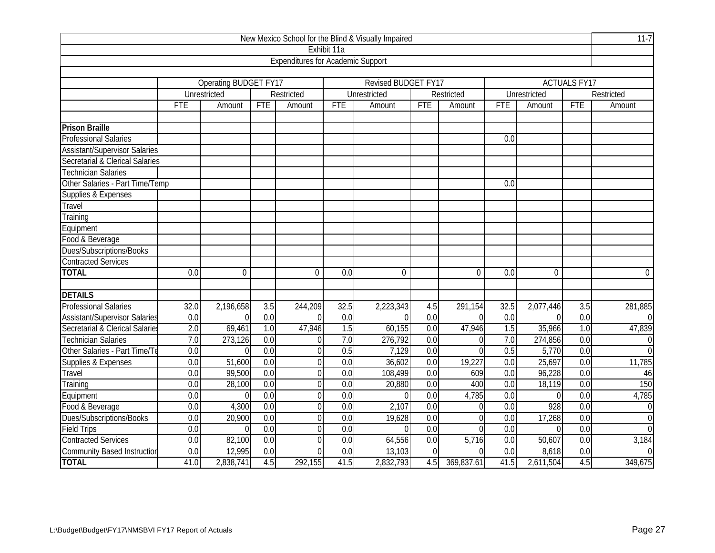| New Mexico School for the Blind & Visually Impaired |                  |                       |                  |                                          |                  |                     |                  |                |                  |              |                     |                         |
|-----------------------------------------------------|------------------|-----------------------|------------------|------------------------------------------|------------------|---------------------|------------------|----------------|------------------|--------------|---------------------|-------------------------|
|                                                     |                  |                       |                  |                                          | Exhibit 11a      |                     |                  |                |                  |              |                     |                         |
|                                                     |                  |                       |                  | <b>Expenditures for Academic Support</b> |                  |                     |                  |                |                  |              |                     |                         |
|                                                     |                  |                       |                  |                                          |                  |                     |                  |                |                  |              |                     |                         |
|                                                     |                  | Operating BUDGET FY17 |                  |                                          |                  | Revised BUDGET FY17 |                  |                |                  |              | <b>ACTUALS FY17</b> |                         |
|                                                     |                  | Unrestricted          |                  | Restricted                               |                  | Unrestricted        |                  | Restricted     |                  | Unrestricted |                     | Restricted              |
|                                                     | <b>FTE</b>       | Amount                | <b>FTE</b>       | Amount                                   | <b>FTE</b>       | Amount              | FTE              | Amount         | <b>FTE</b>       | Amount       | <b>FTE</b>          | Amount                  |
|                                                     |                  |                       |                  |                                          |                  |                     |                  |                |                  |              |                     |                         |
| <b>Prison Braille</b>                               |                  |                       |                  |                                          |                  |                     |                  |                |                  |              |                     |                         |
| <b>Professional Salaries</b>                        |                  |                       |                  |                                          |                  |                     |                  |                | 0.0              |              |                     |                         |
| <b>Assistant/Supervisor Salaries</b>                |                  |                       |                  |                                          |                  |                     |                  |                |                  |              |                     |                         |
| Secretarial & Clerical Salaries                     |                  |                       |                  |                                          |                  |                     |                  |                |                  |              |                     |                         |
| <b>Technician Salaries</b>                          |                  |                       |                  |                                          |                  |                     |                  |                |                  |              |                     |                         |
| Other Salaries - Part Time/Temp                     |                  |                       |                  |                                          |                  |                     |                  |                | 0.0              |              |                     |                         |
| Supplies & Expenses                                 |                  |                       |                  |                                          |                  |                     |                  |                |                  |              |                     |                         |
| Travel                                              |                  |                       |                  |                                          |                  |                     |                  |                |                  |              |                     |                         |
| Training                                            |                  |                       |                  |                                          |                  |                     |                  |                |                  |              |                     |                         |
| Equipment                                           |                  |                       |                  |                                          |                  |                     |                  |                |                  |              |                     |                         |
| Food & Beverage                                     |                  |                       |                  |                                          |                  |                     |                  |                |                  |              |                     |                         |
| Dues/Subscriptions/Books                            |                  |                       |                  |                                          |                  |                     |                  |                |                  |              |                     |                         |
| <b>Contracted Services</b>                          |                  |                       |                  |                                          |                  |                     |                  |                |                  |              |                     |                         |
| <b>TOTAL</b>                                        | 0.0              | $\overline{0}$        |                  | $\mathbf 0$                              | 0.0              | $\overline{0}$      |                  | $\mathbf{0}$   | 0.0              | $\mathbf 0$  |                     | $\boldsymbol{0}$        |
|                                                     |                  |                       |                  |                                          |                  |                     |                  |                |                  |              |                     |                         |
| <b>DETAILS</b>                                      |                  |                       |                  |                                          |                  |                     |                  |                |                  |              |                     |                         |
| <b>Professional Salaries</b>                        | 32.0             | 2,196,658             | 3.5              | 244,209                                  | 32.5             | 2,223,343           | 4.5              | 291,154        | 32.5             | 2,077,446    | 3.5                 | 281,885                 |
| <b>Assistant/Supervisor Salaries</b>                | 0.0              | $\Omega$              | 0.0              | $\Omega$                                 | 0.0              | $\theta$            | 0.0              | $\Omega$       | 0.0              | $\Omega$     | $\overline{0.0}$    | $\overline{\mathsf{O}}$ |
| Secretarial & Clerical Salarie                      | $\overline{2.0}$ | 69,461                | 1.0              | 47,946                                   | $\overline{1.5}$ | 60,155              | 0.0              | 47,946         | 1.5              | 35,966       | 1.0                 | 47,839                  |
| <b>Technician Salaries</b>                          | 7.0              | 273,126               | 0.0              | $\Omega$                                 | 7.0              | 276,792             | 0.0              | $\overline{0}$ | 7.0              | 274,856      | 0.0                 | $\boldsymbol{0}$        |
| Other Salaries - Part Time/Te                       | 0.0              | $\Omega$              | 0.0              | $\Omega$                                 | 0.5              | 7,129               | $\overline{0.0}$ | $\overline{0}$ | 0.5              | 5,770        | $\overline{0.0}$    | $\mathbf 0$             |
| Supplies & Expenses                                 | 0.0              | 51,600                | 0.0              | $\overline{0}$                           | $\overline{0.0}$ | 36,602              | 0.0              | 19,227         | 0.0              | 25,697       | 0.0                 | 11,785                  |
| Travel                                              | 0.0              | 99,500                | $\overline{0.0}$ | $\overline{0}$                           | $\overline{0.0}$ | 108,499             | $\overline{0.0}$ | 609            | 0.0              | 96,228       | 0.0                 | 46                      |
| Training                                            | 0.0              | 28,100                | $\overline{0.0}$ | $\overline{0}$                           | 0.0              | 20,880              | 0.0              | 400            | 0.0              | 18,119       | 0.0                 | 150                     |
| Equipment                                           | 0.0              | $\theta$              | 0.0              | $\overline{0}$                           | 0.0              | $\Omega$            | 0.0              | 4,785          | 0.0              | $\Omega$     | 0.0                 | 4,785                   |
| Food & Beverage                                     | 0.0              | 4,300                 | 0.0              | $\overline{0}$                           | 0.0              | 2,107               | 0.0              | $\Omega$       | 0.0              | 928          | 0.0                 | $\overline{0}$          |
| Dues/Subscriptions/Books                            | $\overline{0.0}$ | 20,900                | 0.0              | $\overline{0}$                           | 0.0              | 19,628              | 0.0              | $\overline{0}$ | 0.0              | 17,268       | 0.0                 | $\overline{0}$          |
| <b>Field Trips</b>                                  | $\overline{0.0}$ | $\Omega$              | 0.0              | $\overline{0}$                           | 0.0              | $\theta$            | 0.0              | $\overline{0}$ | 0.0              | $\Omega$     | 0.0                 | $\overline{0}$          |
| <b>Contracted Services</b>                          | 0.0              | 82,100                | 0.0              | $\Omega$                                 | 0.0              | 64,556              | 0.0              | 5,716          | 0.0              | 50,607       | 0.0                 | 3,184                   |
| <b>Community Based Instruction</b>                  | $\overline{0.0}$ | 12,995                | 0.0              | $\Omega$                                 | 0.0              | 13,103              | $\overline{0}$   | $\Omega$       | $\overline{0.0}$ | 8,618        | 0.0                 | $\overline{0}$          |
| <b>TOTAL</b>                                        | 41.0             | 2,838,741             | 4.5              | 292,155                                  | 41.5             | 2,832,793           | 4.5              | 369,837.61     | 41.5             | 2,611,504    | 4.5                 | 349,675                 |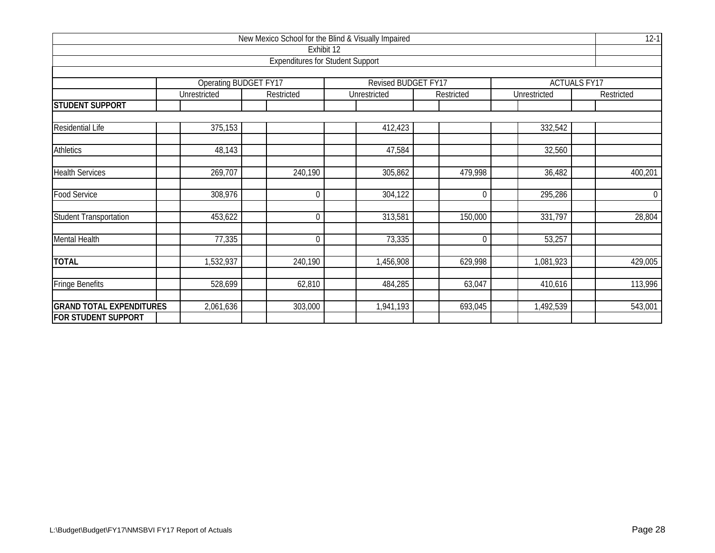| New Mexico School for the Blind & Visually Impaired |                       |                                                       |                     |                |              |                     |  |  |  |  |  |
|-----------------------------------------------------|-----------------------|-------------------------------------------------------|---------------------|----------------|--------------|---------------------|--|--|--|--|--|
|                                                     |                       | Exhibit 12<br><b>Expenditures for Student Support</b> |                     |                |              |                     |  |  |  |  |  |
|                                                     |                       |                                                       |                     |                |              |                     |  |  |  |  |  |
|                                                     | Operating BUDGET FY17 |                                                       | Revised BUDGET FY17 |                |              | <b>ACTUALS FY17</b> |  |  |  |  |  |
|                                                     | Unrestricted          | Restricted                                            | Unrestricted        | Restricted     | Unrestricted | Restricted          |  |  |  |  |  |
| <b>STUDENT SUPPORT</b>                              |                       |                                                       |                     |                |              |                     |  |  |  |  |  |
| Residential Life                                    | 375,153               |                                                       | 412,423             |                | 332,542      |                     |  |  |  |  |  |
|                                                     |                       |                                                       |                     |                |              |                     |  |  |  |  |  |
| <b>Athletics</b>                                    | 48,143                |                                                       | 47,584              |                | 32,560       |                     |  |  |  |  |  |
| <b>Health Services</b>                              | 269,707               | 240,190                                               | 305,862             | 479,998        | 36,482       | 400,201             |  |  |  |  |  |
| <b>Food Service</b>                                 | 308,976               | $\mathbf 0$                                           | 304,122             | 0              | 295,286      | $\overline{0}$      |  |  |  |  |  |
| <b>Student Transportation</b>                       | 453,622               | $\mathbf 0$                                           | 313,581             | 150,000        | 331,797      | 28,804              |  |  |  |  |  |
| <b>Mental Health</b>                                | 77,335                | $\mathbf 0$                                           | 73,335              | $\overline{0}$ | 53,257       |                     |  |  |  |  |  |
| <b>TOTAL</b>                                        | 1,532,937             | 240,190                                               | 1,456,908           | 629,998        | 1,081,923    | 429,005             |  |  |  |  |  |
| <b>Fringe Benefits</b>                              | 528,699               | 62,810                                                | 484,285             | 63,047         | 410,616      | 113,996             |  |  |  |  |  |
| <b>GRAND TOTAL EXPENDITURES</b>                     | 2,061,636             | 303,000                                               | 1,941,193           | 693,045        | 1,492,539    | 543,001             |  |  |  |  |  |
| <b>FOR STUDENT SUPPORT</b>                          |                       |                                                       |                     |                |              |                     |  |  |  |  |  |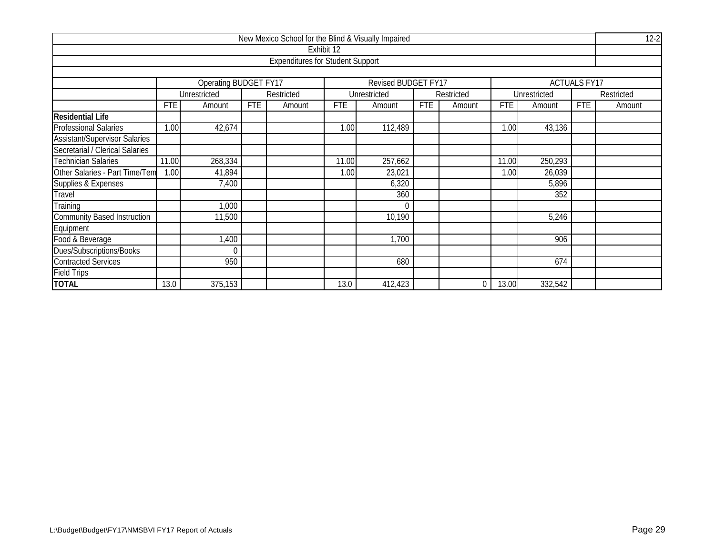| New Mexico School for the Blind & Visually Impaired |                                                          |                       |            |                                         |            |                     |            |            |            |              |                     |            |  |
|-----------------------------------------------------|----------------------------------------------------------|-----------------------|------------|-----------------------------------------|------------|---------------------|------------|------------|------------|--------------|---------------------|------------|--|
|                                                     |                                                          |                       |            |                                         | Exhibit 12 |                     |            |            |            |              |                     |            |  |
|                                                     |                                                          |                       |            | <b>Expenditures for Student Support</b> |            |                     |            |            |            |              |                     |            |  |
|                                                     |                                                          |                       |            |                                         |            |                     |            |            |            |              |                     |            |  |
|                                                     |                                                          | Operating BUDGET FY17 |            |                                         |            | Revised BUDGET FY17 |            |            |            |              | <b>ACTUALS FY17</b> |            |  |
|                                                     |                                                          | Unrestricted          |            | Restricted                              |            | Unrestricted        |            | Restricted |            | Unrestricted |                     | Restricted |  |
|                                                     | <b>FTE</b>                                               | Amount                | <b>FTE</b> | Amount                                  | <b>FTE</b> | Amount              | <b>FTE</b> | Amount     | <b>FTE</b> | Amount       | <b>FTE</b>          | Amount     |  |
| <b>Residential Life</b>                             |                                                          |                       |            |                                         |            |                     |            |            |            |              |                     |            |  |
| <b>Professional Salaries</b>                        | 1.00                                                     | 42,674                |            |                                         | 1.00       | 112,489             |            |            | 1.00       | 43,136       |                     |            |  |
| <b>Assistant/Supervisor Salaries</b>                |                                                          |                       |            |                                         |            |                     |            |            |            |              |                     |            |  |
| Secretarial / Clerical Salaries                     |                                                          |                       |            |                                         |            |                     |            |            |            |              |                     |            |  |
| Technician Salaries                                 | 268,334<br>257,662<br>250,293<br>11.00<br>11.00<br>11.00 |                       |            |                                         |            |                     |            |            |            |              |                     |            |  |
| Other Salaries - Part Time/Tem                      | 1.00                                                     | 41,894                |            |                                         | 1.00       | 23,021              |            |            | 1.00       | 26,039       |                     |            |  |
| Supplies & Expenses                                 |                                                          | 7,400                 |            |                                         |            | 6,320               |            |            |            | 5,896        |                     |            |  |
| Travel                                              |                                                          |                       |            |                                         |            | 360                 |            |            |            | 352          |                     |            |  |
| Training                                            |                                                          | 1,000                 |            |                                         |            | $\Omega$            |            |            |            |              |                     |            |  |
| <b>Community Based Instruction</b>                  |                                                          | 11,500                |            |                                         |            | 10,190              |            |            |            | 5,246        |                     |            |  |
| Equipment                                           |                                                          |                       |            |                                         |            |                     |            |            |            |              |                     |            |  |
| Food & Beverage                                     | 1,400<br>1,700                                           |                       |            |                                         |            |                     |            |            |            |              |                     |            |  |
| Dues/Subscriptions/Books                            |                                                          |                       |            |                                         |            |                     |            |            |            |              |                     |            |  |
| <b>Contracted Services</b>                          |                                                          | 950                   |            |                                         |            | 680                 |            |            |            | 674          |                     |            |  |
| <b>Field Trips</b>                                  |                                                          |                       |            |                                         |            |                     |            |            |            |              |                     |            |  |
| <b>TOTAL</b>                                        | 13.0                                                     | 375,153               |            |                                         | 13.0       | 412,423             |            | 0          | 13.00      | 332,542      |                     |            |  |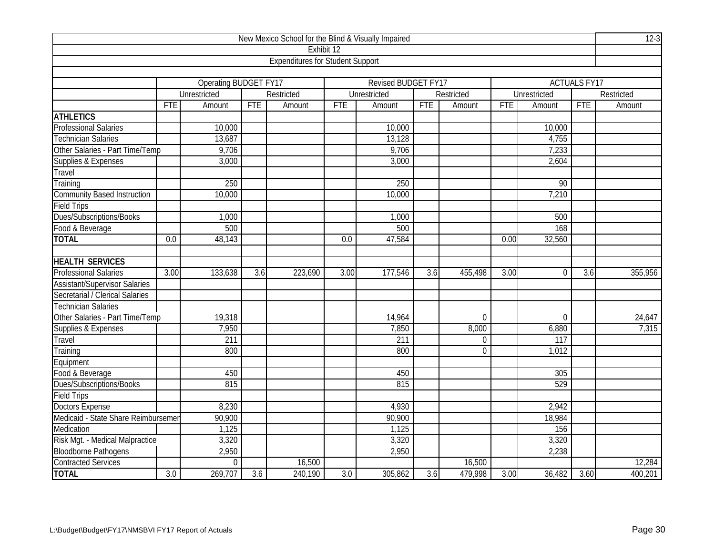| New Mexico School for the Blind & Visually Impaired |                  |                       |                  |                                         |                  |                     |            |                |            |                |                     | $12-3$     |
|-----------------------------------------------------|------------------|-----------------------|------------------|-----------------------------------------|------------------|---------------------|------------|----------------|------------|----------------|---------------------|------------|
|                                                     |                  |                       |                  | Exhibit 12                              |                  |                     |            |                |            |                |                     |            |
|                                                     |                  |                       |                  | <b>Expenditures for Student Support</b> |                  |                     |            |                |            |                |                     |            |
|                                                     |                  |                       |                  |                                         |                  |                     |            |                |            |                |                     |            |
|                                                     |                  | Operating BUDGET FY17 |                  |                                         |                  | Revised BUDGET FY17 |            |                |            |                | <b>ACTUALS FY17</b> |            |
|                                                     |                  | Unrestricted          |                  | Restricted                              |                  | Unrestricted        |            | Restricted     |            | Unrestricted   |                     | Restricted |
|                                                     | <b>FTE</b>       | Amount                | <b>FTE</b>       | Amount                                  | <b>FTE</b>       | Amount              | <b>FTE</b> | Amount         | <b>FTE</b> | Amount         | FTE                 | Amount     |
| <b>ATHLETICS</b>                                    |                  |                       |                  |                                         |                  |                     |            |                |            |                |                     |            |
| Professional Salaries                               |                  | 10,000                |                  |                                         |                  | 10,000              |            |                |            | 10,000         |                     |            |
| <b>Technician Salaries</b>                          |                  | 13,687                |                  |                                         |                  | 13,128              |            |                |            | 4,755          |                     |            |
| Other Salaries - Part Time/Temp                     |                  | 9,706                 |                  |                                         |                  | 9,706               |            |                |            | 7,233          |                     |            |
| Supplies & Expenses                                 |                  | 3,000                 |                  |                                         |                  | 3,000               |            |                |            | 2,604          |                     |            |
| Travel                                              |                  |                       |                  |                                         |                  |                     |            |                |            |                |                     |            |
| Training                                            |                  | 250                   |                  |                                         |                  | 250                 |            |                |            | 90             |                     |            |
| <b>Community Based Instruction</b>                  |                  | 10,000                |                  |                                         |                  | 10,000              |            |                |            | 7,210          |                     |            |
| <b>Field Trips</b>                                  |                  |                       |                  |                                         |                  |                     |            |                |            |                |                     |            |
| Dues/Subscriptions/Books                            |                  | 1,000                 |                  |                                         |                  | 1,000               |            |                |            | 500            |                     |            |
| Food & Beverage                                     |                  | 500                   |                  |                                         |                  | 500                 |            |                |            | 168            |                     |            |
| <b>TOTAL</b>                                        | $\overline{0.0}$ | 48,143                |                  |                                         | 0.0              | 47,584              |            |                | 0.00       | 32,560         |                     |            |
|                                                     |                  |                       |                  |                                         |                  |                     |            |                |            |                |                     |            |
| <b>HEALTH SERVICES</b>                              |                  |                       |                  |                                         |                  |                     |            |                |            |                |                     |            |
| <b>Professional Salaries</b>                        | 3.00             | 133,638               | 3.6              | 223,690                                 | 3.00             | 177,546             | 3.6        | 455,498        | 3.00       | $\Omega$       | 3.6                 | 355,956    |
| <b>Assistant/Supervisor Salaries</b>                |                  |                       |                  |                                         |                  |                     |            |                |            |                |                     |            |
| Secretarial / Clerical Salaries                     |                  |                       |                  |                                         |                  |                     |            |                |            |                |                     |            |
| <b>Technician Salaries</b>                          |                  |                       |                  |                                         |                  |                     |            |                |            |                |                     |            |
| Other Salaries - Part Time/Temp                     |                  | 19,318                |                  |                                         |                  | 14,964              |            | $\overline{0}$ |            | $\overline{0}$ |                     | 24,647     |
| Supplies & Expenses                                 |                  | 7,950                 |                  |                                         |                  | 7,850               |            | 8,000          |            | 6,880          |                     | 7,315      |
| Travel                                              |                  | $\overline{211}$      |                  |                                         |                  | 211                 |            | $\overline{0}$ |            | 117            |                     |            |
| Training                                            |                  | 800                   |                  |                                         |                  | 800                 |            | $\Omega$       |            | 1,012          |                     |            |
| Equipment                                           |                  |                       |                  |                                         |                  |                     |            |                |            |                |                     |            |
| Food & Beverage                                     |                  | 450                   |                  |                                         |                  | 450                 |            |                |            | 305            |                     |            |
| Dues/Subscriptions/Books                            |                  | 815                   |                  |                                         |                  | 815                 |            |                |            | 529            |                     |            |
| <b>Field Trips</b>                                  |                  |                       |                  |                                         |                  |                     |            |                |            |                |                     |            |
| Doctors Expense                                     |                  | 8,230                 |                  |                                         |                  | 4,930               |            |                |            | 2,942          |                     |            |
| Medicaid - State Share Reimbursemer                 |                  | 90,900                |                  |                                         |                  | 90,900              |            |                |            | 18,984         |                     |            |
| Medication                                          |                  | 1,125                 |                  |                                         |                  | 1,125               |            |                |            | 156            |                     |            |
| Risk Mgt. - Medical Malpractice                     |                  | 3,320                 |                  |                                         |                  | 3,320               |            |                |            | 3,320          |                     |            |
| <b>Bloodborne Pathogens</b>                         |                  | 2,950                 |                  |                                         |                  | 2,950               |            |                |            | 2,238          |                     |            |
| <b>Contracted Services</b>                          |                  | $\theta$              |                  | 16,500                                  |                  |                     |            | 16,500         |            |                |                     | 12,284     |
| <b>TOTAL</b>                                        | $\overline{3.0}$ | 269,707               | $\overline{3.6}$ | 240,190                                 | $\overline{3.0}$ | 305,862             | 3.6        | 479,998        | 3.00       | 36,482         | 3.60                | 400,201    |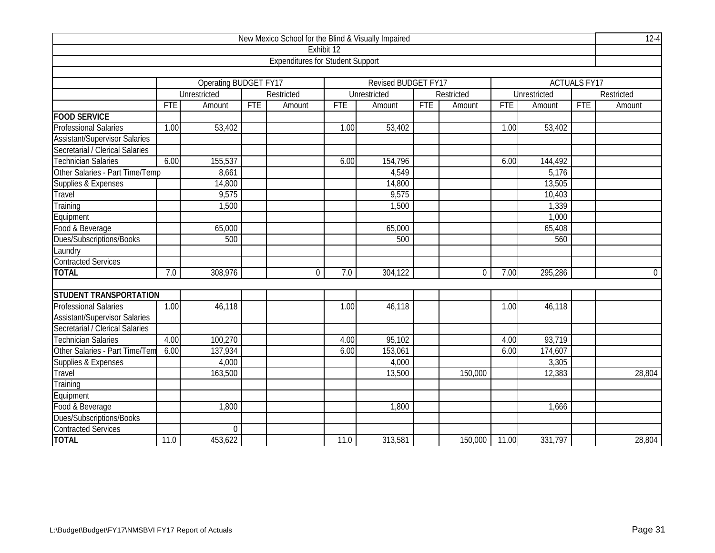| New Mexico School for the Blind & Visually Impaired |            |                              |            |                                         |            |                     |            |                |            |              |                     |             |
|-----------------------------------------------------|------------|------------------------------|------------|-----------------------------------------|------------|---------------------|------------|----------------|------------|--------------|---------------------|-------------|
|                                                     |            |                              |            | Exhibit 12                              |            |                     |            |                |            |              |                     |             |
|                                                     |            |                              |            | <b>Expenditures for Student Support</b> |            |                     |            |                |            |              |                     |             |
|                                                     |            |                              |            |                                         |            |                     |            |                |            |              |                     |             |
|                                                     |            | <b>Operating BUDGET FY17</b> |            |                                         |            | Revised BUDGET FY17 |            |                |            |              | <b>ACTUALS FY17</b> |             |
|                                                     |            | Unrestricted                 |            | Restricted                              |            | Unrestricted        |            | Restricted     |            | Unrestricted |                     | Restricted  |
|                                                     | <b>FTE</b> | Amount                       | <b>FTE</b> | Amount                                  | <b>FTE</b> | Amount              | <b>FTE</b> | Amount         | <b>FTE</b> | Amount       | <b>FTE</b>          | Amount      |
| <b>FOOD SERVICE</b>                                 |            |                              |            |                                         |            |                     |            |                |            |              |                     |             |
| <b>Professional Salaries</b>                        | 1.00       | 53,402                       |            |                                         | 1.00       | 53,402              |            |                | 1.00       | 53,402       |                     |             |
| <b>Assistant/Supervisor Salaries</b>                |            |                              |            |                                         |            |                     |            |                |            |              |                     |             |
| Secretarial / Clerical Salaries                     |            |                              |            |                                         |            |                     |            |                |            |              |                     |             |
| <b>Technician Salaries</b>                          | 6.00       | 155,537                      |            |                                         | 6.00       | 154,796             |            |                | 6.00       | 144,492      |                     |             |
| Other Salaries - Part Time/Temp                     |            | 8,661                        |            |                                         |            | 4,549               |            |                |            | 5,176        |                     |             |
| Supplies & Expenses                                 |            | 14,800                       |            |                                         |            | 14,800              |            |                |            | 13,505       |                     |             |
| Travel                                              |            | 9,575                        |            |                                         |            | 9,575               |            |                |            | 10,403       |                     |             |
| Training                                            |            | 1,500                        |            |                                         |            | 1,500               |            |                |            | 1,339        |                     |             |
| Equipment                                           |            |                              |            |                                         |            |                     |            |                |            | 1,000        |                     |             |
| Food & Beverage                                     |            | 65,000                       |            |                                         |            | 65,000              |            |                |            | 65,408       |                     |             |
| Dues/Subscriptions/Books                            |            | 500                          |            |                                         |            | 500                 |            |                |            | 560          |                     |             |
| _aundry                                             |            |                              |            |                                         |            |                     |            |                |            |              |                     |             |
| <b>Contracted Services</b>                          |            |                              |            |                                         |            |                     |            |                |            |              |                     |             |
| <b>TOTAL</b>                                        | 7.0        | 308,976                      |            | 0                                       | 7.0        | 304,122             |            | $\overline{0}$ | 7.00       | 295,286      |                     | $\mathbf 0$ |
|                                                     |            |                              |            |                                         |            |                     |            |                |            |              |                     |             |
| <b>STUDENT TRANSPORTATION</b>                       |            |                              |            |                                         |            |                     |            |                |            |              |                     |             |
| <b>Professional Salaries</b>                        | 1.00       | 46,118                       |            |                                         | 1.00       | 46,118              |            |                | 1.00       | 46,118       |                     |             |
| <b>Assistant/Supervisor Salaries</b>                |            |                              |            |                                         |            |                     |            |                |            |              |                     |             |
| Secretarial / Clerical Salaries                     |            |                              |            |                                         |            |                     |            |                |            |              |                     |             |
| <b>Technician Salaries</b>                          | 4.00       | 100,270                      |            |                                         | 4.00       | 95,102              |            |                | 4.00       | 93,719       |                     |             |
| Other Salaries - Part Time/Tem                      | 6.00       | 137,934                      |            |                                         | 6.00       | 153,061             |            |                | 6.00       | 174,607      |                     |             |
| Supplies & Expenses                                 |            | 4,000                        |            |                                         |            | 4,000               |            |                |            | 3,305        |                     |             |
| Travel                                              |            | 163,500                      |            |                                         |            | 13,500              |            | 150,000        |            | 12,383       |                     | 28,804      |
| Training                                            |            |                              |            |                                         |            |                     |            |                |            |              |                     |             |
| Equipment                                           |            |                              |            |                                         |            |                     |            |                |            |              |                     |             |
| Food & Beverage                                     |            | 1,800                        |            |                                         |            | 1,800               |            |                |            | 1,666        |                     |             |
| Dues/Subscriptions/Books                            |            |                              |            |                                         |            |                     |            |                |            |              |                     |             |
| <b>Contracted Services</b>                          |            | $\boldsymbol{0}$             |            |                                         |            |                     |            |                |            |              |                     |             |
| <b>TOTAL</b>                                        | 11.0       | 453,622                      |            |                                         | 11.0       | 313,581             |            | 150,000        | 11.00      | 331,797      |                     | 28,804      |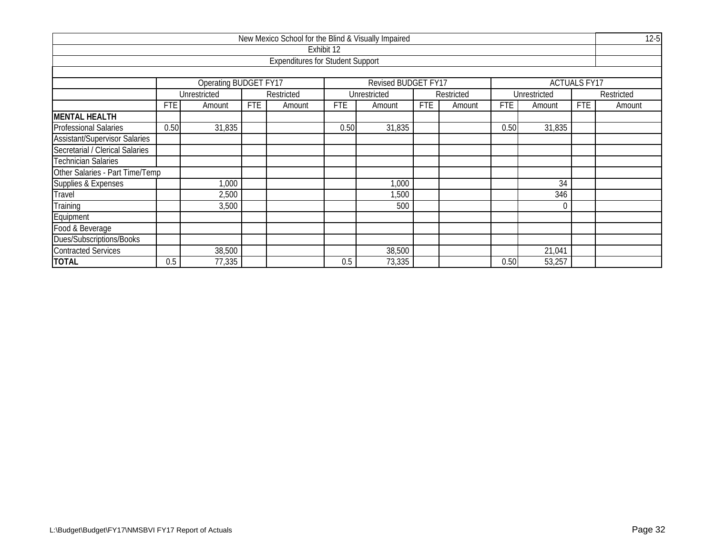| New Mexico School for the Blind & Visually Impaired |            |                                           |            |                                         |            |                            |     |            |            |                 |                     |            |  |
|-----------------------------------------------------|------------|-------------------------------------------|------------|-----------------------------------------|------------|----------------------------|-----|------------|------------|-----------------|---------------------|------------|--|
|                                                     |            |                                           |            |                                         | Exhibit 12 |                            |     |            |            |                 |                     |            |  |
|                                                     |            |                                           |            | <b>Expenditures for Student Support</b> |            |                            |     |            |            |                 |                     |            |  |
|                                                     |            |                                           |            |                                         |            |                            |     |            |            |                 |                     |            |  |
|                                                     |            | <b>Operating BUDGET FY17</b>              |            |                                         |            | <b>Revised BUDGET FY17</b> |     |            |            |                 | <b>ACTUALS FY17</b> |            |  |
|                                                     |            | Unrestricted                              |            | Restricted                              |            | Unrestricted               |     | Restricted |            | Unrestricted    |                     | Restricted |  |
|                                                     | <b>FTE</b> | Amount                                    | <b>FTE</b> | Amount                                  | <b>FTE</b> | Amount                     | FTE | Amount     | <b>FTE</b> | Amount          | <b>FTE</b>          | Amount     |  |
| <b>MENTAL HEALTH</b>                                |            |                                           |            |                                         |            |                            |     |            |            |                 |                     |            |  |
| <b>Professional Salaries</b>                        | 0.50       | 31,835                                    |            |                                         | 0.50       | 31,835                     |     |            | 0.50       | 31,835          |                     |            |  |
| <b>Assistant/Supervisor Salaries</b>                |            |                                           |            |                                         |            |                            |     |            |            |                 |                     |            |  |
| Secretarial / Clerical Salaries                     |            |                                           |            |                                         |            |                            |     |            |            |                 |                     |            |  |
| <b>Technician Salaries</b>                          |            |                                           |            |                                         |            |                            |     |            |            |                 |                     |            |  |
| Other Salaries - Part Time/Temp                     |            |                                           |            |                                         |            |                            |     |            |            |                 |                     |            |  |
| Supplies & Expenses                                 |            | 1,000                                     |            |                                         |            | 1,000                      |     |            |            | $\overline{34}$ |                     |            |  |
| Travel                                              |            | 2,500                                     |            |                                         |            | 1,500                      |     |            |            | 346             |                     |            |  |
| Training                                            |            | 3,500                                     |            |                                         |            | 500                        |     |            |            |                 |                     |            |  |
| Equipment                                           |            |                                           |            |                                         |            |                            |     |            |            |                 |                     |            |  |
| Food & Beverage                                     |            |                                           |            |                                         |            |                            |     |            |            |                 |                     |            |  |
| Dues/Subscriptions/Books                            |            |                                           |            |                                         |            |                            |     |            |            |                 |                     |            |  |
| <b>Contracted Services</b>                          |            | 38,500                                    |            |                                         |            | 38,500                     |     |            |            | 21,041          |                     |            |  |
| <b>TOTAL</b>                                        | 0.5        | 77,335<br>73,335<br>53,257<br>0.5<br>0.50 |            |                                         |            |                            |     |            |            |                 |                     |            |  |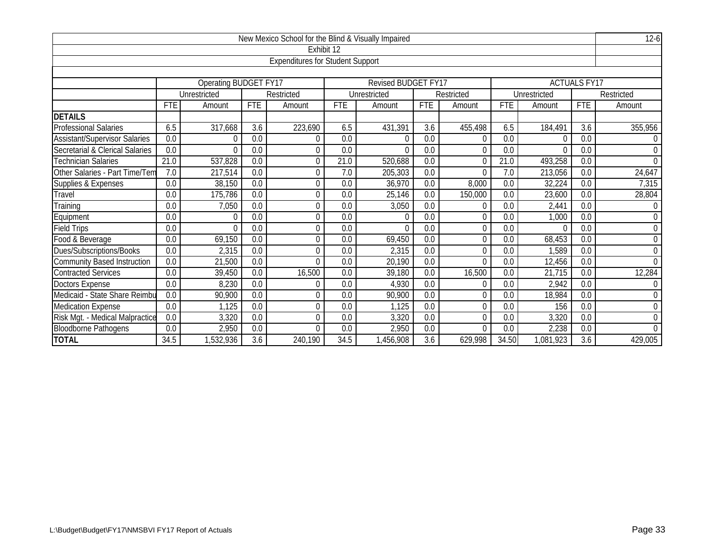| New Mexico School for the Blind & Visually Impaired<br>$12-6$ |                                                                                                                         |                                                                                    |                  |                                         |                  |                            |                  |                |            |              |                     |                         |  |  |  |
|---------------------------------------------------------------|-------------------------------------------------------------------------------------------------------------------------|------------------------------------------------------------------------------------|------------------|-----------------------------------------|------------------|----------------------------|------------------|----------------|------------|--------------|---------------------|-------------------------|--|--|--|
|                                                               |                                                                                                                         |                                                                                    |                  | Exhibit 12                              |                  |                            |                  |                |            |              |                     |                         |  |  |  |
|                                                               |                                                                                                                         |                                                                                    |                  | <b>Expenditures for Student Support</b> |                  |                            |                  |                |            |              |                     |                         |  |  |  |
|                                                               |                                                                                                                         |                                                                                    |                  |                                         |                  |                            |                  |                |            |              |                     |                         |  |  |  |
|                                                               |                                                                                                                         | <b>Operating BUDGET FY17</b>                                                       |                  |                                         |                  | <b>Revised BUDGET FY17</b> |                  |                |            |              | <b>ACTUALS FY17</b> |                         |  |  |  |
|                                                               |                                                                                                                         | Unrestricted                                                                       |                  | Restricted                              |                  | Unrestricted               |                  | Restricted     |            | Unrestricted |                     | Restricted              |  |  |  |
|                                                               | <b>FTE</b>                                                                                                              | Amount                                                                             | <b>FTE</b>       | Amount                                  | <b>FTE</b>       | Amount                     | <b>FTE</b>       | Amount         | <b>FTE</b> | Amount       | <b>FTE</b>          | Amount                  |  |  |  |
| <b>DETAILS</b>                                                |                                                                                                                         |                                                                                    |                  |                                         |                  |                            |                  |                |            |              |                     |                         |  |  |  |
| Professional Salaries                                         | 6.5                                                                                                                     | 317,668                                                                            | 3.6              | 223,690                                 | 6.5              | 431,391                    | 3.6              | 455,498        | 6.5        | 184,491      | 3.6                 | 355,956                 |  |  |  |
| <b>Assistant/Supervisor Salaries</b>                          | 0.0                                                                                                                     | 0                                                                                  | 0.0              | 0                                       | 0.0              | $\Omega$                   | 0.0              | 0              | 0.0        |              | 0.0                 | $\Omega$<br>$\mathbf 0$ |  |  |  |
| Secretarial & Clerical Salaries                               | 0.0                                                                                                                     | 0.0<br>0.0<br>0.0<br>0.0<br>0.0<br>$\Omega$<br>0<br>$\Omega$<br>$\Omega$<br>$\cap$ |                  |                                         |                  |                            |                  |                |            |              |                     |                         |  |  |  |
| <b>Technician Salaries</b>                                    | $\overline{0}$<br>21.0<br>537,828<br>$\theta$<br>21.0<br>520,688<br>0.0<br>21.0<br>493,258<br>0.0<br>0.0<br>0<br>24,647 |                                                                                    |                  |                                         |                  |                            |                  |                |            |              |                     |                         |  |  |  |
| Other Salaries - Part Time/Tem                                | 7.0                                                                                                                     | 217,514<br>0.0<br>0.0<br>213,056<br>0.0<br>0<br>7.0<br>205,303<br>7.0              |                  |                                         |                  |                            |                  |                |            |              |                     |                         |  |  |  |
| Supplies & Expenses                                           | $\overline{0.0}$                                                                                                        | 38,150                                                                             | $\overline{0.0}$ | 0                                       | $\overline{0.0}$ | 36,970                     | $\overline{0.0}$ | 8,000          | 0.0        | 32,224       | $\overline{0.0}$    | 7,315                   |  |  |  |
| Travel                                                        | 0.0                                                                                                                     | 175,786                                                                            | 0.0              | $\theta$                                | 0.0              | 25,146                     | 0.0              | 150,000        | 0.0        | 23,600       | 0.0                 | 28,804                  |  |  |  |
| Training                                                      | 0.0                                                                                                                     | 7,050                                                                              | 0.0              | 0                                       | 0.0              | 3,050                      | 0.0              |                | 0.0        | 2,441        | 0.0                 | $\overline{0}$          |  |  |  |
| Equipment                                                     | 0.0                                                                                                                     | $\theta$                                                                           | 0.0              | 0                                       | 0.0              | $\theta$                   | $\overline{0.0}$ | $\Omega$       | 0.0        | 1,000        | $\overline{0.0}$    | $\boldsymbol{0}$        |  |  |  |
| <b>Field Trips</b>                                            | 0.0                                                                                                                     | $\Omega$                                                                           | 0.0              | $\mathbf 0$                             | 0.0              | $\Omega$                   | 0.0              | $\overline{0}$ | 0.0        |              | 0.0                 | $\mathbf 0$             |  |  |  |
| Food & Beverage                                               | 0.0                                                                                                                     | 69,150                                                                             | 0.0              | $\theta$                                | 0.0              | 69,450                     | 0.0              | 0              | 0.0        | 68,453       | 0.0                 | 0                       |  |  |  |
| Dues/Subscriptions/Books                                      | 0.0                                                                                                                     | 2,315                                                                              | 0.0              | $\theta$                                | 0.0              | 2,315                      | 0.0              | $\Omega$       | 0.0        | 1,589        | 0.0                 | $\boldsymbol{0}$        |  |  |  |
| <b>Community Based Instruction</b>                            | 0.0                                                                                                                     | 21,500                                                                             | 0.0              | $\Omega$                                | 0.0              | 20,190                     | 0.0              | $\Omega$       | 0.0        | 12,456       | 0.0                 | $\mathbf 0$             |  |  |  |
| <b>Contracted Services</b>                                    | $\overline{0.0}$                                                                                                        | 39,450                                                                             | 0.0              | 16,500                                  | 0.0              | 39,180                     | 0.0              | 16,500         | 0.0        | 21,715       | 0.0                 | 12,284                  |  |  |  |
| <b>Doctors Expense</b>                                        | 0.0                                                                                                                     | 8,230                                                                              | 0.0              | $\theta$                                | 0.0              | 4,930                      | 0.0              | $\Omega$       | 0.0        | 2,942        | 0.0                 | $\mathbf 0$             |  |  |  |
| Medicaid - State Share Reimbu                                 | 90,900                                                                                                                  | 0                                                                                  | 90,900           | 0.0                                     | 0                | 0.0                        | 18,984           | 0.0            | 0          |              |                     |                         |  |  |  |
| Medication Expense                                            | 0.0                                                                                                                     | 1,125                                                                              | 0.0              | $\theta$                                | 0.0              | 1,125                      | 0.0              | $\Omega$       | 0.0        | 156          | 0.0                 | 0                       |  |  |  |
| Risk Mgt. - Medical Malpractice                               | 0.0                                                                                                                     | 3,320                                                                              | 0.0              | 0                                       | 0.0              | 3,320                      | 0.0              | $\Omega$       | 0.0        | 3,320        | 0.0                 | $\mathbf 0$             |  |  |  |
| <b>Bloodborne Pathogens</b>                                   | 0.0                                                                                                                     | 2,950                                                                              | 0.0              | $\theta$                                | 0.0              | 2,950                      | 0.0              | 0              | 0.0        | 2,238        | 0.0                 | $\overline{0}$          |  |  |  |
| <b>TOTAL</b>                                                  | 34.5                                                                                                                    | ,532,936                                                                           | 3.6              | 240,190                                 | 34.5             | 1,456,908                  | 3.6              | 629,998        | 34.50      | 1,081,923    | 3.6                 | 429,005                 |  |  |  |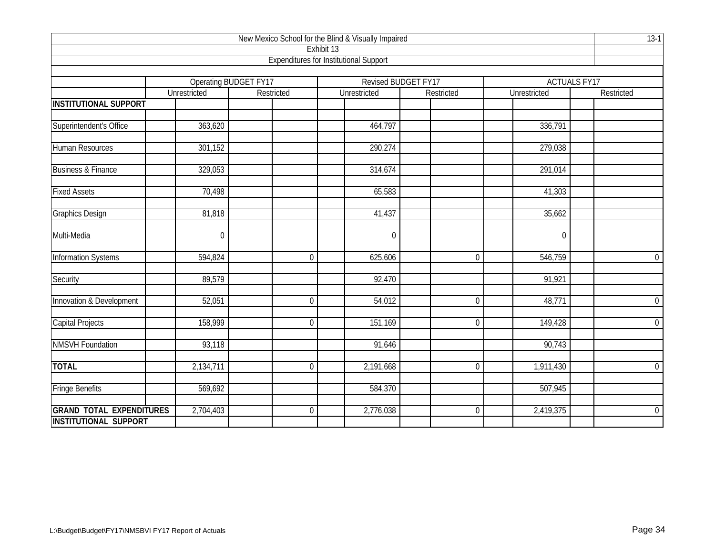|                                 |                  |                              | New Mexico School for the Blind & Visually Impaired         |                     |              | $13-1$              |
|---------------------------------|------------------|------------------------------|-------------------------------------------------------------|---------------------|--------------|---------------------|
|                                 |                  |                              | Exhibit 13<br><b>Expenditures for Institutional Support</b> |                     |              |                     |
|                                 |                  |                              |                                                             |                     |              |                     |
|                                 |                  | <b>Operating BUDGET FY17</b> |                                                             | Revised BUDGET FY17 |              | <b>ACTUALS FY17</b> |
|                                 | Unrestricted     | Restricted                   | Unrestricted                                                | Restricted          | Unrestricted | Restricted          |
| <b>INSTITUTIONAL SUPPORT</b>    |                  |                              |                                                             |                     |              |                     |
|                                 |                  |                              |                                                             |                     |              |                     |
| Superintendent's Office         | 363,620          |                              | 464,797                                                     |                     | 336,791      |                     |
| <b>Human Resources</b>          | 301,152          |                              | 290,274                                                     |                     | 279,038      |                     |
|                                 |                  |                              |                                                             |                     |              |                     |
| <b>Business &amp; Finance</b>   | 329,053          |                              | 314,674                                                     |                     | 291,014      |                     |
| <b>Fixed Assets</b>             | 70,498           |                              | 65,583                                                      |                     | 41,303       |                     |
|                                 |                  |                              |                                                             |                     |              |                     |
| <b>Graphics Design</b>          | 81,818           |                              | 41,437                                                      |                     | 35,662       |                     |
|                                 |                  |                              |                                                             |                     |              |                     |
| Multi-Media                     | $\boldsymbol{0}$ |                              | $\mathbf 0$                                                 |                     | $\mathbf 0$  |                     |
| <b>Information Systems</b>      | 594,824          | $\Omega$                     | 625,606                                                     | $\overline{0}$      | 546,759      | $\overline{0}$      |
| Security                        | 89,579           |                              | 92,470                                                      |                     | 91,921       |                     |
|                                 |                  |                              |                                                             |                     |              |                     |
| Innovation & Development        | 52,051           | $\overline{0}$               | 54,012                                                      | $\overline{0}$      | 48,771       | $\overline{0}$      |
| <b>Capital Projects</b>         | 158,999          | $\overline{0}$               | 151,169                                                     | $\overline{0}$      | 149,428      | $\overline{0}$      |
|                                 |                  |                              |                                                             |                     |              |                     |
| <b>NMSVH Foundation</b>         | 93,118           |                              | 91,646                                                      |                     | 90,743       |                     |
| <b>TOTAL</b>                    | 2,134,711        | $\overline{0}$               | 2,191,668                                                   | $\overline{0}$      | 1,911,430    | $\mathbf 0$         |
|                                 |                  |                              |                                                             |                     |              |                     |
| <b>Fringe Benefits</b>          | 569,692          |                              | 584,370                                                     |                     | 507,945      |                     |
| <b>GRAND TOTAL EXPENDITURES</b> | 2,704,403        | $\Omega$                     | 2,776,038                                                   | $\overline{0}$      | 2,419,375    | $\mathbf 0$         |
| <b>INSTITUTIONAL SUPPORT</b>    |                  |                              |                                                             |                     |              |                     |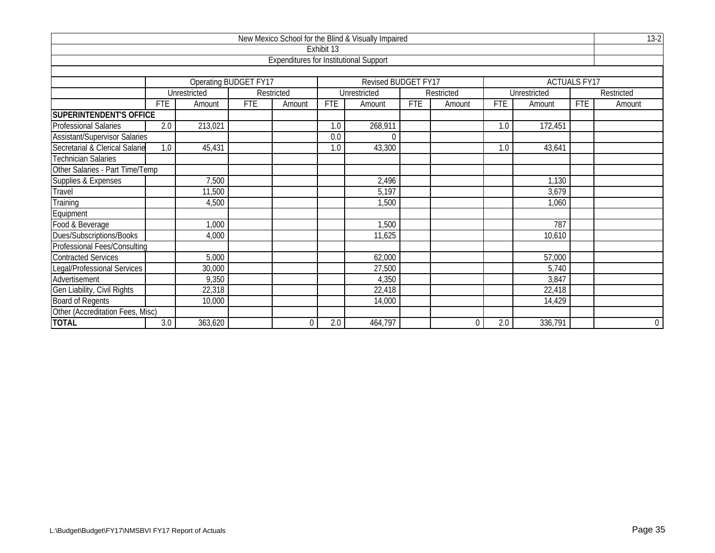| New Mexico School for the Blind & Visually Impaired<br>Exhibit 13 |            |                              |            |                                               |            |                            |            |            |            |              |                     |                |  |
|-------------------------------------------------------------------|------------|------------------------------|------------|-----------------------------------------------|------------|----------------------------|------------|------------|------------|--------------|---------------------|----------------|--|
|                                                                   |            |                              |            |                                               |            |                            |            |            |            |              |                     |                |  |
|                                                                   |            |                              |            | <b>Expenditures for Institutional Support</b> |            |                            |            |            |            |              |                     |                |  |
|                                                                   |            |                              |            |                                               |            |                            |            |            |            |              |                     |                |  |
|                                                                   |            | <b>Operating BUDGET FY17</b> |            |                                               |            | <b>Revised BUDGET FY17</b> |            |            |            |              | <b>ACTUALS FY17</b> |                |  |
|                                                                   |            | Unrestricted                 |            | Restricted                                    |            | Unrestricted               |            | Restricted |            | Unrestricted |                     | Restricted     |  |
|                                                                   | <b>FTE</b> | Amount                       | <b>FTE</b> | Amount                                        | <b>FTE</b> | Amount                     | <b>FTE</b> | Amount     | <b>FTE</b> | Amount       | <b>FTE</b>          | Amount         |  |
| <b>SUPERINTENDENT'S OFFICE</b>                                    |            |                              |            |                                               |            |                            |            |            |            |              |                     |                |  |
| Professional Salaries                                             | 2.0        | 213,021                      |            |                                               | 1.0        | 268,911                    |            |            | 1.0        | 172,451      |                     |                |  |
| <b>Assistant/Supervisor Salaries</b>                              |            |                              |            |                                               | 0.0        | $\Omega$                   |            |            |            |              |                     |                |  |
| Secretarial & Clerical Salarie                                    | 1.0        | 45,431                       |            |                                               | 1.0        | 43,300                     |            |            | 1.0        | 43,641       |                     |                |  |
| <b>Technician Salaries</b>                                        |            |                              |            |                                               |            |                            |            |            |            |              |                     |                |  |
| Other Salaries - Part Time/Temp                                   |            |                              |            |                                               |            |                            |            |            |            |              |                     |                |  |
|                                                                   |            | 7,500                        |            |                                               |            | 2,496                      |            |            |            | 1,130        |                     |                |  |
| Supplies & Expenses<br>Travel                                     |            | 11,500                       |            |                                               |            | 5,197                      |            |            |            | 3,679        |                     |                |  |
| Training                                                          |            | 4,500                        |            |                                               |            | 1,500                      |            |            |            | 1,060        |                     |                |  |
| Equipment                                                         |            |                              |            |                                               |            |                            |            |            |            |              |                     |                |  |
| Food & Beverage                                                   |            | 1,000                        |            |                                               |            | 1,500                      |            |            |            | 787          |                     |                |  |
| Dues/Subscriptions/Books                                          |            | 4,000                        |            |                                               |            | 11,625                     |            |            |            | 10,610       |                     |                |  |
| <b>Professional Fees/Consulting</b>                               |            |                              |            |                                               |            |                            |            |            |            |              |                     |                |  |
| <b>Contracted Services</b>                                        |            | 5,000                        |            |                                               |            | 62,000                     |            |            |            | 57,000       |                     |                |  |
| Legal/Professional Services                                       |            | 30,000                       |            |                                               |            | 27,500                     |            |            |            | 5,740        |                     |                |  |
| Advertisement                                                     |            | 9,350                        |            |                                               |            | 4,350                      |            |            |            | 3,847        |                     |                |  |
| Gen Liability, Civil Rights                                       |            | 22,318                       |            |                                               |            | 22,418                     |            |            |            | 22,418       |                     |                |  |
| <b>Board of Regents</b>                                           |            | 10,000                       |            |                                               |            | 14,000                     |            |            |            | 14,429       |                     |                |  |
| Other (Accreditation Fees, Misc)                                  |            |                              |            |                                               |            |                            |            |            |            |              |                     |                |  |
| <b>TOTAL</b>                                                      | 3.0        | 363,620                      |            | 0                                             | 2.0        | 464,797                    |            | $\Omega$   | 2.0        | 336,791      |                     | $\overline{0}$ |  |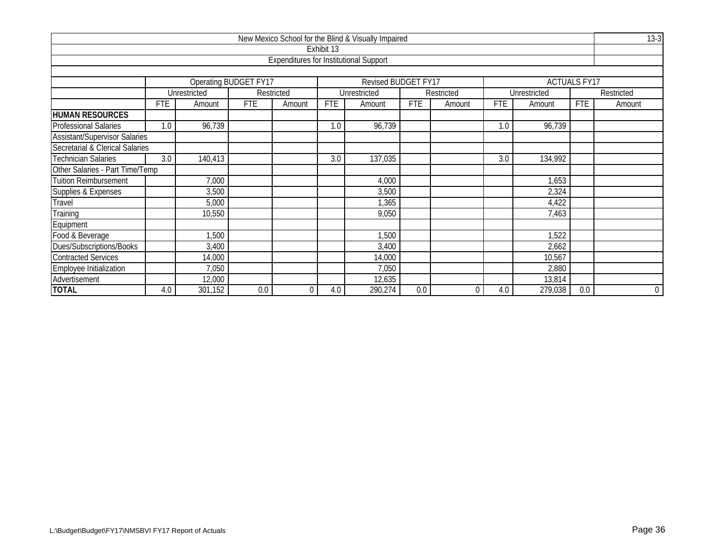| New Mexico School for the Blind & Visually Impaired |            |                                             |                              |                                               |            |                     |            |            |            |              |                     |                |  |
|-----------------------------------------------------|------------|---------------------------------------------|------------------------------|-----------------------------------------------|------------|---------------------|------------|------------|------------|--------------|---------------------|----------------|--|
|                                                     |            |                                             |                              |                                               | Exhibit 13 |                     |            |            |            |              |                     |                |  |
|                                                     |            |                                             |                              | <b>Expenditures for Institutional Support</b> |            |                     |            |            |            |              |                     |                |  |
|                                                     |            |                                             |                              |                                               |            |                     |            |            |            |              |                     |                |  |
|                                                     |            |                                             | <b>Operating BUDGET FY17</b> |                                               |            | Revised BUDGET FY17 |            |            |            |              | <b>ACTUALS FY17</b> |                |  |
|                                                     |            | Unrestricted                                |                              | Restricted                                    |            | Unrestricted        |            | Restricted |            | Unrestricted |                     | Restricted     |  |
|                                                     | <b>FTE</b> | Amount                                      | <b>FTE</b>                   | Amount                                        | <b>FTE</b> | Amount              | <b>FTE</b> | Amount     | <b>FTE</b> | Amount       | <b>FTE</b>          | Amount         |  |
| <b>HUMAN RESOURCES</b>                              |            |                                             |                              |                                               |            |                     |            |            |            |              |                     |                |  |
| <b>Professional Salaries</b>                        | 1.0        | 96,739                                      |                              |                                               | 1.0        | 96,739              |            |            | 1.0        | 96,739       |                     |                |  |
| <b>Assistant/Supervisor Salaries</b>                |            |                                             |                              |                                               |            |                     |            |            |            |              |                     |                |  |
| Secretarial & Clerical Salaries                     |            |                                             |                              |                                               |            |                     |            |            |            |              |                     |                |  |
| <b>Technician Salaries</b>                          | 3.0        | 137,035<br>3.0<br>3.0<br>140,413<br>134,992 |                              |                                               |            |                     |            |            |            |              |                     |                |  |
| Other Salaries - Part Time/Temp                     |            |                                             |                              |                                               |            |                     |            |            |            |              |                     |                |  |
| <b>Tuition Reimbursement</b>                        |            | 7,000                                       |                              |                                               |            | 4,000               |            |            |            | 1,653        |                     |                |  |
| Supplies & Expenses                                 |            | 3,500                                       |                              |                                               |            | 3,500               |            |            |            | 2,324        |                     |                |  |
| Travel                                              |            | 5,000                                       |                              |                                               |            | 1,365               |            |            |            | 4,422        |                     |                |  |
| Training                                            |            | 10,550                                      |                              |                                               |            | 9,050               |            |            |            | 7,463        |                     |                |  |
| Equipment                                           |            |                                             |                              |                                               |            |                     |            |            |            |              |                     |                |  |
| Food & Beverage                                     |            | 1,500                                       |                              |                                               |            | 1,500               |            |            |            | 1,522        |                     |                |  |
| Dues/Subscriptions/Books                            |            | 3,400                                       |                              |                                               |            | 3,400               |            |            |            | 2,662        |                     |                |  |
| <b>Contracted Services</b>                          |            | 14,000                                      |                              |                                               |            | 14,000              |            |            |            | 10,567       |                     |                |  |
| Employee Initialization                             |            | 7,050                                       |                              |                                               |            | 7,050               |            |            |            | 2,880        |                     |                |  |
| Advertisement                                       |            | 12,000                                      |                              |                                               |            | 12,635              |            |            |            | 13,814       |                     |                |  |
| <b>TOTAL</b>                                        | 4.0        | 301,152                                     | 0.0                          | $\overline{0}$                                | 4.0        | 290,274             | 0.0        | $\Omega$   | 4.0        | 279,038      | 0.0                 | $\overline{0}$ |  |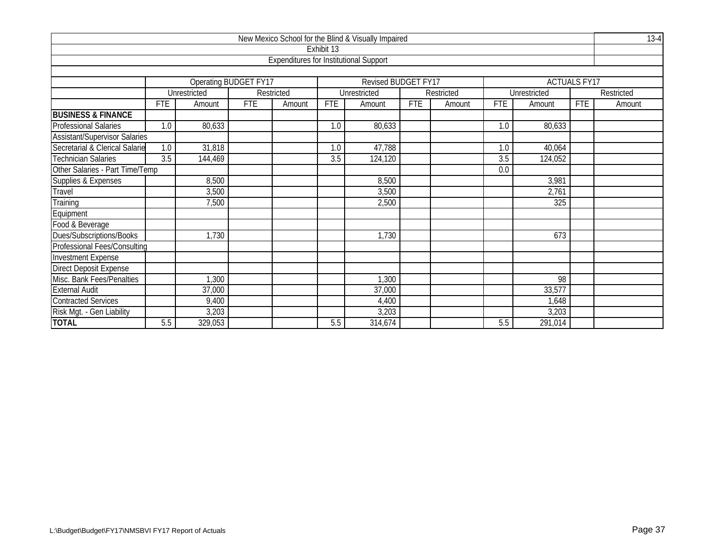|                                      |                                                    |                       |     |                                               |            | New Mexico School for the Blind & Visually Impaired |            |            |            |              |                     | $13-4$     |  |
|--------------------------------------|----------------------------------------------------|-----------------------|-----|-----------------------------------------------|------------|-----------------------------------------------------|------------|------------|------------|--------------|---------------------|------------|--|
|                                      |                                                    |                       |     |                                               | Exhibit 13 |                                                     |            |            |            |              |                     |            |  |
|                                      |                                                    |                       |     | <b>Expenditures for Institutional Support</b> |            |                                                     |            |            |            |              |                     |            |  |
|                                      |                                                    | Operating BUDGET FY17 |     |                                               |            | Revised BUDGET FY17                                 |            |            |            |              | <b>ACTUALS FY17</b> |            |  |
|                                      |                                                    | Unrestricted          |     | Restricted                                    |            | Unrestricted                                        |            | Restricted |            | Unrestricted |                     | Restricted |  |
|                                      | <b>FTE</b>                                         | Amount                | FTE | Amount                                        | <b>FTE</b> | Amount                                              | <b>FTE</b> | Amount     | <b>FTE</b> | Amount       | <b>FTE</b>          | Amount     |  |
| <b>BUSINESS &amp; FINANCE</b>        |                                                    |                       |     |                                               |            |                                                     |            |            |            |              |                     |            |  |
| <b>Professional Salaries</b>         | 1.0                                                | 80,633                |     |                                               | 1.0        | 80,633                                              |            |            | 1.0        | 80,633       |                     |            |  |
| <b>Assistant/Supervisor Salaries</b> |                                                    |                       |     |                                               |            |                                                     |            |            |            |              |                     |            |  |
| Secretarial & Clerical Salarie       | 47,788<br>1.0<br>31,818<br>1.0<br>1.0<br>40,064    |                       |     |                                               |            |                                                     |            |            |            |              |                     |            |  |
| <b>Technician Salaries</b>           | 3.5<br>3.5<br>3.5<br>124,120<br>124,052<br>144,469 |                       |     |                                               |            |                                                     |            |            |            |              |                     |            |  |
|                                      | Other Salaries - Part Time/Temp<br>0.0             |                       |     |                                               |            |                                                     |            |            |            |              |                     |            |  |
| Supplies & Expenses                  |                                                    | 8,500                 |     |                                               |            | 8,500                                               |            |            |            | 3,981        |                     |            |  |
| Travel                               |                                                    | 3,500                 |     |                                               |            | 3,500                                               |            |            |            | 2,761        |                     |            |  |
| Training                             |                                                    | 7,500                 |     |                                               |            | 2,500                                               |            |            |            | 325          |                     |            |  |
| Equipment                            |                                                    |                       |     |                                               |            |                                                     |            |            |            |              |                     |            |  |
| Food & Beverage                      |                                                    |                       |     |                                               |            |                                                     |            |            |            |              |                     |            |  |
| Dues/Subscriptions/Books             |                                                    | 1,730                 |     |                                               |            | 1,730                                               |            |            |            | 673          |                     |            |  |
| <b>Professional Fees/Consulting</b>  |                                                    |                       |     |                                               |            |                                                     |            |            |            |              |                     |            |  |
| <b>Investment Expense</b>            |                                                    |                       |     |                                               |            |                                                     |            |            |            |              |                     |            |  |
| <b>Direct Deposit Expense</b>        |                                                    |                       |     |                                               |            |                                                     |            |            |            |              |                     |            |  |
| Misc. Bank Fees/Penalties            |                                                    | 1,300                 |     |                                               |            | 1,300                                               |            |            |            | 98           |                     |            |  |
| <b>External Audit</b>                |                                                    | 37,000                |     |                                               |            | 37,000                                              |            |            |            | 33,577       |                     |            |  |
| <b>Contracted Services</b>           |                                                    | 9,400                 |     |                                               |            | 4,400                                               |            |            |            | 1,648        |                     |            |  |
| Risk Mgt. - Gen Liability            |                                                    | 3,203                 |     |                                               |            | 3,203                                               |            |            |            | 3,203        |                     |            |  |
| <b>TOTAL</b>                         | 5.5                                                | 329,053               |     |                                               | 5.5        | 314,674                                             |            |            | 5.5        | 291,014      |                     |            |  |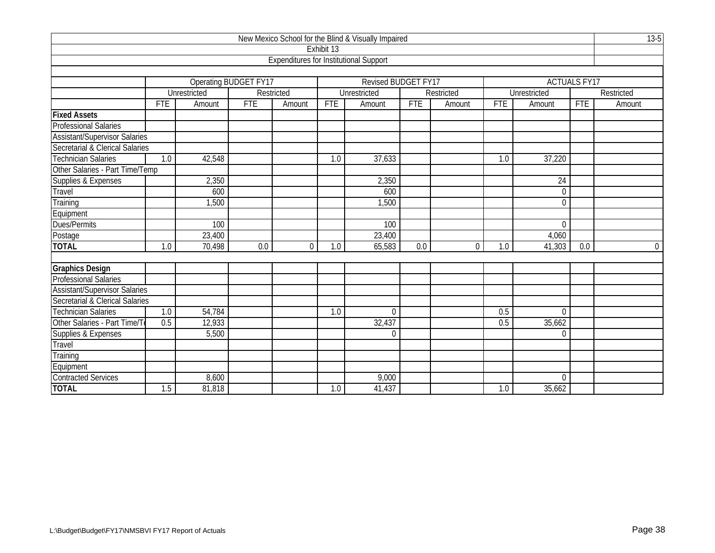|                                      |                                                              |                               |                              |                                               |            | New Mexico School for the Blind & Visually Impaired |            |                |            |              |                     | $13-5$     |  |
|--------------------------------------|--------------------------------------------------------------|-------------------------------|------------------------------|-----------------------------------------------|------------|-----------------------------------------------------|------------|----------------|------------|--------------|---------------------|------------|--|
|                                      |                                                              |                               |                              |                                               | Exhibit 13 |                                                     |            |                |            |              |                     |            |  |
|                                      |                                                              |                               |                              | <b>Expenditures for Institutional Support</b> |            |                                                     |            |                |            |              |                     |            |  |
|                                      |                                                              |                               |                              |                                               |            |                                                     |            |                |            |              |                     |            |  |
|                                      |                                                              |                               | <b>Operating BUDGET FY17</b> |                                               |            | <b>Revised BUDGET FY17</b>                          |            |                |            |              | <b>ACTUALS FY17</b> |            |  |
|                                      |                                                              | Unrestricted                  |                              | Restricted                                    |            | Unrestricted                                        |            | Restricted     |            | Unrestricted |                     | Restricted |  |
|                                      | <b>FTE</b>                                                   | Amount                        | <b>FTE</b>                   | Amount                                        | <b>FTE</b> | Amount                                              | <b>FTE</b> | Amount         | <b>FTE</b> | Amount       | <b>FTE</b>          | Amount     |  |
| <b>Fixed Assets</b>                  |                                                              |                               |                              |                                               |            |                                                     |            |                |            |              |                     |            |  |
| <b>Professional Salaries</b>         |                                                              |                               |                              |                                               |            |                                                     |            |                |            |              |                     |            |  |
| <b>Assistant/Supervisor Salaries</b> |                                                              |                               |                              |                                               |            |                                                     |            |                |            |              |                     |            |  |
| Secretarial & Clerical Salaries      |                                                              |                               |                              |                                               |            |                                                     |            |                |            |              |                     |            |  |
| <b>Technician Salaries</b>           | $\overline{1.0}$<br>42,548<br>37,633<br>37,220<br>1.0<br>1.0 |                               |                              |                                               |            |                                                     |            |                |            |              |                     |            |  |
| Other Salaries - Part Time/Temp      |                                                              |                               |                              |                                               |            |                                                     |            |                |            |              |                     |            |  |
| Supplies & Expenses                  | 2,350<br>$\overline{24}$<br>2,350                            |                               |                              |                                               |            |                                                     |            |                |            |              |                     |            |  |
| Travel                               |                                                              | 600<br>600<br>$\mathbf 0$     |                              |                                               |            |                                                     |            |                |            |              |                     |            |  |
| Training                             |                                                              | 1,500<br>1,500<br>$\mathbf 0$ |                              |                                               |            |                                                     |            |                |            |              |                     |            |  |
| Equipment                            |                                                              |                               |                              |                                               |            |                                                     |            |                |            |              |                     |            |  |
| Dues/Permits                         |                                                              | 100                           |                              |                                               |            | 100                                                 |            |                |            | $\mathbf 0$  |                     |            |  |
| Postage                              |                                                              | 23,400                        |                              |                                               |            | 23,400                                              |            |                |            | 4,060        |                     |            |  |
| <b>TOTAL</b>                         | 1.0                                                          | 70,498                        | 0.0                          | $\Omega$                                      | 1.0        | 65,583                                              | 0.0        | $\overline{0}$ | 1.0        | 41,303       | 0.0                 | $\Omega$   |  |
|                                      |                                                              |                               |                              |                                               |            |                                                     |            |                |            |              |                     |            |  |
| <b>Graphics Design</b>               |                                                              |                               |                              |                                               |            |                                                     |            |                |            |              |                     |            |  |
| Professional Salaries                |                                                              |                               |                              |                                               |            |                                                     |            |                |            |              |                     |            |  |
| <b>Assistant/Supervisor Salaries</b> |                                                              |                               |                              |                                               |            |                                                     |            |                |            |              |                     |            |  |
| Secretarial & Clerical Salaries      |                                                              |                               |                              |                                               |            |                                                     |            |                |            |              |                     |            |  |
| <b>Technician Salaries</b>           | 1.0                                                          | 54,784                        |                              |                                               | 1.0        | $\Omega$                                            |            |                | 0.5        | $\mathbf{0}$ |                     |            |  |
| Other Salaries - Part Time/To        | 0.5                                                          | 12,933                        |                              |                                               |            | 32,437                                              |            |                | 0.5        | 35,662       |                     |            |  |
| Supplies & Expenses                  |                                                              | 5,500                         |                              |                                               |            | $\Omega$                                            |            |                |            | $\Omega$     |                     |            |  |
| Travel                               |                                                              |                               |                              |                                               |            |                                                     |            |                |            |              |                     |            |  |
| Training                             |                                                              |                               |                              |                                               |            |                                                     |            |                |            |              |                     |            |  |
| Equipment                            |                                                              |                               |                              |                                               |            |                                                     |            |                |            |              |                     |            |  |
| <b>Contracted Services</b>           | 9,000<br>8,600<br>$\theta$                                   |                               |                              |                                               |            |                                                     |            |                |            |              |                     |            |  |
| <b>TOTAL</b>                         | 1.5                                                          | 81,818                        |                              |                                               | 1.0        | 41,437                                              |            |                | 1.0        | 35,662       |                     |            |  |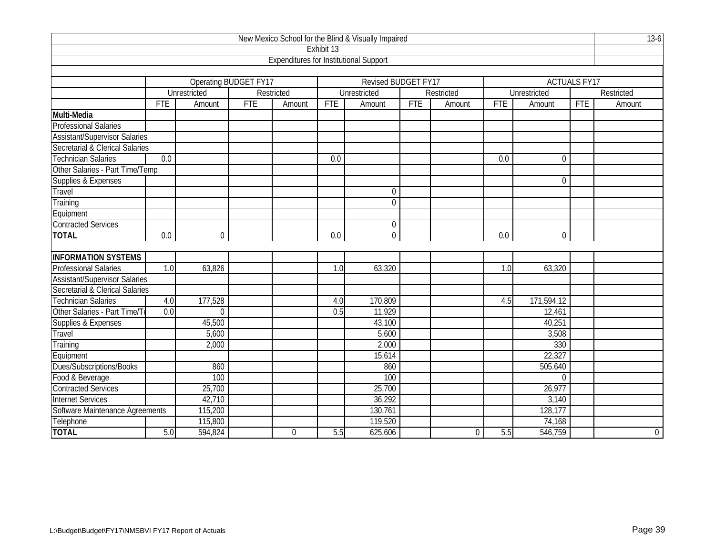|                                                                           |                  |                       |            |                                               |            | New Mexico School for the Blind & Visually Impaired |            |            |                  |                     |                     | $13-6$      |
|---------------------------------------------------------------------------|------------------|-----------------------|------------|-----------------------------------------------|------------|-----------------------------------------------------|------------|------------|------------------|---------------------|---------------------|-------------|
|                                                                           |                  |                       |            |                                               | Exhibit 13 |                                                     |            |            |                  |                     |                     |             |
|                                                                           |                  |                       |            | <b>Expenditures for Institutional Support</b> |            |                                                     |            |            |                  |                     |                     |             |
|                                                                           |                  |                       |            |                                               |            |                                                     |            |            |                  |                     |                     |             |
|                                                                           |                  | Operating BUDGET FY17 |            |                                               |            | <b>Revised BUDGET FY17</b>                          |            |            |                  |                     | <b>ACTUALS FY17</b> |             |
|                                                                           |                  | Unrestricted          |            | Restricted                                    |            | Unrestricted                                        |            | Restricted |                  | <b>Unrestricted</b> |                     | Restricted  |
|                                                                           | <b>FTE</b>       | Amount                | <b>FTE</b> | Amount                                        | <b>FTE</b> | Amount                                              | <b>FTE</b> | Amount     | <b>FTE</b>       | Amount              | <b>FTE</b>          | Amount      |
| Multi-Media                                                               |                  |                       |            |                                               |            |                                                     |            |            |                  |                     |                     |             |
| <b>Professional Salaries</b>                                              |                  |                       |            |                                               |            |                                                     |            |            |                  |                     |                     |             |
| <b>Assistant/Supervisor Salaries</b>                                      |                  |                       |            |                                               |            |                                                     |            |            |                  |                     |                     |             |
| Secretarial & Clerical Salaries                                           |                  |                       |            |                                               |            |                                                     |            |            |                  |                     |                     |             |
| <b>Technician Salaries</b><br>$\overline{0.0}$<br>$\overline{0.0}$<br>0.0 |                  |                       |            |                                               |            |                                                     |            |            |                  |                     |                     |             |
| Other Salaries - Part Time/Temp                                           |                  |                       |            |                                               |            |                                                     |            |            |                  |                     |                     |             |
| Supplies & Expenses                                                       | 0                |                       |            |                                               |            |                                                     |            |            |                  |                     |                     |             |
| Travel                                                                    |                  |                       |            |                                               |            | $\mathbf 0$                                         |            |            |                  |                     |                     |             |
| Training                                                                  |                  |                       |            |                                               |            | $\overline{0}$                                      |            |            |                  |                     |                     |             |
| Equipment                                                                 |                  |                       |            |                                               |            |                                                     |            |            |                  |                     |                     |             |
| <b>Contracted Services</b>                                                |                  |                       |            |                                               |            | $\Omega$                                            |            |            |                  |                     |                     |             |
| <b>TOTAL</b>                                                              | $\overline{0.0}$ | $\mathbf 0$           |            |                                               | 0.0        | $\mathbf 0$                                         |            |            | $\overline{0.0}$ | 0                   |                     |             |
|                                                                           |                  |                       |            |                                               |            |                                                     |            |            |                  |                     |                     |             |
| <b>INFORMATION SYSTEMS</b>                                                |                  |                       |            |                                               |            |                                                     |            |            |                  |                     |                     |             |
| <b>Professional Salaries</b>                                              | 1.0              | 63,826                |            |                                               | 1.0        | 63,320                                              |            |            | 1.0              | 63,320              |                     |             |
| <b>Assistant/Supervisor Salaries</b>                                      |                  |                       |            |                                               |            |                                                     |            |            |                  |                     |                     |             |
| Secretarial & Clerical Salaries                                           |                  |                       |            |                                               |            |                                                     |            |            |                  |                     |                     |             |
| <b>Technician Salaries</b>                                                | 4.0              | 177,528               |            |                                               | 4.0        | 170,809                                             |            |            | 4.5              | 171,594.12          |                     |             |
| Other Salaries - Part Time/T                                              | 0.0              | $\Omega$              |            |                                               | 0.5        | 11,929                                              |            |            |                  | 12,461              |                     |             |
| Supplies & Expenses                                                       |                  | 45,500                |            |                                               |            | 43,100                                              |            |            |                  | 40,251              |                     |             |
| Travel                                                                    |                  | 5,600                 |            |                                               |            | 5,600                                               |            |            |                  | 3,508               |                     |             |
| Training                                                                  |                  | 2,000                 |            |                                               |            | 2,000                                               |            |            |                  | 330                 |                     |             |
| Equipment                                                                 |                  |                       |            |                                               |            | 15,614                                              |            |            |                  | 22,327              |                     |             |
| Dues/Subscriptions/Books                                                  |                  | 860                   |            |                                               |            | 860                                                 |            |            |                  | 505.640             |                     |             |
| Food & Beverage                                                           |                  | 100                   |            |                                               |            | 100                                                 |            |            |                  | $\Omega$            |                     |             |
| <b>Contracted Services</b>                                                |                  | 25,700                |            |                                               |            | 25,700                                              |            |            |                  | 26,977              |                     |             |
| <b>Internet Services</b>                                                  |                  | 42,710                |            |                                               |            | 36,292                                              |            |            |                  | 3,140               |                     |             |
| Software Maintenance Agreements                                           |                  | 115,200               |            |                                               |            | 130,761                                             |            |            |                  | 128,177             |                     |             |
| Telephone                                                                 |                  | 115,800               |            |                                               |            | 119,520                                             |            |            |                  | 74,168              |                     |             |
| <b>TOTAL</b>                                                              | 5.0              | 594,824               |            | $\mathbf 0$                                   | 5.5        | 625,606                                             |            | 0          | 5.5              | 546,759             |                     | $\mathbf 0$ |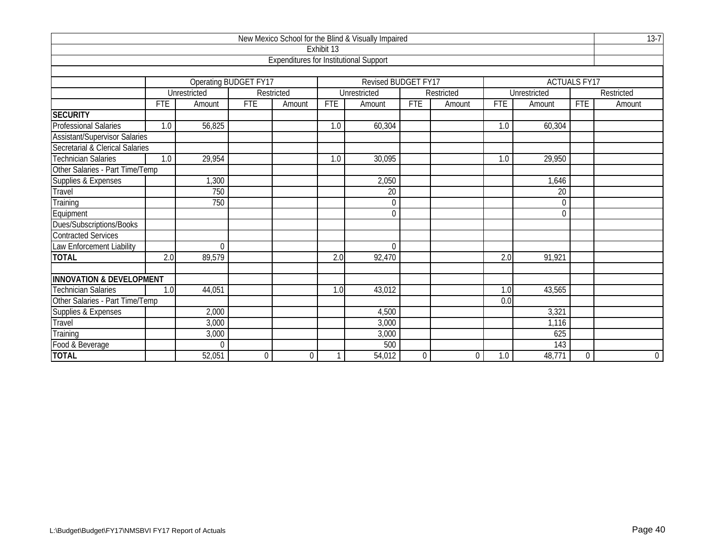|                                     |                                                 |                              |            |                                                                                |            | New Mexico School for the Blind & Visually Impaired |          |            |     |                     |                     | $13-7$         |  |  |
|-------------------------------------|-------------------------------------------------|------------------------------|------------|--------------------------------------------------------------------------------|------------|-----------------------------------------------------|----------|------------|-----|---------------------|---------------------|----------------|--|--|
|                                     |                                                 |                              |            |                                                                                | Exhibit 13 |                                                     |          |            |     |                     |                     |                |  |  |
|                                     |                                                 |                              |            | <b>Expenditures for Institutional Support</b>                                  |            |                                                     |          |            |     |                     |                     |                |  |  |
|                                     |                                                 |                              |            |                                                                                |            |                                                     |          |            |     |                     |                     |                |  |  |
|                                     |                                                 | Operating BUDGET FY17        |            |                                                                                |            | <b>Revised BUDGET FY17</b>                          |          |            |     |                     | <b>ACTUALS FY17</b> |                |  |  |
|                                     |                                                 | <b>Unrestricted</b>          |            | Restricted                                                                     |            | Unrestricted                                        |          | Restricted |     | <b>Unrestricted</b> |                     | Restricted     |  |  |
|                                     | <b>FTE</b>                                      | Amount                       | <b>FTE</b> | <b>FTE</b><br><b>FTE</b><br><b>FTE</b><br>Amount<br>Amount<br>Amount<br>Amount |            |                                                     |          |            |     |                     |                     | Amount         |  |  |
| <b>SECURITY</b>                     |                                                 |                              |            |                                                                                |            |                                                     |          |            |     |                     |                     |                |  |  |
| <b>Professional Salaries</b>        | 1.0                                             | 56,825                       |            |                                                                                | 1.0        | 60,304                                              |          |            | 1.0 | 60,304              |                     |                |  |  |
| Assistant/Supervisor Salaries       |                                                 |                              |            |                                                                                |            |                                                     |          |            |     |                     |                     |                |  |  |
| Secretarial & Clerical Salaries     |                                                 |                              |            |                                                                                |            |                                                     |          |            |     |                     |                     |                |  |  |
| <b>Technician Salaries</b>          | 29,954<br>30,095<br>29,950<br>1.0<br>1.0<br>1.0 |                              |            |                                                                                |            |                                                     |          |            |     |                     |                     |                |  |  |
| Other Salaries - Part Time/Temp     |                                                 |                              |            |                                                                                |            |                                                     |          |            |     |                     |                     |                |  |  |
| Supplies & Expenses<br>Travel       | 1,300<br>2,050<br>1,646                         |                              |            |                                                                                |            |                                                     |          |            |     |                     |                     |                |  |  |
|                                     |                                                 | 750<br>$\overline{20}$<br>20 |            |                                                                                |            |                                                     |          |            |     |                     |                     |                |  |  |
| Training                            |                                                 | 750                          |            |                                                                                |            | $\theta$                                            |          |            |     | $\theta$            |                     |                |  |  |
| Equipment                           |                                                 |                              |            |                                                                                |            | $\Omega$                                            |          |            |     | $\theta$            |                     |                |  |  |
| Dues/Subscriptions/Books            |                                                 |                              |            |                                                                                |            |                                                     |          |            |     |                     |                     |                |  |  |
| <b>Contracted Services</b>          |                                                 |                              |            |                                                                                |            |                                                     |          |            |     |                     |                     |                |  |  |
| Law Enforcement Liability           |                                                 | $\theta$                     |            |                                                                                |            | $\theta$                                            |          |            |     |                     |                     |                |  |  |
| <b>TOTAL</b>                        | 2.0                                             | 89,579                       |            |                                                                                | 2.0        | 92,470                                              |          |            | 2.0 | 91,921              |                     |                |  |  |
|                                     |                                                 |                              |            |                                                                                |            |                                                     |          |            |     |                     |                     |                |  |  |
| <b>INNOVATION &amp; DEVELOPMENT</b> |                                                 |                              |            |                                                                                |            |                                                     |          |            |     |                     |                     |                |  |  |
| <b>Technician Salaries</b>          | 1.0                                             | 44,051                       |            |                                                                                | 1.0        | 43,012                                              |          |            | 1.0 | 43,565              |                     |                |  |  |
| Other Salaries - Part Time/Temp     |                                                 |                              |            |                                                                                |            |                                                     |          |            | 0.0 |                     |                     |                |  |  |
|                                     | 2,000<br>4,500<br>3,321                         |                              |            |                                                                                |            |                                                     |          |            |     |                     |                     |                |  |  |
| Supplies & Expenses<br>Travel       |                                                 | 3,000                        |            |                                                                                |            | 3,000                                               |          |            |     | 1,116               |                     |                |  |  |
| Training                            |                                                 | 3,000                        |            |                                                                                |            | 3,000                                               |          |            |     | 625                 |                     |                |  |  |
| Food & Beverage                     |                                                 | $\Omega$                     |            |                                                                                |            | 500                                                 |          |            |     | 143                 |                     |                |  |  |
| <b>TOTAL</b>                        |                                                 | 52,051                       | 0          | $\Omega$                                                                       |            | 54,012                                              | $\Omega$ | $\Omega$   | 1.0 | 48,771              | $\theta$            | $\overline{0}$ |  |  |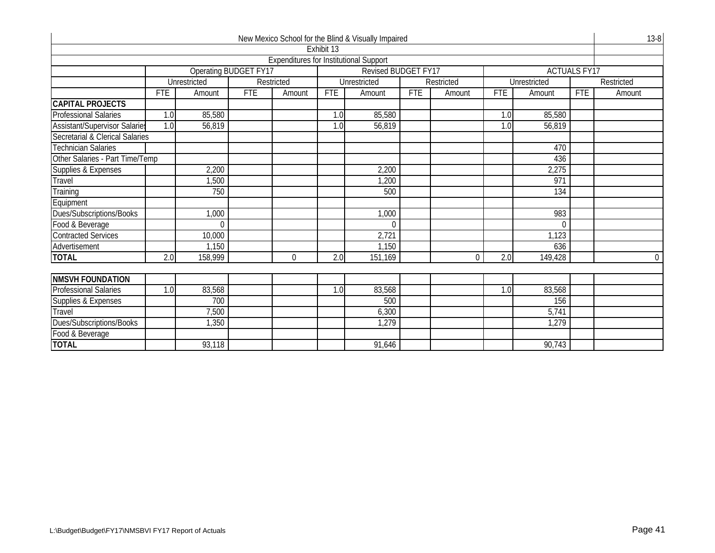|                                      |            |                       |            |                                               |            | New Mexico School for the Blind & Visually Impaired |            |            |            |              |                     | $13 - 8$   |
|--------------------------------------|------------|-----------------------|------------|-----------------------------------------------|------------|-----------------------------------------------------|------------|------------|------------|--------------|---------------------|------------|
|                                      |            |                       |            |                                               | Exhibit 13 |                                                     |            |            |            |              |                     |            |
|                                      |            |                       |            | <b>Expenditures for Institutional Support</b> |            |                                                     |            |            |            |              |                     |            |
|                                      |            | Operating BUDGET FY17 |            |                                               |            | <b>Revised BUDGET FY17</b>                          |            |            |            |              | <b>ACTUALS FY17</b> |            |
|                                      |            | Unrestricted          |            | Restricted                                    |            | Unrestricted                                        |            | Restricted |            | Unrestricted |                     | Restricted |
|                                      | <b>FTE</b> | Amount                | <b>FTE</b> | Amount                                        | <b>FTE</b> | Amount                                              | <b>FTE</b> | Amount     | <b>FTE</b> | Amount       | <b>FTE</b>          | Amount     |
| <b>CAPITAL PROJECTS</b>              |            |                       |            |                                               |            |                                                     |            |            |            |              |                     |            |
| <b>Professional Salaries</b>         | 1.0        | 85,580                |            |                                               | 1.0        | 85,580                                              |            |            | 1.0        | 85,580       |                     |            |
| <b>Assistant/Supervisor Salaries</b> | 1.0        | 56,819                |            |                                               | 1.0        | 56,819                                              |            |            | 1.0        | 56,819       |                     |            |
| Secretarial & Clerical Salaries      |            |                       |            |                                               |            |                                                     |            |            |            |              |                     |            |
| <b>Technician Salaries</b><br>470    |            |                       |            |                                               |            |                                                     |            |            |            |              |                     |            |
| Other Salaries - Part Time/Temp      |            |                       |            |                                               |            |                                                     |            |            |            | 436          |                     |            |
| Supplies & Expenses                  |            | 2,200                 |            |                                               |            | 2,200                                               |            |            |            | 2,275        |                     |            |
| Travel                               |            | 1,500                 |            |                                               |            | 1,200                                               |            |            |            | 971          |                     |            |
| Training                             |            | 750                   |            |                                               |            | 500                                                 |            |            |            | 134          |                     |            |
| Equipment                            |            |                       |            |                                               |            |                                                     |            |            |            |              |                     |            |
| Dues/Subscriptions/Books             |            | 1,000                 |            |                                               |            | 1,000                                               |            |            |            | 983          |                     |            |
| Food & Beverage                      |            | U                     |            |                                               |            |                                                     |            |            |            | $\theta$     |                     |            |
| <b>Contracted Services</b>           |            | 10,000                |            |                                               |            | 2,721                                               |            |            |            | 1,123        |                     |            |
| Advertisement                        |            | 1,150                 |            |                                               |            | 1,150                                               |            |            |            | 636          |                     |            |
| <b>TOTAL</b>                         | 2.0        | 158,999               |            | $\Omega$                                      | 2.0        | 151,169                                             |            | $\Omega$   | 2.0        | 149,428      |                     | $\Omega$   |
|                                      |            |                       |            |                                               |            |                                                     |            |            |            |              |                     |            |
| <b>NMSVH FOUNDATION</b>              |            |                       |            |                                               |            |                                                     |            |            |            |              |                     |            |
| <b>Professional Salaries</b>         | 1.0        | 83,568                |            |                                               | 1.0        | 83,568                                              |            |            | 1.0        | 83,568       |                     |            |
| Supplies & Expenses                  |            | 700                   |            |                                               |            | 500                                                 |            |            |            | 156          |                     |            |
| Travel                               |            | 7,500                 |            |                                               |            | 6,300                                               |            |            |            | 5,741        |                     |            |
| Dues/Subscriptions/Books             |            | 1,350                 |            |                                               |            | 1,279                                               |            |            |            | 1,279        |                     |            |
| Food & Beverage                      |            |                       |            |                                               |            |                                                     |            |            |            |              |                     |            |
| <b>TOTAL</b>                         |            | 93,118                |            |                                               |            | 91,646                                              |            |            |            | 90,743       |                     |            |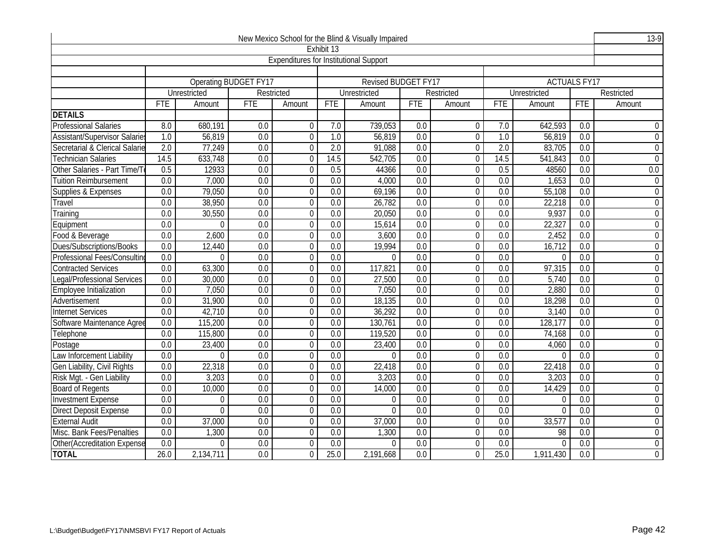|                                |                                                                                                                                                                     |                                                                                                                                          |                       |                                               |                  | New Mexico School for the Blind & Visually Impaired |                  |                |                  |                     |                  | $13-9$           |
|--------------------------------|---------------------------------------------------------------------------------------------------------------------------------------------------------------------|------------------------------------------------------------------------------------------------------------------------------------------|-----------------------|-----------------------------------------------|------------------|-----------------------------------------------------|------------------|----------------|------------------|---------------------|------------------|------------------|
|                                |                                                                                                                                                                     |                                                                                                                                          |                       |                                               | Exhibit 13       |                                                     |                  |                |                  |                     |                  |                  |
|                                |                                                                                                                                                                     |                                                                                                                                          |                       | <b>Expenditures for Institutional Support</b> |                  |                                                     |                  |                |                  |                     |                  |                  |
|                                |                                                                                                                                                                     |                                                                                                                                          |                       |                                               |                  |                                                     |                  |                |                  |                     |                  |                  |
|                                |                                                                                                                                                                     |                                                                                                                                          | Operating BUDGET FY17 |                                               |                  | <b>Revised BUDGET FY17</b>                          |                  |                |                  | <b>ACTUALS FY17</b> |                  |                  |
|                                |                                                                                                                                                                     | Unrestricted                                                                                                                             |                       | Restricted                                    |                  | Unrestricted                                        |                  | Restricted     |                  | Unrestricted        |                  | Restricted       |
|                                | <b>FTE</b>                                                                                                                                                          | Amount                                                                                                                                   | <b>FTE</b>            | Amount                                        | <b>FTE</b>       | Amount                                              | <b>FTE</b>       | Amount         | <b>FTE</b>       | Amount              | <b>FTE</b>       | Amount           |
| <b>DETAILS</b>                 |                                                                                                                                                                     |                                                                                                                                          |                       |                                               |                  |                                                     |                  |                |                  |                     |                  |                  |
| <b>Professional Salaries</b>   | 8.0                                                                                                                                                                 | 680,191                                                                                                                                  | 0.0                   | $\Omega$                                      | 7.0              | 739,053                                             | 0.0              | $\mathbf 0$    | 7.0              | 642,593             | 0.0              | $\Omega$         |
| Assistant/Supervisor Salarie   | $\overline{1.0}$                                                                                                                                                    | 56,819                                                                                                                                   | $\overline{0.0}$      | $\Omega$                                      | 1.0              | 56,819                                              | $\overline{0.0}$ | $\mathbf 0$    | $\overline{1.0}$ | 56,819              | 0.0              | $\Omega$         |
| Secretarial & Clerical Salarie | $\overline{2.0}$                                                                                                                                                    | 77,249                                                                                                                                   | 0.0                   | $\Omega$                                      | $\overline{2.0}$ | 91,088                                              | 0.0              | $\mathbf 0$    | $\overline{2.0}$ | 83,705              | 0.0              | $\overline{0}$   |
| <b>Technician Salaries</b>     | 14.5                                                                                                                                                                | 633,748                                                                                                                                  | $\overline{0.0}$      | $\Omega$                                      | 14.5             | 542,705                                             | $\overline{0.0}$ | $\mathbf 0$    | 14.5             | 541,843             | $\overline{0.0}$ | $\overline{0}$   |
| Other Salaries - Part Time/T   | 0.5                                                                                                                                                                 | 12933                                                                                                                                    | 0.0                   | $\Omega$                                      | 0.5              | 44366                                               | 0.0              | 0              | 0.5              | 48560               | 0.0              | 0.0              |
| <b>Tuition Reimbursement</b>   | 0.0                                                                                                                                                                 | 7,000                                                                                                                                    | $\overline{0.0}$      | $\boldsymbol{0}$                              | 0.0              | 4,000                                               | $\overline{0.0}$ | $\overline{0}$ | $\overline{0.0}$ | 1,653               | $\overline{0.0}$ | $\mathbf 0$      |
| Supplies & Expenses            | $\overline{0.0}$                                                                                                                                                    | 79,050<br>0.0<br>55,108<br>$\overline{0.0}$<br>$\overline{0}$<br>69,196<br>$\overline{0.0}$<br>0<br>$\overline{0.0}$<br>$\overline{0.0}$ |                       |                                               |                  |                                                     |                  |                |                  |                     |                  | $\overline{0}$   |
| Travel                         | 22,218<br>$\overline{0.0}$<br>38,950<br>$\overline{0.0}$<br>$\overline{0.0}$<br>26,782<br>$\overline{0.0}$<br>0<br>$\overline{0.0}$<br>$\overline{0.0}$<br>$\Omega$ |                                                                                                                                          |                       |                                               |                  |                                                     |                  |                |                  |                     | $\mathbf 0$      |                  |
| Training                       | $\overline{0.0}$<br>30,550<br>$\overline{0.0}$<br>0.0<br>$\overline{0}$<br>$\overline{0.0}$<br>9,937<br>$\overline{0.0}$<br>$\boldsymbol{0}$<br>20,050<br>0.0       |                                                                                                                                          |                       |                                               |                  |                                                     |                  |                |                  |                     |                  | $\boldsymbol{0}$ |
| Equipment                      | 0.0                                                                                                                                                                 | $\Omega$                                                                                                                                 | 0.0                   | $\mathbf{0}$                                  | 0.0              | 15,614                                              | 0.0              | $\mathbf 0$    | 0.0              | 22,327              | 0.0              | $\overline{0}$   |
| Food & Beverage                | 0.0                                                                                                                                                                 | 2,600                                                                                                                                    | 0.0                   | $\Omega$                                      | 0.0              | 3,600                                               | 0.0              | 0              | 0.0              | 2,452               | 0.0              | $\mathbf 0$      |
| Dues/Subscriptions/Books       | 0.0                                                                                                                                                                 | 12,440                                                                                                                                   | $\overline{0.0}$      | $\overline{0}$                                | 0.0              | 19,994                                              | $\overline{0.0}$ | $\overline{0}$ | $\overline{0.0}$ | 16,712              | 0.0              | $\boldsymbol{0}$ |
| Professional Fees/Consultin    | 0.0                                                                                                                                                                 | $\Omega$                                                                                                                                 | 0.0                   | $\Omega$                                      | 0.0              | $\Omega$                                            | 0.0              | $\mathbf 0$    | 0.0              | $\Omega$            | 0.0              | $\overline{0}$   |
| <b>Contracted Services</b>     | $\overline{0.0}$                                                                                                                                                    | 63,300                                                                                                                                   | $\overline{0.0}$      | $\Omega$                                      | $\overline{0.0}$ | 117,821                                             | $\overline{0.0}$ | $\mathbf 0$    | $\overline{0.0}$ | 97,315              | $\overline{0.0}$ | $\overline{0}$   |
| Legal/Professional Services    | 0.0                                                                                                                                                                 | 30,000                                                                                                                                   | 0.0                   | $\overline{0}$                                | 0.0              | 27,500                                              | $\overline{0.0}$ | $\mathbf 0$    | $\overline{0.0}$ | 5,740               | 0.0              | $\overline{0}$   |
| <b>Employee Initialization</b> | 0.0                                                                                                                                                                 | 7,050                                                                                                                                    | 0.0                   | $\Omega$                                      | 0.0              | 7,050                                               | 0.0              | $\mathbf 0$    | 0.0              | 2,880               | 0.0              | $\mathbf 0$      |
| Advertisement                  | 0.0                                                                                                                                                                 | 31,900                                                                                                                                   | $\overline{0.0}$      | $\Omega$                                      | $\overline{0.0}$ | 18,135                                              | 0.0              | 0              | 0.0              | 18,298              | 0.0              | $\mathbf 0$      |
| <b>Internet Services</b>       | 0.0                                                                                                                                                                 | 42,710                                                                                                                                   | 0.0                   | $\mathbf{0}$                                  | 0.0              | 36,292                                              | $\overline{0.0}$ | $\overline{0}$ | $\overline{0.0}$ | 3,140               | $\overline{0.0}$ | $\boldsymbol{0}$ |
| Software Maintenance Agree     | 0.0                                                                                                                                                                 | 115,200                                                                                                                                  | 0.0                   | $\mathbf{0}$                                  | 0.0              | 130,761                                             | 0.0              | 0              | 0.0              | 128,177             | 0.0              | $\mathbf 0$      |
| Telephone                      | $\overline{0.0}$                                                                                                                                                    | 115,800                                                                                                                                  | $\overline{0.0}$      | $\Omega$                                      | $\overline{0.0}$ | 119,520                                             | $\overline{0.0}$ | $\mathbf 0$    | $\overline{0.0}$ | 74,168              | 0.0              | $\mathbf 0$      |
| Postage                        | 0.0                                                                                                                                                                 | 23,400                                                                                                                                   | 0.0                   | $\overline{0}$                                | 0.0              | 23,400                                              | $\overline{0.0}$ | $\overline{0}$ | 0.0              | 4,060               | $\overline{0.0}$ | $\overline{0}$   |
| Law Inforcement Liability      | 0.0                                                                                                                                                                 | $\Omega$                                                                                                                                 | 0.0                   | $\mathbf{0}$                                  | 0.0              | $\Omega$                                            | 0.0              | $\mathbf 0$    | 0.0              | $\Omega$            | 0.0              | $\mathbf 0$      |
| Gen Liability, Civil Rights    | 0.0                                                                                                                                                                 | 22,318                                                                                                                                   | 0.0                   | $\Omega$                                      | 0.0              | 22,418                                              | 0.0              | 0              | 0.0              | 22,418              | 0.0              | $\mathbf 0$      |
| Risk Mgt. - Gen Liability      | 0.0                                                                                                                                                                 | 3,203                                                                                                                                    | $\overline{0.0}$      | $\Omega$                                      | $\overline{0.0}$ | 3,203                                               | $\overline{0.0}$ | $\mathbf 0$    | $\overline{0.0}$ | 3,203               | $\overline{0.0}$ | $\overline{0}$   |
| <b>Board of Regents</b>        | 0.0                                                                                                                                                                 | 10,000                                                                                                                                   | 0.0                   | $\Omega$                                      | 0.0              | 14,000                                              | 0.0              | $\mathbf 0$    | 0.0              | 14,429              | 0.0              | $\overline{0}$   |
| <b>Investment Expense</b>      | $\overline{0.0}$                                                                                                                                                    | $\mathbf 0$                                                                                                                              | $\overline{0.0}$      | $\Omega$                                      | $\overline{0.0}$ | $\Omega$                                            | $\overline{0.0}$ | $\mathbf 0$    | $\overline{0.0}$ | $\Omega$            | 0.0              | $\overline{0}$   |
| <b>Direct Deposit Expense</b>  | 0.0                                                                                                                                                                 | $\Omega$                                                                                                                                 | 0.0                   | $\overline{0}$                                | 0.0              | $\mathbf 0$                                         | 0.0              | $\overline{0}$ | 0.0              | $\mathbf{0}$        | $\overline{0.0}$ | $\overline{0}$   |
| <b>External Audit</b>          | 0.0                                                                                                                                                                 | 37,000                                                                                                                                   | 0.0                   | $\Omega$                                      | 0.0              | 37,000                                              | 0.0              | $\mathbf 0$    | 0.0              | 33,577              | 0.0              | $\overline{0}$   |
| Misc. Bank Fees/Penalties      | 0.0                                                                                                                                                                 | 1,300                                                                                                                                    | 0.0                   | $\Omega$                                      | 0.0              | 1,300                                               | 0.0              | 0              | 0.0              | 98                  | 0.0              | $\mathbf 0$      |
| Other(Accreditation Expense    | $\overline{0.0}$                                                                                                                                                    | $\Omega$                                                                                                                                 | $\overline{0.0}$      | $\Omega$                                      | 0.0              | $\Omega$                                            | $\overline{0.0}$ | 0              | $\overline{0.0}$ | $\overline{0}$      | $\overline{0.0}$ | $\overline{0}$   |
| <b>TOTAL</b>                   | 26.0                                                                                                                                                                | 2,134,711                                                                                                                                | 0.0                   | $\Omega$                                      | 25.0             | 2,191,668                                           | 0.0              | $\overline{0}$ | 25.0             | 1,911,430           | 0.0              | $\overline{0}$   |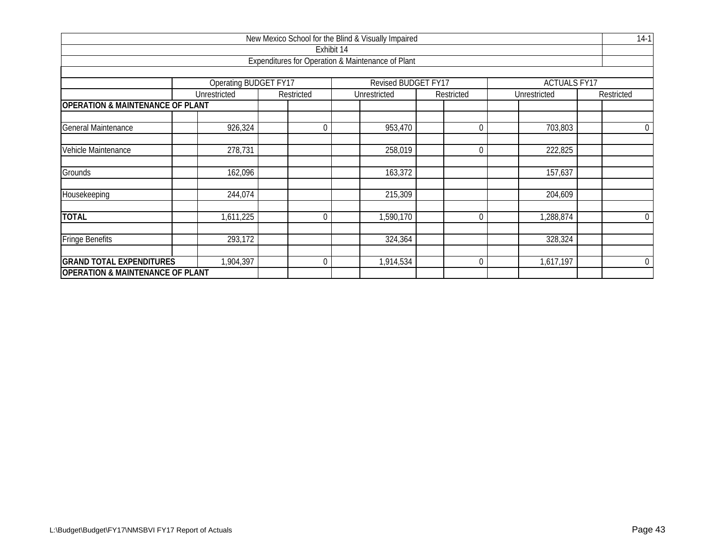|                                             |                              |            |                                     | New Mexico School for the Blind & Visually Impaired |                |                     | $14-1$         |  |  |  |  |
|---------------------------------------------|------------------------------|------------|-------------------------------------|-----------------------------------------------------|----------------|---------------------|----------------|--|--|--|--|
|                                             |                              |            | Exhibit 14                          |                                                     |                |                     |                |  |  |  |  |
|                                             |                              |            |                                     | Expenditures for Operation & Maintenance of Plant   |                |                     |                |  |  |  |  |
|                                             |                              |            |                                     |                                                     |                |                     |                |  |  |  |  |
|                                             | <b>Operating BUDGET FY17</b> |            |                                     | Revised BUDGET FY17                                 |                | <b>ACTUALS FY17</b> |                |  |  |  |  |
|                                             | Unrestricted                 | Restricted |                                     | Unrestricted                                        | Restricted     | Unrestricted        | Restricted     |  |  |  |  |
| <b>OPERATION &amp; MAINTENANCE OF PLANT</b> |                              |            |                                     |                                                     |                |                     |                |  |  |  |  |
| General Maintenance                         | 926,324                      |            | 953,470<br>703,803<br>$\Omega$<br>0 |                                                     |                |                     |                |  |  |  |  |
| Vehicle Maintenance                         | 278,731                      |            |                                     | 258,019                                             | $\overline{0}$ | 222,825             |                |  |  |  |  |
| Grounds                                     | 162,096                      |            |                                     | 163,372                                             |                | 157,637             |                |  |  |  |  |
|                                             |                              |            |                                     |                                                     |                |                     |                |  |  |  |  |
| Housekeeping                                | 244,074                      |            |                                     | 215,309                                             |                | 204,609             |                |  |  |  |  |
| <b>TOTAL</b>                                | 1,611,225                    |            | $\Omega$                            | 1,590,170                                           | $\Omega$       | 1,288,874           | $\overline{0}$ |  |  |  |  |
| <b>Fringe Benefits</b>                      | 293,172                      |            |                                     | 324,364                                             |                | 328,324             |                |  |  |  |  |
| <b>GRAND TOTAL EXPENDITURES</b>             | 1,904,397                    |            | 0                                   | 1,914,534                                           | 0              | 1,617,197           | $\overline{0}$ |  |  |  |  |
| <b>OPERATION &amp; MAINTENANCE OF PLANT</b> |                              |            |                                     |                                                     |                |                     |                |  |  |  |  |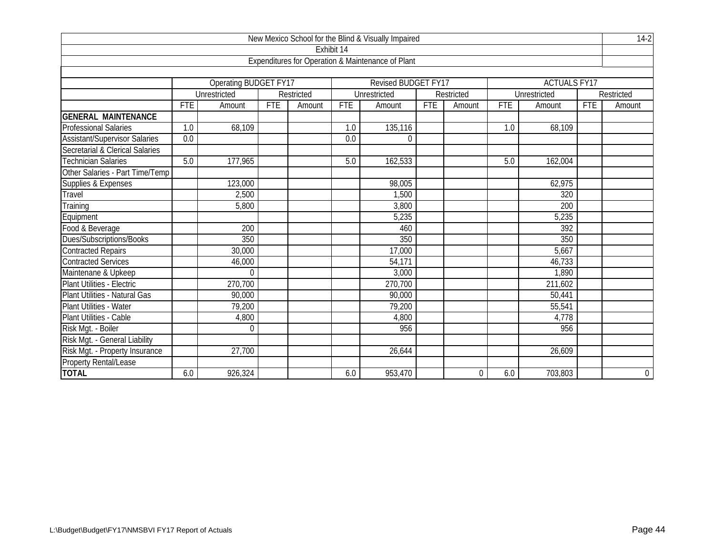|                                      |            |                              |            |            |                  | New Mexico School for the Blind & Visually Impaired |            |                |            |                     |            | $14-2$         |
|--------------------------------------|------------|------------------------------|------------|------------|------------------|-----------------------------------------------------|------------|----------------|------------|---------------------|------------|----------------|
|                                      |            |                              |            |            | Exhibit 14       |                                                     |            |                |            |                     |            |                |
|                                      |            |                              |            |            |                  | Expenditures for Operation & Maintenance of Plant   |            |                |            |                     |            |                |
|                                      |            |                              |            |            |                  |                                                     |            |                |            |                     |            |                |
|                                      |            | <b>Operating BUDGET FY17</b> |            |            |                  | <b>Revised BUDGET FY17</b>                          |            |                |            | <b>ACTUALS FY17</b> |            |                |
|                                      |            | Unrestricted                 |            | Restricted |                  | Unrestricted                                        |            | Restricted     |            | Unrestricted        |            | Restricted     |
|                                      | <b>FTE</b> | Amount                       | <b>FTE</b> | Amount     | <b>FTE</b>       | Amount                                              | <b>FTE</b> | Amount         | <b>FTE</b> | Amount              | <b>FTE</b> | Amount         |
| <b>GENERAL MAINTENANCE</b>           |            |                              |            |            |                  |                                                     |            |                |            |                     |            |                |
| <b>Professional Salaries</b>         | 1.0        | 68,109                       |            |            | 1.0              | 135,116                                             |            |                | 1.0        | 68,109              |            |                |
| <b>Assistant/Supervisor Salaries</b> | 0.0        |                              |            |            | $\overline{0.0}$ | $\Omega$                                            |            |                |            |                     |            |                |
| Secretarial & Clerical Salaries      |            |                              |            |            |                  |                                                     |            |                |            |                     |            |                |
| Technician Salaries                  | 5.0        | 177,965                      |            |            | 5.0              | 162,533                                             |            |                | 5.0        | 162,004             |            |                |
| Other Salaries - Part Time/Temp      |            |                              |            |            |                  |                                                     |            |                |            |                     |            |                |
| Supplies & Expenses                  |            | 123,000                      |            |            |                  | 98,005                                              |            |                |            | 62,975              |            |                |
| Travel                               |            | 2,500                        |            |            |                  | 1,500                                               |            |                |            | 320                 |            |                |
| Training                             |            | 5,800                        |            |            |                  | 3,800                                               |            |                |            | 200                 |            |                |
| Equipment                            |            |                              |            |            |                  | 5,235                                               |            |                |            | 5,235               |            |                |
| Food & Beverage                      |            | 200                          |            |            |                  | 460                                                 |            |                |            | 392                 |            |                |
| Dues/Subscriptions/Books             |            | 350                          |            |            |                  | 350                                                 |            |                |            | 350                 |            |                |
| <b>Contracted Repairs</b>            |            | 30,000                       |            |            |                  | 17,000                                              |            |                |            | 5,667               |            |                |
| <b>Contracted Services</b>           |            | 46,000                       |            |            |                  | 54,171                                              |            |                |            | 46,733              |            |                |
| Maintenane & Upkeep                  |            | $\overline{0}$               |            |            |                  | 3,000                                               |            |                |            | 1,890               |            |                |
| Plant Utilities - Electric           |            | 270,700                      |            |            |                  | 270,700                                             |            |                |            | 211,602             |            |                |
| Plant Utilities - Natural Gas        |            | 90,000                       |            |            |                  | 90,000                                              |            |                |            | 50,441              |            |                |
| Plant Utilities - Water              |            | 79,200                       |            |            |                  | 79,200                                              |            |                |            | 55,541              |            |                |
| Plant Utilities - Cable              |            | 4,800                        |            |            |                  | 4,800                                               |            |                |            | 4,778               |            |                |
| Risk Mgt. - Boiler                   |            | $\mathbf 0$                  |            |            |                  | 956                                                 |            |                |            | 956                 |            |                |
| Risk Mgt. - General Liability        |            |                              |            |            |                  |                                                     |            |                |            |                     |            |                |
| Risk Mgt. - Property Insurance       |            | 27,700                       |            |            |                  | 26,644                                              |            |                |            | 26,609              |            |                |
| <b>Property Rental/Lease</b>         |            |                              |            |            |                  |                                                     |            |                |            |                     |            |                |
| <b>TOTAL</b>                         | 6.0        | 926,324                      |            |            | 6.0              | 953,470                                             |            | $\overline{0}$ | 6.0        | 703,803             |            | $\overline{0}$ |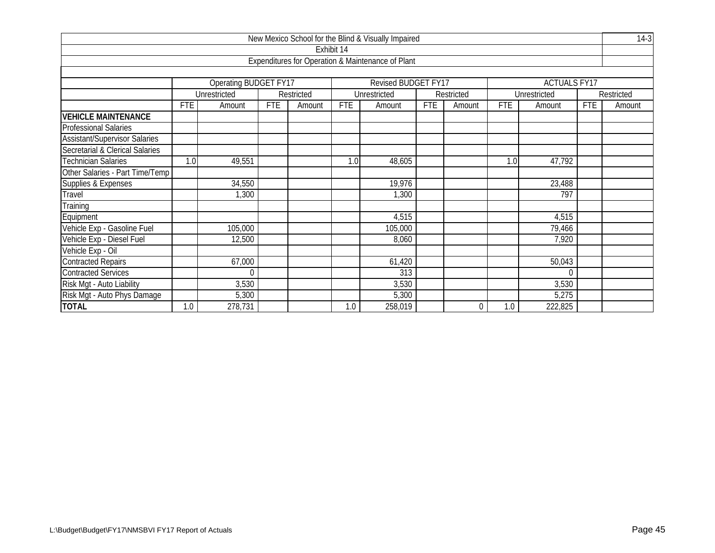|                                      |            |                       |            |            |            | New Mexico School for the Blind & Visually Impaired |            |            |            |                     |            | $14-3$     |
|--------------------------------------|------------|-----------------------|------------|------------|------------|-----------------------------------------------------|------------|------------|------------|---------------------|------------|------------|
|                                      |            |                       |            |            | Exhibit 14 |                                                     |            |            |            |                     |            |            |
|                                      |            |                       |            |            |            | Expenditures for Operation & Maintenance of Plant   |            |            |            |                     |            |            |
|                                      |            |                       |            |            |            |                                                     |            |            |            |                     |            |            |
|                                      |            | Operating BUDGET FY17 |            |            |            | Revised BUDGET FY17                                 |            |            |            | <b>ACTUALS FY17</b> |            |            |
|                                      |            | Unrestricted          |            | Restricted |            | Unrestricted                                        |            | Restricted |            | Unrestricted        |            | Restricted |
|                                      | <b>FTE</b> | Amount                | <b>FTE</b> | Amount     | <b>FTE</b> | Amount                                              | <b>FTE</b> | Amount     | <b>FTE</b> | Amount              | <b>FTE</b> | Amount     |
| <b>VEHICLE MAINTENANCE</b>           |            |                       |            |            |            |                                                     |            |            |            |                     |            |            |
| <b>Professional Salaries</b>         |            |                       |            |            |            |                                                     |            |            |            |                     |            |            |
| <b>Assistant/Supervisor Salaries</b> |            |                       |            |            |            |                                                     |            |            |            |                     |            |            |
| Secretarial & Clerical Salaries      |            |                       |            |            |            |                                                     |            |            |            |                     |            |            |
| <b>Technician Salaries</b>           | 1.0        | 49,551                |            |            | 1.0        | 48,605                                              |            |            | 1.0        | 47,792              |            |            |
| Other Salaries - Part Time/Temp      |            |                       |            |            |            |                                                     |            |            |            |                     |            |            |
| Supplies & Expenses                  |            | 34,550                |            |            |            | 19,976                                              |            |            |            | 23,488              |            |            |
| Travel                               |            | 1,300                 |            |            |            | 1,300                                               |            |            |            | 797                 |            |            |
| Training                             |            |                       |            |            |            |                                                     |            |            |            |                     |            |            |
| Equipment                            |            |                       |            |            |            | 4,515                                               |            |            |            | 4,515               |            |            |
| Vehicle Exp - Gasoline Fuel          |            | 105,000               |            |            |            | 105,000                                             |            |            |            | 79,466              |            |            |
| Vehicle Exp - Diesel Fuel            |            | 12,500                |            |            |            | 8,060                                               |            |            |            | 7,920               |            |            |
| Vehicle Exp - Oil                    |            |                       |            |            |            |                                                     |            |            |            |                     |            |            |
| <b>Contracted Repairs</b>            |            | 67,000                |            |            |            | 61,420                                              |            |            |            | 50,043              |            |            |
| <b>Contracted Services</b>           |            | $\theta$              |            |            |            | 313                                                 |            |            |            | $\theta$            |            |            |
| Risk Mgt - Auto Liability            |            | 3,530                 |            |            |            | 3,530                                               |            |            |            | 3,530               |            |            |
| Risk Mgt - Auto Phys Damage          |            | 5,300                 |            |            |            | 5,300                                               |            |            |            | 5,275               |            |            |
| <b>TOTAL</b>                         | 1.0        | 278,731               |            |            | 1.0        | 258,019                                             |            | $\Omega$   | 1.0        | 222,825             |            |            |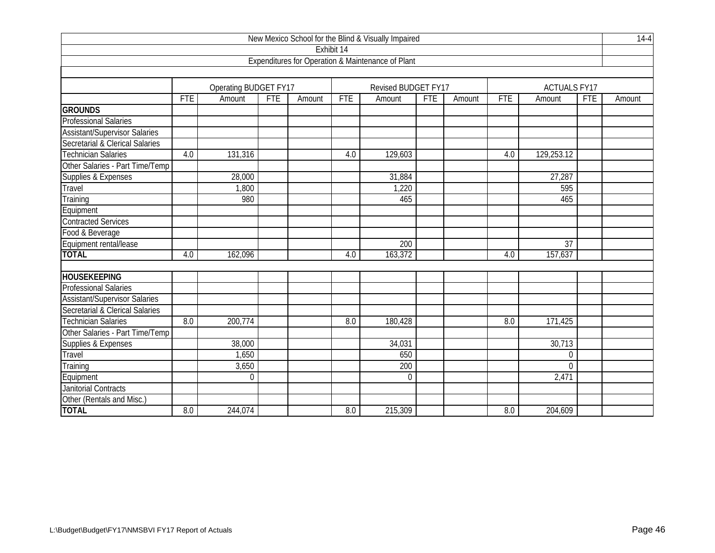|                                      |            |                              |            |        |            | New Mexico School for the Blind & Visually Impaired |            |        |            |                     |            | $14 - 4$ |
|--------------------------------------|------------|------------------------------|------------|--------|------------|-----------------------------------------------------|------------|--------|------------|---------------------|------------|----------|
|                                      |            |                              |            |        | Exhibit 14 |                                                     |            |        |            |                     |            |          |
|                                      |            |                              |            |        |            | Expenditures for Operation & Maintenance of Plant   |            |        |            |                     |            |          |
|                                      |            |                              |            |        |            |                                                     |            |        |            |                     |            |          |
|                                      |            | <b>Operating BUDGET FY17</b> |            |        |            | Revised BUDGET FY17                                 |            |        |            | <b>ACTUALS FY17</b> |            |          |
|                                      | <b>FTE</b> | Amount                       | <b>FTE</b> | Amount | <b>FTE</b> | Amount                                              | <b>FTE</b> | Amount | <b>FTE</b> | Amount              | <b>FTE</b> | Amount   |
| <b>GROUNDS</b>                       |            |                              |            |        |            |                                                     |            |        |            |                     |            |          |
| <b>Professional Salaries</b>         |            |                              |            |        |            |                                                     |            |        |            |                     |            |          |
| <b>Assistant/Supervisor Salaries</b> |            |                              |            |        |            |                                                     |            |        |            |                     |            |          |
| Secretarial & Clerical Salaries      |            |                              |            |        |            |                                                     |            |        |            |                     |            |          |
| <b>Technician Salaries</b>           | 4.0        | 131,316                      |            |        | 4.0        | 129,603                                             |            |        | 4.0        | 129,253.12          |            |          |
| Other Salaries - Part Time/Temp      |            |                              |            |        |            |                                                     |            |        |            |                     |            |          |
| Supplies & Expenses                  |            | 28,000                       |            |        |            | 31,884                                              |            |        |            | 27,287              |            |          |
| <b>Travel</b>                        |            | 1,800                        |            |        |            | 1,220                                               |            |        |            | 595                 |            |          |
| Training                             |            | 980                          |            |        |            | 465                                                 |            |        |            | 465                 |            |          |
| Equipment                            |            |                              |            |        |            |                                                     |            |        |            |                     |            |          |
| <b>Contracted Services</b>           |            |                              |            |        |            |                                                     |            |        |            |                     |            |          |
| Food & Beverage                      |            |                              |            |        |            |                                                     |            |        |            |                     |            |          |
| Equipment rental/lease               |            |                              |            |        |            | 200                                                 |            |        |            | 37                  |            |          |
| <b>TOTAL</b>                         | 4.0        | 162,096                      |            |        | 4.0        | 163,372                                             |            |        | 4.0        | 157,637             |            |          |
|                                      |            |                              |            |        |            |                                                     |            |        |            |                     |            |          |
| <b>HOUSEKEEPING</b>                  |            |                              |            |        |            |                                                     |            |        |            |                     |            |          |
| <b>Professional Salaries</b>         |            |                              |            |        |            |                                                     |            |        |            |                     |            |          |
| <b>Assistant/Supervisor Salaries</b> |            |                              |            |        |            |                                                     |            |        |            |                     |            |          |
| Secretarial & Clerical Salaries      |            |                              |            |        |            |                                                     |            |        |            |                     |            |          |
| <b>Technician Salaries</b>           | 8.0        | 200,774                      |            |        | 8.0        | 180,428                                             |            |        | 8.0        | 171,425             |            |          |
| Other Salaries - Part Time/Temp      |            |                              |            |        |            |                                                     |            |        |            |                     |            |          |
| Supplies & Expenses                  |            | 38,000                       |            |        |            | 34,031                                              |            |        |            | 30,713              |            |          |
| Travel                               |            | 1,650                        |            |        |            | 650                                                 |            |        |            | $\boldsymbol{0}$    |            |          |
| Training                             |            | 3,650                        |            |        |            | 200                                                 |            |        |            | $\Omega$            |            |          |
| Equipment                            |            | $\mathbf 0$                  |            |        |            | $\mathbf 0$                                         |            |        |            | 2,471               |            |          |
| <b>Janitorial Contracts</b>          |            |                              |            |        |            |                                                     |            |        |            |                     |            |          |
| Other (Rentals and Misc.)            |            |                              |            |        |            |                                                     |            |        |            |                     |            |          |
| <b>TOTAL</b>                         | 8.0        | 244,074                      |            |        | 8.0        | 215,309                                             |            |        | 8.0        | 204,609             |            |          |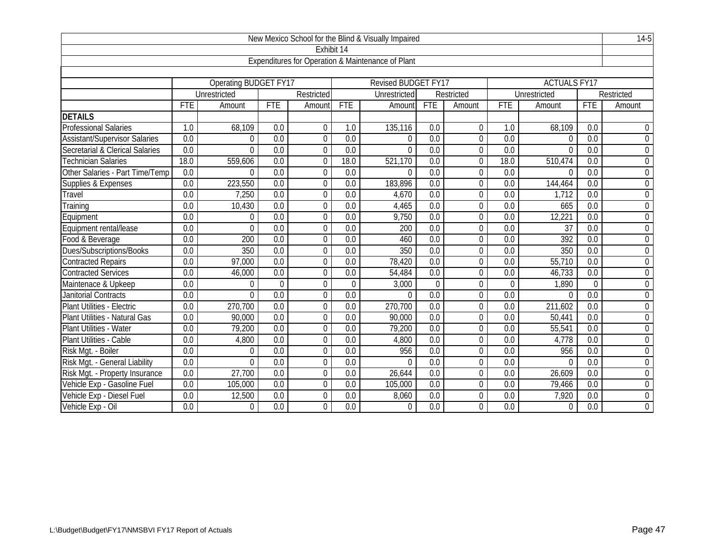|                                      |                  |                              |                  |                |                  | New Mexico School for the Blind & Visually Impaired |                  |                |                  | $14-5$              |                  |                  |
|--------------------------------------|------------------|------------------------------|------------------|----------------|------------------|-----------------------------------------------------|------------------|----------------|------------------|---------------------|------------------|------------------|
|                                      |                  |                              |                  | Exhibit 14     |                  |                                                     |                  |                |                  |                     |                  |                  |
|                                      |                  |                              |                  |                |                  | Expenditures for Operation & Maintenance of Plant   |                  |                |                  |                     |                  |                  |
|                                      |                  |                              |                  |                |                  |                                                     |                  |                |                  |                     |                  |                  |
|                                      |                  | <b>Operating BUDGET FY17</b> |                  |                |                  | <b>Revised BUDGET FY17</b>                          |                  |                |                  | <b>ACTUALS FY17</b> |                  |                  |
|                                      |                  | Unrestricted                 |                  | Restricted     |                  | Unrestricted                                        |                  | Restricted     |                  | Unrestricted        |                  | Restricted       |
|                                      | <b>FTE</b>       | Amount                       | <b>FTE</b>       | Amount         | FTE              | Amount                                              | <b>FTE</b>       | Amount         | <b>FTE</b>       | Amount              | <b>FTE</b>       | Amount           |
| <b>DETAILS</b>                       |                  |                              |                  |                |                  |                                                     |                  |                |                  |                     |                  |                  |
| <b>Professional Salaries</b>         | 1.0              | 68,109                       | 0.0              | $\mathbf 0$    | 1.0              | 135,116                                             | 0.0              | $\mathbf 0$    | 1.0              | 68,109              | 0.0              | $\mathbf 0$      |
| <b>Assistant/Supervisor Salaries</b> | 0.0              | $\Omega$                     | 0.0              | $\mathbf 0$    | $\overline{0.0}$ | $\Omega$                                            | $\overline{0.0}$ | $\overline{0}$ | $\overline{0.0}$ | $\Omega$            | 0.0              | $\overline{0}$   |
| Secretarial & Clerical Salaries      | $\overline{0.0}$ | $\Omega$                     | $\overline{0.0}$ | $\overline{0}$ | $\overline{0.0}$ | $\Omega$                                            | $\overline{0.0}$ | $\overline{0}$ | $\overline{0.0}$ | $\theta$            | $\overline{0.0}$ | $\mathbf 0$      |
| <b>Technician Salaries</b>           | 18.0             | 559,606                      | $\overline{0.0}$ | $\theta$       | 18.0             | 521,170                                             | $\overline{0.0}$ | $\overline{0}$ | 18.0             | 510,474             | $\overline{0.0}$ | $\mathbf 0$      |
| Other Salaries - Part Time/Temp      | 0.0              | $\Omega$                     | 0.0              | $\mathbf{0}$   | 0.0              | $\Omega$                                            | 0.0              | 0              | 0.0              | $\Omega$            | 0.0              | $\overline{0}$   |
| Supplies & Expenses                  | $\overline{0.0}$ | 223,550                      | $\overline{0.0}$ | $\Omega$       | $\overline{0.0}$ | 183,896                                             | $\overline{0.0}$ | $\Omega$       | $\overline{0.0}$ | 144,464             | $\overline{0.0}$ | $\boldsymbol{0}$ |
| Travel                               | 0.0              | 7,250                        | 0.0              | $\overline{0}$ | 0.0              | 4,670                                               | 0.0              | 0              | 0.0              | 1.712               | 0.0              | $\boldsymbol{0}$ |
| Training                             | 0.0              | 10,430                       | 0.0              | $\mathbf 0$    | $\overline{0.0}$ | 4,465                                               | $\overline{0.0}$ | $\overline{0}$ | $\overline{0.0}$ | 665                 | $\overline{0.0}$ | $\overline{0}$   |
| Equipment                            | 0.0              | 0                            | 0.0              | $\overline{0}$ | 0.0              | 9,750                                               | 0.0              | $\mathbf 0$    | 0.0              | 12,221              | 0.0              | $0\,$            |
| Equipment rental/lease               | 0.0              | $\Omega$                     | 0.0              | $\theta$       | 0.0              | 200                                                 | 0.0              | 0              | 0.0              | $\overline{37}$     | 0.0              | $\boldsymbol{0}$ |
| Food & Beverage                      | 0.0              | 200                          | 0.0              | $\theta$       | 0.0              | 460                                                 | 0.0              | 0              | 0.0              | 392                 | $\overline{0.0}$ | $\overline{0}$   |
| Dues/Subscriptions/Books             | $\overline{0.0}$ | 350                          | 0.0              | $\overline{0}$ | $\overline{0.0}$ | 350                                                 | $\overline{0.0}$ | $\overline{0}$ | $\overline{0.0}$ | 350                 | $\overline{0.0}$ | $\overline{0}$   |
| <b>Contracted Repairs</b>            | 0.0              | 97,000                       | 0.0              | $\mathbf 0$    | 0.0              | 78,420                                              | 0.0              | $\overline{0}$ | 0.0              | 55,710              | $\overline{0.0}$ | $\overline{0}$   |
| <b>Contracted Services</b>           | 0.0              | 46,000                       | 0.0              | $\overline{0}$ | $\overline{0.0}$ | 54,484                                              | $\overline{0.0}$ | $\overline{0}$ | $\overline{0.0}$ | 46,733              | 0.0              | $\mathbf 0$      |
| Maintenace & Upkeep                  | 0.0              | $\Omega$                     | $\Omega$         | $\mathbf{0}$   | $\overline{0}$   | 3,000                                               | $\Omega$         | 0              | $\overline{0}$   | 1,890               | $\Omega$         | $\boldsymbol{0}$ |
| Janitorial Contracts                 | $\overline{0.0}$ | $\Omega$                     | 0.0              | $\overline{0}$ | 0.0              | $\Omega$                                            | $\overline{0.0}$ | $\overline{0}$ | $\overline{0.0}$ | $\Omega$            | $\overline{0.0}$ | $\overline{0}$   |
| Plant Utilities - Electric           | 0.0              | 270,700                      | 0.0              | $\mathbf{0}$   | 0.0              | 270,700                                             | 0.0              | 0              | 0.0              | 211,602             | $\overline{0.0}$ | $\mathbf 0$      |
| Plant Utilities - Natural Gas        | 0.0              | 90,000                       | 0.0              | $\overline{0}$ | 0.0              | 90,000                                              | $\overline{0.0}$ | $\overline{0}$ | 0.0              | 50,441              | $\overline{0.0}$ | $\boldsymbol{0}$ |
| <b>Plant Utilities - Water</b>       | 0.0              | 79,200                       | 0.0              | $\overline{0}$ | 0.0              | 79,200                                              | 0.0              | $\overline{0}$ | 0.0              | 55,541              | 0.0              | $\mathbf 0$      |
| Plant Utilities - Cable              | 0.0              | 4,800                        | $\overline{0.0}$ | $\overline{0}$ | $\overline{0.0}$ | 4,800                                               | $\overline{0.0}$ | $\overline{0}$ | $\overline{0.0}$ | 4,778               | 0.0              | $\overline{0}$   |
| Risk Mgt. - Boiler                   | 0.0              | $\Omega$                     | 0.0              | $\theta$       | 0.0              | 956                                                 | 0.0              | 0              | 0.0              | 956                 | 0.0              | $\mathbf 0$      |
| Risk Mgt. - General Liability        | 0.0              | $\Omega$                     | 0.0              | $\overline{0}$ | 0.0              | $\Omega$                                            | 0.0              | 0              | 0.0              | $\Omega$            | 0.0              | $\mathbf 0$      |
| Risk Mgt. - Property Insurance       | 0.0              | 27,700                       | 0.0              | $\overline{0}$ | 0.0              | 26,644                                              | 0.0              | $\overline{0}$ | 0.0              | 26,609              | 0.0              | $\mathbf 0$      |
| Vehicle Exp - Gasoline Fuel          | 0.0              | 105,000                      | 0.0              | $\mathbf 0$    | 0.0              | 105,000                                             | 0.0              | $\overline{0}$ | 0.0              | 79,466              | $\overline{0.0}$ | $\mathbf 0$      |
| Vehicle Exp - Diesel Fuel            | 0.0              | 12,500                       | 0.0              | $\overline{0}$ | 0.0              | 8,060                                               | 0.0              | $\overline{0}$ | 0.0              | 7,920               | 0.0              | $\mathbf 0$      |
| Vehicle Exp - Oil                    | 0.0              | $\Omega$                     | 0.0              | $\Omega$       | 0.0              | $\overline{0}$                                      | 0.0              | $\Omega$       | 0.0              | $\theta$            | 0.0              | $\mathbf 0$      |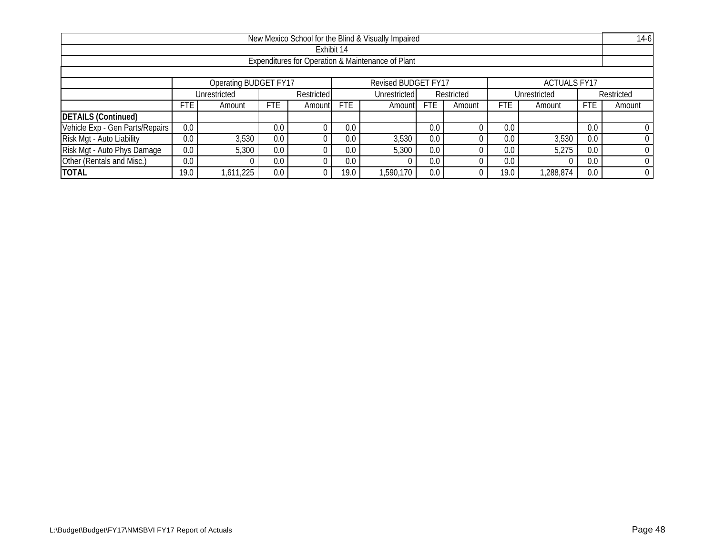|                                                                     |                                                                                                                              |                                                                                        |     |            |      | New Mexico School for the Blind & Visually Impaired |     |  |                 |          |     | $14-6$ |  |
|---------------------------------------------------------------------|------------------------------------------------------------------------------------------------------------------------------|----------------------------------------------------------------------------------------|-----|------------|------|-----------------------------------------------------|-----|--|-----------------|----------|-----|--------|--|
|                                                                     |                                                                                                                              |                                                                                        |     | Exhibit 14 |      |                                                     |     |  |                 |          |     |        |  |
| Expenditures for Operation & Maintenance of Plant                   |                                                                                                                              |                                                                                        |     |            |      |                                                     |     |  |                 |          |     |        |  |
|                                                                     |                                                                                                                              |                                                                                        |     |            |      |                                                     |     |  |                 |          |     |        |  |
| Operating BUDGET FY17<br>Revised BUDGET FY17<br><b>ACTUALS FY17</b> |                                                                                                                              |                                                                                        |     |            |      |                                                     |     |  |                 |          |     |        |  |
|                                                                     |                                                                                                                              | Unrestricted<br>Restricted<br>Restricted<br>Restricted<br>Unrestricted<br>Unrestricted |     |            |      |                                                     |     |  |                 |          |     |        |  |
|                                                                     | <b>FTE</b><br><b>FTE</b><br><b>FTE</b><br><b>FTE</b><br><b>FTE</b><br>FTE<br>Amount<br>Amountl<br>Amount<br>Amount<br>Amount |                                                                                        |     |            |      |                                                     |     |  |                 | Amount   |     |        |  |
| <b>DETAILS (Continued)</b>                                          |                                                                                                                              |                                                                                        |     |            |      |                                                     |     |  |                 |          |     |        |  |
| Vehicle Exp - Gen Parts/Repairs                                     | 0.0                                                                                                                          |                                                                                        | 0.0 |            | 0.0  |                                                     | 0.0 |  | 0.0             |          | 0.0 |        |  |
| Risk Mgt - Auto Liability                                           | 0.0                                                                                                                          | 3,530                                                                                  | 0.0 |            | 0.0  | 3,530                                               | 0.0 |  | 0. <sub>C</sub> | 3,530    | 0.0 |        |  |
| Risk Mgt - Auto Phys Damage                                         | 0.0                                                                                                                          | 5,300                                                                                  | 0.0 |            | 0.0  | 5,300                                               | 0.0 |  | 0.0             | 5,275    | 0.0 |        |  |
| Other (Rentals and Misc.)                                           | 0.0                                                                                                                          |                                                                                        | 0.0 |            | 0.0  |                                                     | 0.0 |  | 0. <sub>C</sub> | $\Omega$ | 0.0 |        |  |
| <b>TOTAL</b>                                                        | 19.0                                                                                                                         | 611,225                                                                                | 0.0 |            | 19.0 | ,590,170                                            | 0.0 |  | 19.0            | ,288,874 | 0.0 |        |  |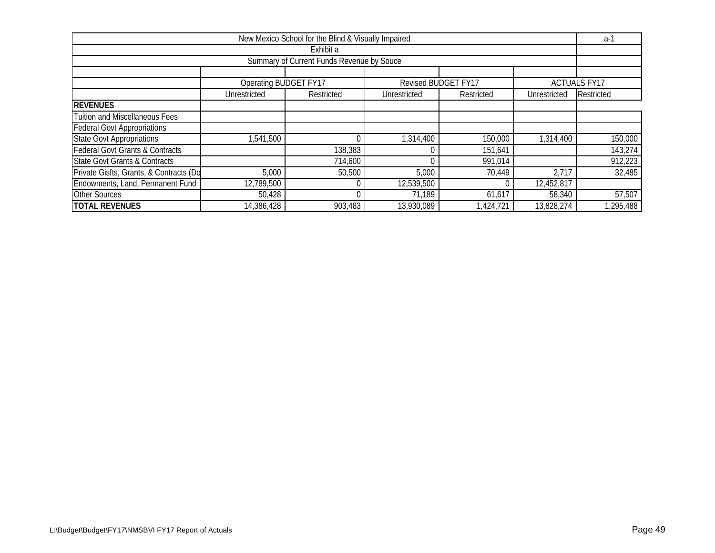| New Mexico School for the Blind & Visually Impaired |                       |                                           |              |                     |              |                     |  |  |
|-----------------------------------------------------|-----------------------|-------------------------------------------|--------------|---------------------|--------------|---------------------|--|--|
|                                                     |                       | Exhibit a                                 |              |                     |              |                     |  |  |
|                                                     |                       | Summary of Current Funds Revenue by Souce |              |                     |              |                     |  |  |
|                                                     |                       |                                           |              |                     |              |                     |  |  |
|                                                     | Operating BUDGET FY17 |                                           |              | Revised BUDGET FY17 |              | <b>ACTUALS FY17</b> |  |  |
|                                                     | Unrestricted          | Restricted                                | Unrestricted | Restricted          | Unrestricted | Restricted          |  |  |
| <b>REVENUES</b>                                     |                       |                                           |              |                     |              |                     |  |  |
| <b>Tuition and Miscellaneous Fees</b>               |                       |                                           |              |                     |              |                     |  |  |
| <b>Federal Govt Appropriations</b>                  |                       |                                           |              |                     |              |                     |  |  |
| <b>State Govt Appropriations</b>                    | 1,541,500             |                                           | 1,314,400    | 150,000             | 1,314,400    | 150,000             |  |  |
| <b>Federal Govt Grants &amp; Contracts</b>          |                       | 138,383                                   |              | 151,641             |              | 143,274             |  |  |
| <b>State Govt Grants &amp; Contracts</b>            |                       | 714,600                                   |              | 991,014             |              | 912,223             |  |  |
| Private Gisfts, Grants, & Contracts (Do             | 5,000                 | 50,500                                    | 5,000        | 70,449              | 2,717        | 32,485              |  |  |
| Endowments, Land, Permanent Fund                    | 12,789,500            |                                           | 12,539,500   |                     | 12,452,817   |                     |  |  |
| <b>Other Sources</b>                                | 50,428                |                                           | 71,189       | 61,617              | 58,340       | 57,507              |  |  |
| <b>TOTAL REVENUES</b>                               | 14,386,428            | 903,483                                   | 13,930,089   | 1,424,721           | 13,828,274   | 1,295,488           |  |  |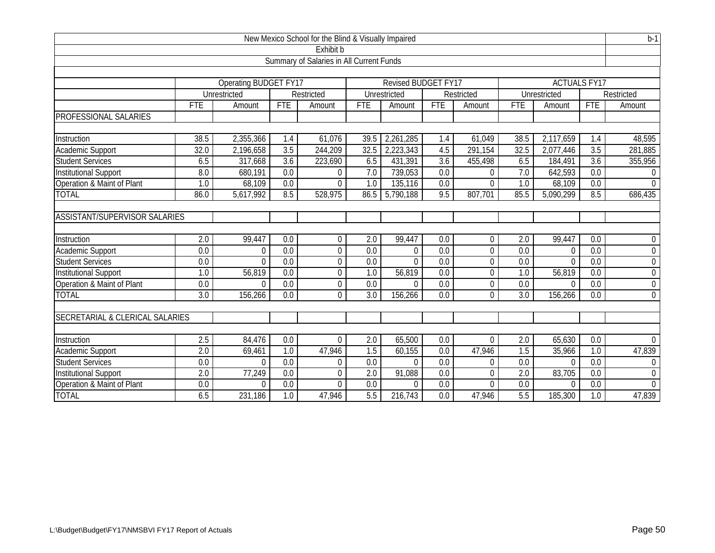|                                          | $b-1$<br>New Mexico School for the Blind & Visually Impaired |                       |                  |                |                  |                     |                  |                |                  |                     |                  |                |
|------------------------------------------|--------------------------------------------------------------|-----------------------|------------------|----------------|------------------|---------------------|------------------|----------------|------------------|---------------------|------------------|----------------|
|                                          | Exhibit b                                                    |                       |                  |                |                  |                     |                  |                |                  |                     |                  |                |
| Summary of Salaries in All Current Funds |                                                              |                       |                  |                |                  |                     |                  |                |                  |                     |                  |                |
|                                          |                                                              |                       |                  |                |                  |                     |                  |                |                  |                     |                  |                |
|                                          |                                                              | Operating BUDGET FY17 |                  |                |                  | Revised BUDGET FY17 |                  |                |                  | <b>ACTUALS FY17</b> |                  |                |
|                                          |                                                              | Unrestricted          |                  | Restricted     |                  | Unrestricted        |                  | Restricted     |                  | Unrestricted        |                  | Restricted     |
|                                          | <b>FTE</b>                                                   | Amount                | <b>FTE</b>       | Amount         | <b>FTE</b>       | Amount              | <b>FTE</b>       | Amount         | <b>FTE</b>       | Amount              | <b>FTE</b>       | Amount         |
| PROFESSIONAL SALARIES                    |                                                              |                       |                  |                |                  |                     |                  |                |                  |                     |                  |                |
|                                          |                                                              |                       |                  |                |                  |                     |                  |                |                  |                     |                  |                |
| Instruction                              | 38.5                                                         | 2,355,366             | 1.4              | 61,076         | 39.5             | 2,261,285           | 1.4              | 61,049         | 38.5             | 2,117,659           | 1.4              | 48,595         |
| <b>Academic Support</b>                  | 32.0                                                         | 2,196,658             | $\overline{3.5}$ | 244,209        | 32.5             | 2,223,343           | 4.5              | 291,154        | 32.5             | 2,077,446           | 3.5              | 281,885        |
| <b>Student Services</b>                  | 6.5                                                          | 317,668               | $\overline{3.6}$ | 223,690        | 6.5              | 431,391             | $\overline{3.6}$ | 455,498        | 6.5              | 184,491             | $\overline{3.6}$ | 355,956        |
| <b>Institutional Support</b>             | 8.0                                                          | 680,191               | 0.0              | 0              | 7.0              | 739,053             | 0.0              | 0              | 7.0              | 642,593             | 0.0              | $\overline{0}$ |
| Operation & Maint of Plant               | $\overline{1.0}$                                             | 68,109                | $\overline{0.0}$ | $\Omega$       | 1.0              | 135,116             | 0.0              | 0              | 1.0              | 68,109              | $\overline{0.0}$ | $\Omega$       |
| <b>TOTAL</b>                             | 86.0                                                         | 5,617,992             | 8.5              | 528,975        | 86.5             | 5,790,188           | 9.5              | 807,701        | 85.5             | 5,090,299           | 8.5              | 686,435        |
|                                          |                                                              |                       |                  |                |                  |                     |                  |                |                  |                     |                  |                |
| ASSISTANT/SUPERVISOR SALARIES            |                                                              |                       |                  |                |                  |                     |                  |                |                  |                     |                  |                |
|                                          |                                                              |                       |                  |                |                  |                     |                  |                |                  |                     |                  |                |
| Instruction                              | 2.0                                                          | 99,447                | 0.0              | $\overline{0}$ | 2.0              | 99,447              | 0.0              | 0              | 2.0              | 99,447              | 0.0              | $\mathbf 0$    |
| Academic Support                         | $\overline{0.0}$                                             | $\Omega$              | $\overline{0.0}$ | $\mathbf 0$    | 0.0              | 0                   | 0.0              | $\overline{0}$ | 0.0              | $\Omega$            | $\overline{0.0}$ | $\overline{0}$ |
| <b>Student Services</b>                  | $\overline{0.0}$                                             | $\Omega$              | $\overline{0.0}$ | 0              | $\overline{0.0}$ | $\overline{0}$      | $\overline{0.0}$ | 0              | 0.0              | $\Omega$            | $\overline{0.0}$ | $\overline{0}$ |
| Institutional Support                    | 1.0                                                          | 56,819                | 0.0              | $\mathbf 0$    | 1.0              | 56,819              | 0.0              | 0              | 1.0              | 56,819              | 0.0              | $\mathbf 0$    |
| Operation & Maint of Plant               | 0.0                                                          | $\theta$              | 0.0              | $\mathbf 0$    | 0.0              | $\theta$            | 0.0              | 0              | 0.0              | $\Omega$            | 0.0              | $\overline{0}$ |
| <b>TOTAL</b>                             | $\overline{3.0}$                                             | 156,266               | 0.0              | $\overline{0}$ | 3.0              | 156,266             | 0.0              | $\overline{0}$ | $\overline{3.0}$ | 156,266             | 0.0              | $\mathbf 0$    |
|                                          |                                                              |                       |                  |                |                  |                     |                  |                |                  |                     |                  |                |
| SECRETARIAL & CLERICAL SALARIES          |                                                              |                       |                  |                |                  |                     |                  |                |                  |                     |                  |                |
|                                          |                                                              |                       |                  |                |                  |                     |                  |                |                  |                     |                  |                |
| Instruction                              | $\overline{2.5}$                                             | 84,476                | 0.0              | $\Omega$       | 2.0              | 65,500              | 0.0              | 0              | 2.0              | 65,630              | 0.0              | $\Omega$       |
| Academic Support                         | $\overline{2.0}$                                             | 69,461                | 1.0              | 47,946         | 1.5              | 60,155              | 0.0              | 47,946         | 1.5              | 35,966              | 1.0              | 47,839         |
| Student Services                         | 0.0                                                          | $\Omega$              | 0.0              | $\mathbf 0$    | 0.0              | $\Omega$            | 0.0              | 0              | 0.0              | $\Omega$            | $\overline{0.0}$ | $\overline{0}$ |
| <b>Institutional Support</b>             | 2.0                                                          | 77,249                | 0.0              | 0              | 2.0              | 91,088              | 0.0              | 0              | $\overline{2.0}$ | 83,705              | 0.0              | $\mathbf 0$    |
| Operation & Maint of Plant               | 0.0                                                          | $\theta$              | 0.0              | $\overline{0}$ | 0.0              | $\theta$            | 0.0              | 0              | 0.0              | $\Omega$            | 0.0              | $\overline{0}$ |
| <b>TOTAL</b>                             | 6.5                                                          | 231,186               | 1.0              | 47,946         | 5.5              | 216,743             | 0.0              | 47,946         | 5.5              | 185,300             | 1.0              | 47,839         |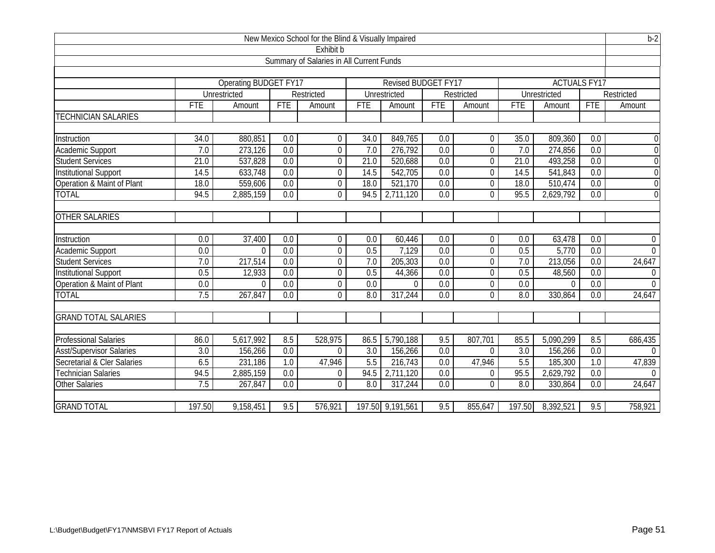|                                          | $b-2$<br>New Mexico School for the Blind & Visually Impaired |                       |                  |                |                  |                      |                  |                |                  |                     |                  |                |
|------------------------------------------|--------------------------------------------------------------|-----------------------|------------------|----------------|------------------|----------------------|------------------|----------------|------------------|---------------------|------------------|----------------|
| Exhibit b                                |                                                              |                       |                  |                |                  |                      |                  |                |                  |                     |                  |                |
| Summary of Salaries in All Current Funds |                                                              |                       |                  |                |                  |                      |                  |                |                  |                     |                  |                |
|                                          |                                                              |                       |                  |                |                  |                      |                  |                |                  |                     |                  |                |
|                                          |                                                              | Operating BUDGET FY17 |                  |                |                  | Revised BUDGET FY17  |                  |                |                  | <b>ACTUALS FY17</b> |                  |                |
|                                          |                                                              | Unrestricted          |                  | Restricted     |                  | Unrestricted         |                  | Restricted     |                  | Unrestricted        |                  | Restricted     |
|                                          | <b>FTE</b>                                                   | Amount                | <b>FTE</b>       | Amount         | <b>FTE</b>       | Amount               | <b>FTE</b>       | Amount         | <b>FTE</b>       | Amount              | <b>FTE</b>       | Amount         |
| <b>TECHNICIAN SALARIES</b>               |                                                              |                       |                  |                |                  |                      |                  |                |                  |                     |                  |                |
|                                          |                                                              |                       |                  |                |                  |                      |                  |                |                  |                     |                  |                |
| Instruction                              | 34.0                                                         | 880,851               | 0.0              | $\overline{0}$ | 34.0             | 849,765              | 0.0              | 0              | 35.0             | 809,360             | 0.0              | $\mathbf 0$    |
| Academic Support                         | 7.0                                                          | 273,126               | 0.0              | $\mathbf 0$    | 7.0              | 276,792              | 0.0              | 0              | 7.0              | 274,856             | 0.0              | $\overline{0}$ |
| <b>Student Services</b>                  | 21.0                                                         | 537,828               | 0.0              | 0              | 21.0             | 520,688              | 0.0              | $\mathbf 0$    | 21.0             | 493,258             | 0.0              | $\overline{0}$ |
| <b>Institutional Support</b>             | 14.5                                                         | 633,748               | 0.0              | $\mathbf 0$    | 14.5             | 542,705              | 0.0              | 0              | 14.5             | 541,843             | $\overline{0.0}$ | $\overline{0}$ |
| Operation & Maint of Plant               | 18.0                                                         | 559,606               | $\overline{0.0}$ | $\mathbf 0$    | 18.0             | 521,170              | 0.0              | $\mathbf 0$    | 18.0             | 510,474             | $\overline{0.0}$ | $\overline{0}$ |
| <b>TOTAL</b>                             | 94.5                                                         | 2,885,159             | 0.0              | $\overline{0}$ | 94.5             | 2,711,120            | 0.0              | 0              | 95.5             | 2,629,792           | 0.0              | $\overline{0}$ |
|                                          |                                                              |                       |                  |                |                  |                      |                  |                |                  |                     |                  |                |
| <b>OTHER SALARIES</b>                    |                                                              |                       |                  |                |                  |                      |                  |                |                  |                     |                  |                |
|                                          |                                                              |                       |                  |                |                  |                      |                  |                |                  |                     |                  |                |
| Instruction                              | 0.0                                                          | 37,400                | 0.0              | $\mathbf 0$    | 0.0              | 60,446               | 0.0              | 0              | 0.0              | 63,478              | 0.0              | $\overline{0}$ |
| Academic Support                         | 0.0                                                          | $\Omega$              | 0.0              | $\overline{0}$ | 0.5              | 7,129                | 0.0              | 0              | 0.5              | 5,770               | $\overline{0.0}$ | $\overline{0}$ |
| <b>Student Services</b>                  | 7.0                                                          | 217,514               | 0.0              | $\mathbf 0$    | 7.0              | $\overline{205,303}$ | 0.0              | 0              | 7.0              | 213,056             | 0.0              | 24,647         |
| <b>Institutional Support</b>             | 0.5                                                          | 12,933                | 0.0              | $\mathbf 0$    | 0.5              | 44,366               | $\overline{0.0}$ | $\mathbf 0$    | 0.5              | 48,560              | $\overline{0.0}$ | $\overline{0}$ |
| Operation & Maint of Plant               | 0.0                                                          | $\Omega$              | 0.0              | $\mathbf 0$    | 0.0              | $\theta$             | 0.0              | 0              | 0.0              | $\Omega$            | 0.0              | $\theta$       |
| <b>TOTAL</b>                             | 7.5                                                          | 267,847               | $\overline{0.0}$ | $\overline{0}$ | 8.0              | 317,244              | 0.0              | 0              | $\overline{8.0}$ | 330,864             | 0.0              | 24,647         |
|                                          |                                                              |                       |                  |                |                  |                      |                  |                |                  |                     |                  |                |
| <b>GRAND TOTAL SALARIES</b>              |                                                              |                       |                  |                |                  |                      |                  |                |                  |                     |                  |                |
|                                          |                                                              |                       |                  |                |                  |                      |                  |                |                  |                     |                  |                |
| Professional Salaries                    | 86.0                                                         | 5,617,992             | 8.5              | 528,975        | 86.5             | 5,790,188            | 9.5              | 807,701        | 85.5             | 5,090,299           | 8.5              | 686,435        |
| <b>Asst/Supervisor Salaries</b>          | 3.0                                                          | 156,266               | 0.0              | $\overline{0}$ | $\overline{3.0}$ | 156,266              | 0.0              | $\Omega$       | $\overline{3.0}$ | 156,266             | $\overline{0.0}$ | $\Omega$       |
| Secretarial & Cler Salaries              | 6.5                                                          | 231,186               | 1.0              | 47,946         | 5.5              | 216,743              | 0.0              | 47,946         | 5.5              | 185,300             | 1.0              | 47,839         |
| Technician Salaries                      | 94.5                                                         | 2,885,159             | 0.0              | $\mathbf 0$    | 94.5             | 2,711,120            | 0.0              | $\overline{0}$ | 95.5             | 2,629,792           | 0.0              | $\Omega$       |
| <b>Other Salaries</b>                    | 7.5                                                          | 267,847               | 0.0              | $\Omega$       | 8.0              | 317,244              | 0.0              | $\mathbf 0$    | 8.0              | 330,864             | 0.0              | 24,647         |
| <b>GRAND TOTAL</b>                       | 197.50                                                       | 9,158,451             | 9.5              | 576,921        |                  | 197.50 9,191,561     | 9.5              | 855,647        | 197.50           | 8,392,521           | 9.5              | 758,921        |
|                                          |                                                              |                       |                  |                |                  |                      |                  |                |                  |                     |                  |                |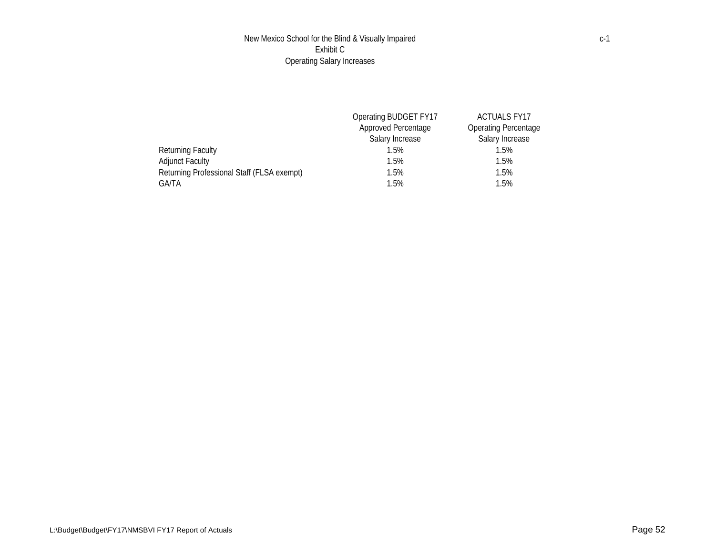## New Mexico School for the Blind & Visually Impaired Exhibit C Operating Salary Increases

|                                            | Operating BUDGET FY17      | <b>ACTUALS FY17</b>         |
|--------------------------------------------|----------------------------|-----------------------------|
|                                            | <b>Approved Percentage</b> | <b>Operating Percentage</b> |
|                                            | Salary Increase            | Salary Increase             |
| Returning Faculty                          | 1.5%                       | 1.5%                        |
| <b>Adjunct Faculty</b>                     | 1.5%                       | 1.5%                        |
| Returning Professional Staff (FLSA exempt) | 1.5%                       | 1.5%                        |
| GA/TA                                      | 1.5%                       | 1.5%                        |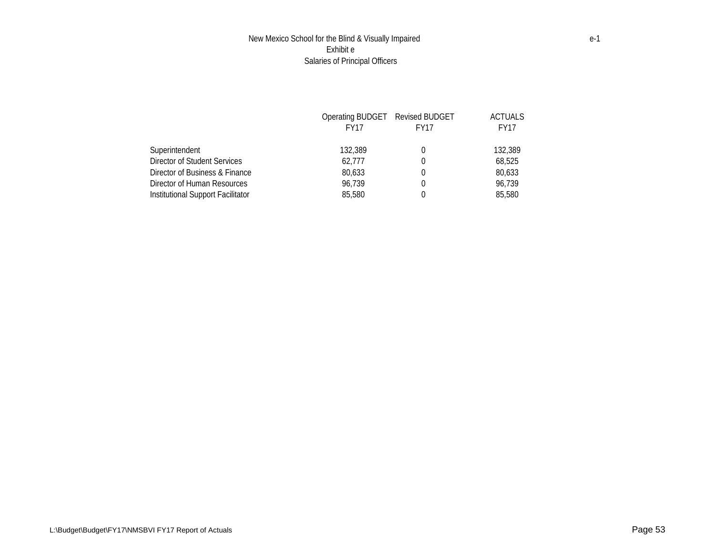## New Mexico School for the Blind & Visually Impaired Exhibit e Salaries of Principal Officers

|                                   | Operating BUDGET Revised BUDGET |                  | ACTUALS     |
|-----------------------------------|---------------------------------|------------------|-------------|
|                                   | <b>FY17</b>                     | FY <sub>17</sub> | <b>FY17</b> |
| Superintendent                    | 132,389                         | 0                | 132,389     |
| Director of Student Services      | 62.777                          | $\Omega$         | 68,525      |
| Director of Business & Finance    | 80.633                          | 0                | 80,633      |
| Director of Human Resources       | 96.739                          | $\Omega$         | 96.739      |
| Institutional Support Facilitator | 85,580                          |                  | 85,580      |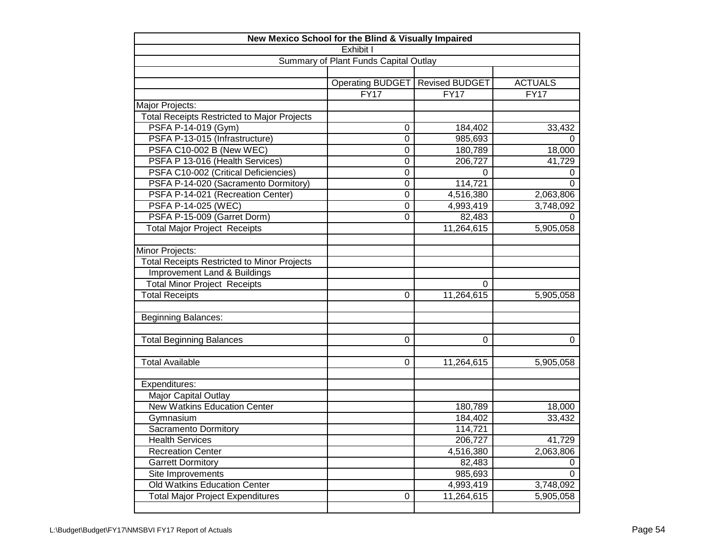| New Mexico School for the Blind & Visually Impaired |                                       |                       |                |  |  |  |  |
|-----------------------------------------------------|---------------------------------------|-----------------------|----------------|--|--|--|--|
|                                                     | Exhibit I                             |                       |                |  |  |  |  |
|                                                     | Summary of Plant Funds Capital Outlay |                       |                |  |  |  |  |
|                                                     |                                       |                       |                |  |  |  |  |
|                                                     | Operating BUDGET                      | <b>Revised BUDGET</b> | <b>ACTUALS</b> |  |  |  |  |
|                                                     | FY17                                  | <b>FY17</b>           | <b>FY17</b>    |  |  |  |  |
| Major Projects:                                     |                                       |                       |                |  |  |  |  |
| <b>Total Receipts Restricted to Major Projects</b>  |                                       |                       |                |  |  |  |  |
| PSFA P-14-019 (Gym)                                 | 0                                     | 184,402               | 33,432         |  |  |  |  |
| PSFA P-13-015 (Infrastructure)                      | $\mathbf 0$                           | 985,693               | 0              |  |  |  |  |
| PSFA C10-002 B (New WEC)                            | $\mathbf 0$                           | 180,789               | 18,000         |  |  |  |  |
| PSFA P 13-016 (Health Services)                     | 0                                     | 206,727               | 41,729         |  |  |  |  |
| PSFA C10-002 (Critical Deficiencies)                | $\mathbf 0$                           | $\mathbf 0$           | 0              |  |  |  |  |
| PSFA P-14-020 (Sacramento Dormitory)                | $\mathbf 0$                           | 114,721               | 0              |  |  |  |  |
| PSFA P-14-021 (Recreation Center)                   | $\mathbf 0$                           | 4,516,380             | 2,063,806      |  |  |  |  |
| PSFA P-14-025 (WEC)                                 | $\mathbf 0$                           | 4,993,419             | 3,748,092      |  |  |  |  |
| PSFA P-15-009 (Garret Dorm)                         | $\mathbf 0$                           | 82,483                | 0              |  |  |  |  |
| <b>Total Major Project Receipts</b>                 |                                       | 11,264,615            | 5,905,058      |  |  |  |  |
|                                                     |                                       |                       |                |  |  |  |  |
| Minor Projects:                                     |                                       |                       |                |  |  |  |  |
| <b>Total Receipts Restricted to Minor Projects</b>  |                                       |                       |                |  |  |  |  |
| Improvement Land & Buildings                        |                                       |                       |                |  |  |  |  |
| <b>Total Minor Project Receipts</b>                 |                                       | 0                     |                |  |  |  |  |
| <b>Total Receipts</b>                               | $\Omega$                              | 11,264,615            | 5,905,058      |  |  |  |  |
|                                                     |                                       |                       |                |  |  |  |  |
| <b>Beginning Balances:</b>                          |                                       |                       |                |  |  |  |  |
|                                                     |                                       |                       |                |  |  |  |  |
| <b>Total Beginning Balances</b>                     | 0                                     | $\Omega$              | 0              |  |  |  |  |
|                                                     |                                       |                       |                |  |  |  |  |
| <b>Total Available</b>                              | $\mathbf 0$                           | 11,264,615            | 5,905,058      |  |  |  |  |
|                                                     |                                       |                       |                |  |  |  |  |
| Expenditures:                                       |                                       |                       |                |  |  |  |  |
| Major Capital Outlay                                |                                       |                       |                |  |  |  |  |
| <b>New Watkins Education Center</b>                 |                                       | 180,789               | 18,000         |  |  |  |  |
| Gymnasium                                           |                                       | 184,402               | 33,432         |  |  |  |  |
| Sacramento Dormitory                                |                                       | 114,721               |                |  |  |  |  |
| <b>Health Services</b>                              |                                       | 206,727               | 41,729         |  |  |  |  |
| <b>Recreation Center</b>                            |                                       | 4,516,380             | 2,063,806      |  |  |  |  |
| <b>Garrett Dormitory</b>                            |                                       | 82,483                | 0              |  |  |  |  |
| Site Improvements                                   |                                       | 985,693               | 0              |  |  |  |  |
| Old Watkins Education Center                        |                                       | 4,993,419             | 3,748,092      |  |  |  |  |
| <b>Total Major Project Expenditures</b>             | $\pmb{0}$                             | 11,264,615            | 5,905,058      |  |  |  |  |
|                                                     |                                       |                       |                |  |  |  |  |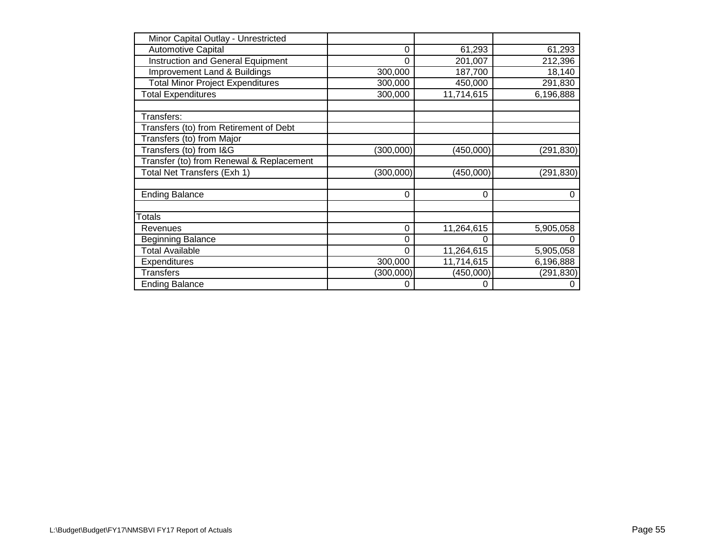| Minor Capital Outlay - Unrestricted      |            |            |            |
|------------------------------------------|------------|------------|------------|
| <b>Automotive Capital</b>                | 0          | 61,293     | 61,293     |
| <b>Instruction and General Equipment</b> | $\Omega$   | 201,007    | 212,396    |
| Improvement Land & Buildings             | 300,000    | 187,700    | 18,140     |
| <b>Total Minor Project Expenditures</b>  | 300,000    | 450,000    | 291,830    |
| <b>Total Expenditures</b>                | 300,000    | 11,714,615 | 6,196,888  |
|                                          |            |            |            |
| Transfers:                               |            |            |            |
| Transfers (to) from Retirement of Debt   |            |            |            |
| Transfers (to) from Major                |            |            |            |
| Transfers (to) from I&G                  | (300, 000) | (450,000)  | (291, 830) |
| Transfer (to) from Renewal & Replacement |            |            |            |
| Total Net Transfers (Exh 1)              | (300,000)  | (450,000)  | (291, 830) |
|                                          |            |            |            |
| <b>Ending Balance</b>                    | $\Omega$   | $\Omega$   | 0          |
|                                          |            |            |            |
| Totals                                   |            |            |            |
| Revenues                                 | 0          | 11,264,615 | 5,905,058  |
| <b>Beginning Balance</b>                 | 0          | 0          | 0          |
| <b>Total Available</b>                   | $\Omega$   | 11,264,615 | 5,905,058  |
| Expenditures                             | 300,000    | 11,714,615 | 6,196,888  |
| <b>Transfers</b>                         | (300,000)  | (450,000)  | (291, 830) |
| <b>Ending Balance</b>                    | 0          | 0          | 0          |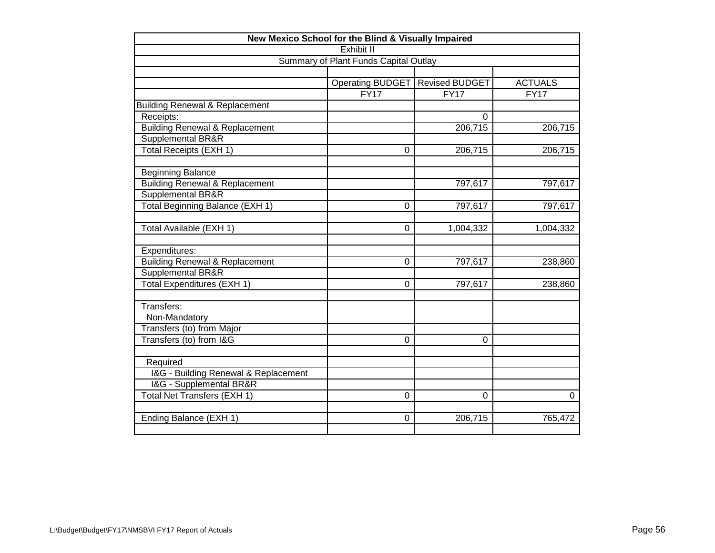| New Mexico School for the Blind & Visually Impaired |                                       |                       |                |  |  |  |  |  |
|-----------------------------------------------------|---------------------------------------|-----------------------|----------------|--|--|--|--|--|
| Exhibit II                                          |                                       |                       |                |  |  |  |  |  |
|                                                     | Summary of Plant Funds Capital Outlay |                       |                |  |  |  |  |  |
|                                                     |                                       |                       |                |  |  |  |  |  |
|                                                     | <b>Operating BUDGET</b>               | <b>Revised BUDGET</b> | <b>ACTUALS</b> |  |  |  |  |  |
|                                                     | FY17                                  | FY17                  | FY17           |  |  |  |  |  |
| <b>Building Renewal &amp; Replacement</b>           |                                       |                       |                |  |  |  |  |  |
| Receipts:                                           |                                       | $\Omega$              |                |  |  |  |  |  |
| <b>Building Renewal &amp; Replacement</b>           |                                       | 206,715               | 206,715        |  |  |  |  |  |
| Supplemental BR&R                                   |                                       |                       |                |  |  |  |  |  |
| Total Receipts (EXH 1)                              | $\Omega$                              | 206,715               | 206,715        |  |  |  |  |  |
|                                                     |                                       |                       |                |  |  |  |  |  |
| <b>Beginning Balance</b>                            |                                       |                       |                |  |  |  |  |  |
| <b>Building Renewal &amp; Replacement</b>           |                                       | $\overline{797,}617$  | 797,617        |  |  |  |  |  |
| Supplemental BR&R                                   |                                       |                       |                |  |  |  |  |  |
| Total Beginning Balance (EXH 1)                     | $\mathbf 0$                           | 797,617               | 797,617        |  |  |  |  |  |
|                                                     |                                       |                       |                |  |  |  |  |  |
| Total Available (EXH 1)                             | 0                                     | 1,004,332             | 1,004,332      |  |  |  |  |  |
|                                                     |                                       |                       |                |  |  |  |  |  |
| Expenditures:                                       |                                       |                       |                |  |  |  |  |  |
| <b>Building Renewal &amp; Replacement</b>           | $\Omega$                              | 797,617               | 238,860        |  |  |  |  |  |
| Supplemental BR&R                                   |                                       |                       |                |  |  |  |  |  |
| Total Expenditures (EXH 1)                          | 0                                     | 797,617               | 238,860        |  |  |  |  |  |
|                                                     |                                       |                       |                |  |  |  |  |  |
| Transfers:                                          |                                       |                       |                |  |  |  |  |  |
| Non-Mandatory                                       |                                       |                       |                |  |  |  |  |  |
| Transfers (to) from Major                           |                                       |                       |                |  |  |  |  |  |
| Transfers (to) from I&G                             | 0                                     | 0                     |                |  |  |  |  |  |
|                                                     |                                       |                       |                |  |  |  |  |  |
| Required                                            |                                       |                       |                |  |  |  |  |  |
| I&G - Building Renewal & Replacement                |                                       |                       |                |  |  |  |  |  |
| I&G - Supplemental BR&R                             |                                       |                       |                |  |  |  |  |  |
| Total Net Transfers (EXH 1)                         | 0                                     | 0                     | 0              |  |  |  |  |  |
|                                                     |                                       |                       |                |  |  |  |  |  |
| Ending Balance (EXH 1)                              | 0                                     | 206,715               | 765,472        |  |  |  |  |  |
|                                                     |                                       |                       |                |  |  |  |  |  |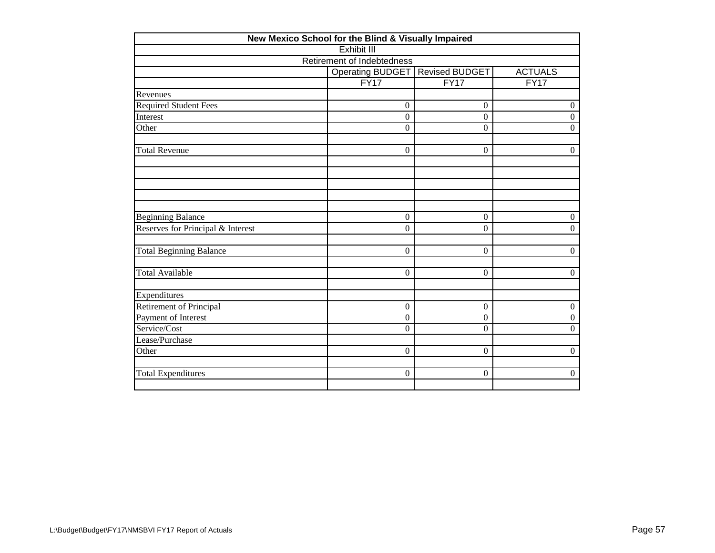| New Mexico School for the Blind & Visually Impaired |                  |                       |                  |  |  |  |  |  |
|-----------------------------------------------------|------------------|-----------------------|------------------|--|--|--|--|--|
| Exhibit III                                         |                  |                       |                  |  |  |  |  |  |
| Retirement of Indebtedness                          |                  |                       |                  |  |  |  |  |  |
|                                                     | Operating BUDGET | <b>Revised BUDGET</b> | <b>ACTUALS</b>   |  |  |  |  |  |
|                                                     | FY17             | FY17                  | FY17             |  |  |  |  |  |
| Revenues                                            |                  |                       |                  |  |  |  |  |  |
| <b>Required Student Fees</b>                        | $\boldsymbol{0}$ | $\boldsymbol{0}$      | $\boldsymbol{0}$ |  |  |  |  |  |
| Interest                                            | $\overline{0}$   | $\boldsymbol{0}$      | $\mathbf{0}$     |  |  |  |  |  |
| Other                                               | $\boldsymbol{0}$ | $\overline{0}$        | $\mathbf{0}$     |  |  |  |  |  |
| <b>Total Revenue</b>                                | $\overline{0}$   | $\boldsymbol{0}$      | $\boldsymbol{0}$ |  |  |  |  |  |
|                                                     |                  |                       |                  |  |  |  |  |  |
|                                                     |                  |                       |                  |  |  |  |  |  |
| <b>Beginning Balance</b>                            | $\boldsymbol{0}$ | $\overline{0}$        | $\boldsymbol{0}$ |  |  |  |  |  |
| Reserves for Principal & Interest                   | $\overline{0}$   | $\overline{0}$        | $\mathbf{0}$     |  |  |  |  |  |
| <b>Total Beginning Balance</b>                      | $\boldsymbol{0}$ | $\boldsymbol{0}$      | $\boldsymbol{0}$ |  |  |  |  |  |
| <b>Total Available</b>                              | $\boldsymbol{0}$ | 0                     | $\boldsymbol{0}$ |  |  |  |  |  |
| Expenditures                                        |                  |                       |                  |  |  |  |  |  |
| Retirement of Principal                             | $\boldsymbol{0}$ | $\boldsymbol{0}$      | $\boldsymbol{0}$ |  |  |  |  |  |
| Payment of Interest                                 | $\boldsymbol{0}$ | $\boldsymbol{0}$      | $\boldsymbol{0}$ |  |  |  |  |  |
| Service/Cost                                        | $\Omega$         | $\Omega$              | $\boldsymbol{0}$ |  |  |  |  |  |
| Lease/Purchase                                      |                  |                       |                  |  |  |  |  |  |
| Other                                               | $\boldsymbol{0}$ | $\boldsymbol{0}$      | $\boldsymbol{0}$ |  |  |  |  |  |
| <b>Total Expenditures</b>                           | $\boldsymbol{0}$ | $\overline{0}$        | $\boldsymbol{0}$ |  |  |  |  |  |
|                                                     |                  |                       |                  |  |  |  |  |  |